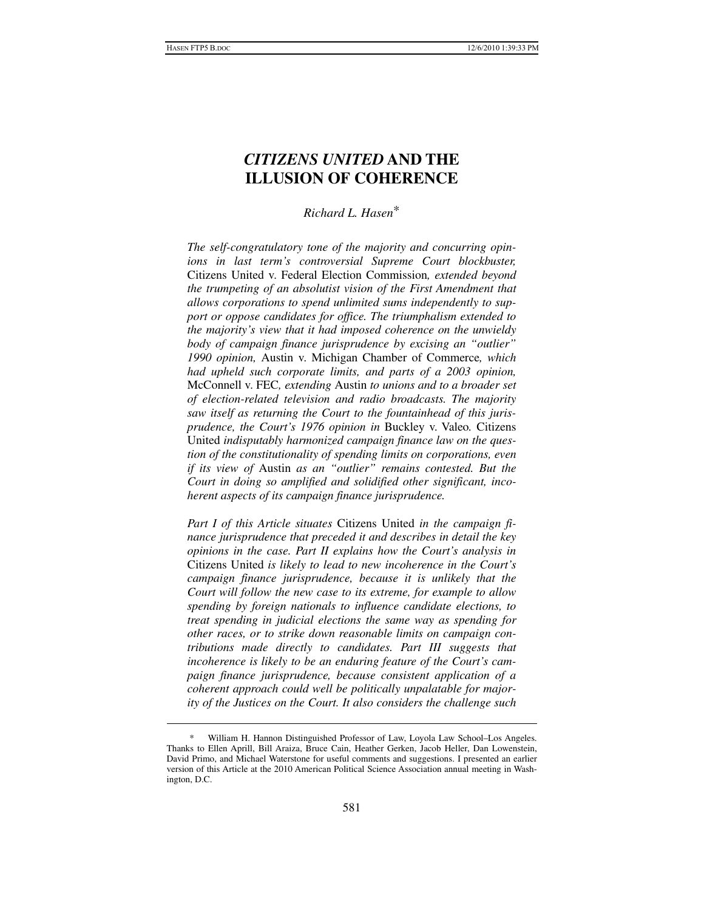# *CITIZENS UNITED* **AND THE ILLUSION OF COHERENCE**

# *Richard L. Hasen*\*

*The self-congratulatory tone of the majority and concurring opinions in last term's controversial Supreme Court blockbuster,*  Citizens United v. Federal Election Commission*, extended beyond the trumpeting of an absolutist vision of the First Amendment that allows corporations to spend unlimited sums independently to support or oppose candidates for office. The triumphalism extended to the majority's view that it had imposed coherence on the unwieldy body of campaign finance jurisprudence by excising an "outlier" 1990 opinion,* Austin v. Michigan Chamber of Commerce*, which had upheld such corporate limits, and parts of a 2003 opinion,*  McConnell v. FEC*, extending* Austin *to unions and to a broader set of election-related television and radio broadcasts. The majority saw itself as returning the Court to the fountainhead of this jurisprudence, the Court's 1976 opinion in* Buckley v. Valeo*.* Citizens United *indisputably harmonized campaign finance law on the question of the constitutionality of spending limits on corporations, even if its view of* Austin *as an "outlier" remains contested. But the Court in doing so amplified and solidified other significant, incoherent aspects of its campaign finance jurisprudence.* 

*Part I of this Article situates* Citizens United *in the campaign finance jurisprudence that preceded it and describes in detail the key opinions in the case. Part II explains how the Court's analysis in*  Citizens United *is likely to lead to new incoherence in the Court's campaign finance jurisprudence, because it is unlikely that the Court will follow the new case to its extreme, for example to allow spending by foreign nationals to influence candidate elections, to treat spending in judicial elections the same way as spending for other races, or to strike down reasonable limits on campaign contributions made directly to candidates. Part III suggests that incoherence is likely to be an enduring feature of the Court's campaign finance jurisprudence, because consistent application of a coherent approach could well be politically unpalatable for majority of the Justices on the Court. It also considers the challenge such* 

 <sup>\*</sup> William H. Hannon Distinguished Professor of Law, Loyola Law School–Los Angeles. Thanks to Ellen Aprill, Bill Araiza, Bruce Cain, Heather Gerken, Jacob Heller, Dan Lowenstein, David Primo, and Michael Waterstone for useful comments and suggestions. I presented an earlier version of this Article at the 2010 American Political Science Association annual meeting in Washington, D.C.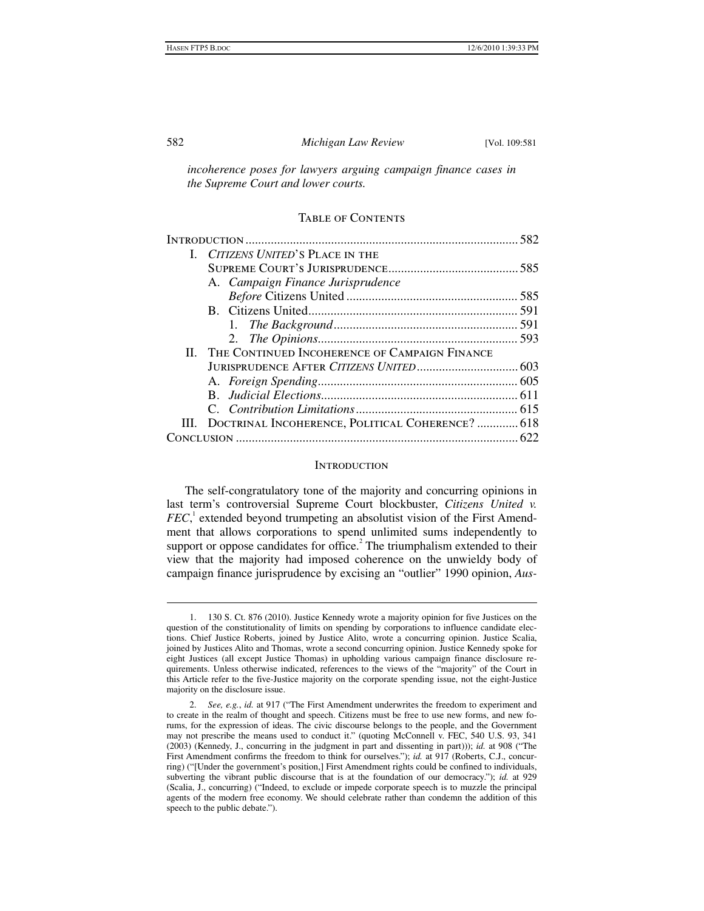#### 582 *Michigan Law Review* [Vol. 109:581

*incoherence poses for lawyers arguing campaign finance cases in the Supreme Court and lower courts.* 

## Table of Contents

|  | I. CITIZENS UNITED'S PLACE IN THE                     |  |
|--|-------------------------------------------------------|--|
|  |                                                       |  |
|  | A. Campaign Finance Jurisprudence                     |  |
|  |                                                       |  |
|  |                                                       |  |
|  |                                                       |  |
|  |                                                       |  |
|  | II. THE CONTINUED INCOHERENCE OF CAMPAIGN FINANCE     |  |
|  |                                                       |  |
|  |                                                       |  |
|  |                                                       |  |
|  |                                                       |  |
|  | III. DOCTRINAL INCOHERENCE, POLITICAL COHERENCE?  618 |  |
|  |                                                       |  |
|  |                                                       |  |

#### **INTRODUCTION**

The self-congratulatory tone of the majority and concurring opinions in last term's controversial Supreme Court blockbuster, *Citizens United v. FEC*,<sup>1</sup> extended beyond trumpeting an absolutist vision of the First Amendment that allows corporations to spend unlimited sums independently to support or oppose candidates for office.<sup>2</sup> The triumphalism extended to their view that the majority had imposed coherence on the unwieldy body of campaign finance jurisprudence by excising an "outlier" 1990 opinion, *Aus-*

 <sup>1. 130</sup> S. Ct. 876 (2010). Justice Kennedy wrote a majority opinion for five Justices on the question of the constitutionality of limits on spending by corporations to influence candidate elections. Chief Justice Roberts, joined by Justice Alito, wrote a concurring opinion. Justice Scalia, joined by Justices Alito and Thomas, wrote a second concurring opinion. Justice Kennedy spoke for eight Justices (all except Justice Thomas) in upholding various campaign finance disclosure requirements. Unless otherwise indicated, references to the views of the "majority" of the Court in this Article refer to the five-Justice majority on the corporate spending issue, not the eight-Justice majority on the disclosure issue.

 <sup>2.</sup> *See, e.g.*, *id.* at 917 ("The First Amendment underwrites the freedom to experiment and to create in the realm of thought and speech. Citizens must be free to use new forms, and new forums, for the expression of ideas. The civic discourse belongs to the people, and the Government may not prescribe the means used to conduct it." (quoting McConnell v. FEC, 540 U.S. 93, 341 (2003) (Kennedy, J., concurring in the judgment in part and dissenting in part))); *id.* at 908 ("The First Amendment confirms the freedom to think for ourselves."); *id.* at 917 (Roberts, C.J., concurring) ("[Under the government's position,] First Amendment rights could be confined to individuals, subverting the vibrant public discourse that is at the foundation of our democracy."); *id.* at 929 (Scalia, J., concurring) ("Indeed, to exclude or impede corporate speech is to muzzle the principal agents of the modern free economy. We should celebrate rather than condemn the addition of this speech to the public debate.").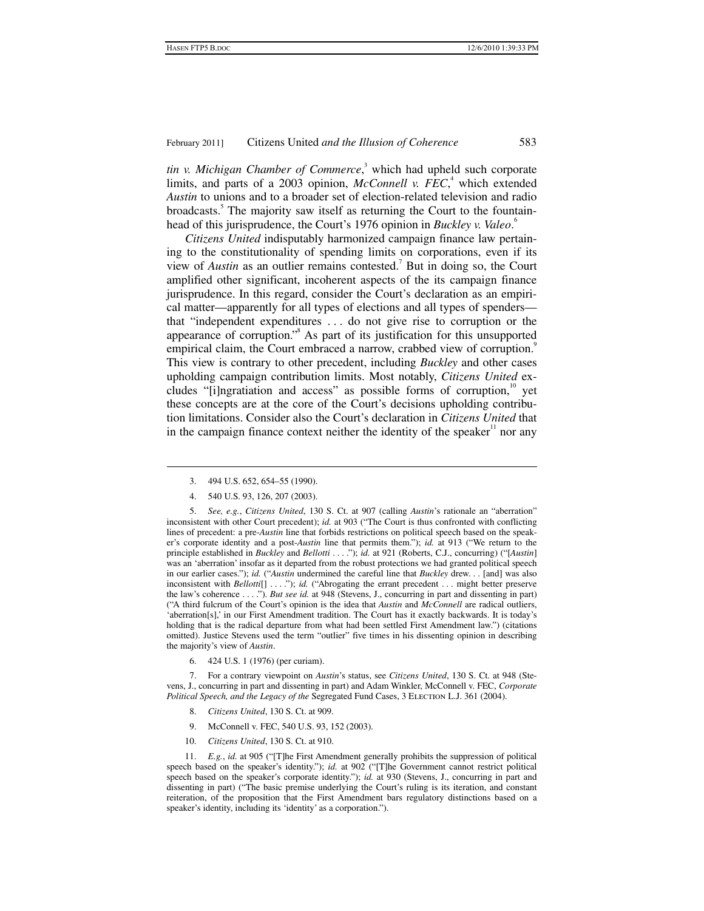tin v. Michigan Chamber of Commerce,<sup>3</sup> which had upheld such corporate limits, and parts of a 2003 opinion, *McConnell v. FEC*,<sup>4</sup> which extended *Austin* to unions and to a broader set of election-related television and radio broadcasts.<sup>5</sup> The majority saw itself as returning the Court to the fountainhead of this jurisprudence, the Court's 1976 opinion in *Buckley v. Valeo*. 6

*Citizens United* indisputably harmonized campaign finance law pertaining to the constitutionality of spending limits on corporations, even if its view of *Austin* as an outlier remains contested.<sup>7</sup> But in doing so, the Court amplified other significant, incoherent aspects of the its campaign finance jurisprudence. In this regard, consider the Court's declaration as an empirical matter—apparently for all types of elections and all types of spenders that "independent expenditures . . . do not give rise to corruption or the appearance of corruption."<sup>8</sup> As part of its justification for this unsupported empirical claim, the Court embraced a narrow, crabbed view of corruption.<sup>9</sup> This view is contrary to other precedent, including *Buckley* and other cases upholding campaign contribution limits. Most notably, *Citizens United* excludes "[i]ngratiation and access" as possible forms of corruption, $10$  yet these concepts are at the core of the Court's decisions upholding contribution limitations. Consider also the Court's declaration in *Citizens United* that in the campaign finance context neither the identity of the speaker $\mu$  nor any

 $\ddot{\phantom{a}}$ 

6. 424 U.S. 1 (1976) (per curiam).

 7. For a contrary viewpoint on *Austin*'s status, see *Citizens United*, 130 S. Ct. at 948 (Stevens, J., concurring in part and dissenting in part) and Adam Winkler, McConnell v. FEC, *Corporate Political Speech, and the Legacy of the* Segregated Fund Cases, 3 Election L.J. 361 (2004).

- 8. *Citizens United*, 130 S. Ct. at 909.
- 9. McConnell v. FEC, 540 U.S. 93, 152 (2003).
- 10. *Citizens United*, 130 S. Ct. at 910.

 11. *E.g.*, *id.* at 905 ("[T]he First Amendment generally prohibits the suppression of political speech based on the speaker's identity."); *id.* at 902 ("[T]he Government cannot restrict political speech based on the speaker's corporate identity."); *id.* at 930 (Stevens, J., concurring in part and dissenting in part) ("The basic premise underlying the Court's ruling is its iteration, and constant reiteration, of the proposition that the First Amendment bars regulatory distinctions based on a speaker's identity, including its 'identity' as a corporation.").

 <sup>3. 494</sup> U.S. 652, 654–55 (1990).

 <sup>4. 540</sup> U.S. 93, 126, 207 (2003).

 <sup>5.</sup> *See, e.g.*, *Citizens United*, 130 S. Ct. at 907 (calling *Austin*'s rationale an "aberration" inconsistent with other Court precedent); *id.* at 903 ("The Court is thus confronted with conflicting lines of precedent: a pre-*Austin* line that forbids restrictions on political speech based on the speaker's corporate identity and a post-*Austin* line that permits them."); *id.* at 913 ("We return to the principle established in *Buckley* and *Bellotti* . . . ."); *id.* at 921 (Roberts, C.J., concurring) ("[*Austin*] was an 'aberration' insofar as it departed from the robust protections we had granted political speech in our earlier cases."); *id.* ("*Austin* undermined the careful line that *Buckley* drew. . . [and] was also inconsistent with *Bellotti*[] ...."); *id.* ("Abrogating the errant precedent ... might better preserve the law's coherence . . . ."). *But see id.* at 948 (Stevens, J., concurring in part and dissenting in part) ("A third fulcrum of the Court's opinion is the idea that *Austin* and *McConnell* are radical outliers, 'aberration[s],' in our First Amendment tradition. The Court has it exactly backwards. It is today's holding that is the radical departure from what had been settled First Amendment law.") (citations omitted). Justice Stevens used the term "outlier" five times in his dissenting opinion in describing the majority's view of *Austin*.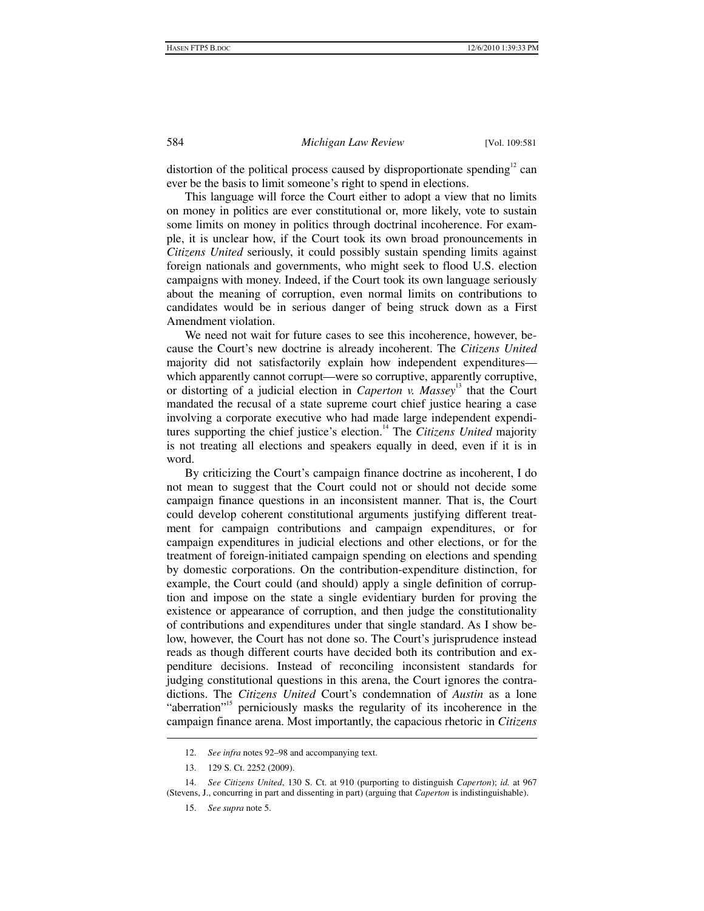distortion of the political process caused by disproportionate spending<sup>12</sup> can ever be the basis to limit someone's right to spend in elections.

This language will force the Court either to adopt a view that no limits on money in politics are ever constitutional or, more likely, vote to sustain some limits on money in politics through doctrinal incoherence. For example, it is unclear how, if the Court took its own broad pronouncements in *Citizens United* seriously, it could possibly sustain spending limits against foreign nationals and governments, who might seek to flood U.S. election campaigns with money. Indeed, if the Court took its own language seriously about the meaning of corruption, even normal limits on contributions to candidates would be in serious danger of being struck down as a First Amendment violation.

We need not wait for future cases to see this incoherence, however, because the Court's new doctrine is already incoherent. The *Citizens United* majority did not satisfactorily explain how independent expenditures which apparently cannot corrupt—were so corruptive, apparently corruptive, or distorting of a judicial election in *Caperton v. Massey*13 that the Court mandated the recusal of a state supreme court chief justice hearing a case involving a corporate executive who had made large independent expenditures supporting the chief justice's election.<sup>14</sup> The *Citizens United* majority is not treating all elections and speakers equally in deed, even if it is in word.

By criticizing the Court's campaign finance doctrine as incoherent, I do not mean to suggest that the Court could not or should not decide some campaign finance questions in an inconsistent manner. That is, the Court could develop coherent constitutional arguments justifying different treatment for campaign contributions and campaign expenditures, or for campaign expenditures in judicial elections and other elections, or for the treatment of foreign-initiated campaign spending on elections and spending by domestic corporations. On the contribution-expenditure distinction, for example, the Court could (and should) apply a single definition of corruption and impose on the state a single evidentiary burden for proving the existence or appearance of corruption, and then judge the constitutionality of contributions and expenditures under that single standard. As I show below, however, the Court has not done so. The Court's jurisprudence instead reads as though different courts have decided both its contribution and expenditure decisions. Instead of reconciling inconsistent standards for judging constitutional questions in this arena, the Court ignores the contradictions. The *Citizens United* Court's condemnation of *Austin* as a lone "aberration"<sup>15</sup> perniciously masks the regularity of its incoherence in the campaign finance arena. Most importantly, the capacious rhetoric in *Citizens* 

 <sup>12.</sup> *See infra* notes 92–98 and accompanying text.

 <sup>13. 129</sup> S. Ct. 2252 (2009).

 <sup>14.</sup> *See Citizens United*, 130 S. Ct. at 910 (purporting to distinguish *Caperton*); *id.* at 967 (Stevens, J., concurring in part and dissenting in part) (arguing that *Caperton* is indistinguishable).

 <sup>15.</sup> *See supra* note 5.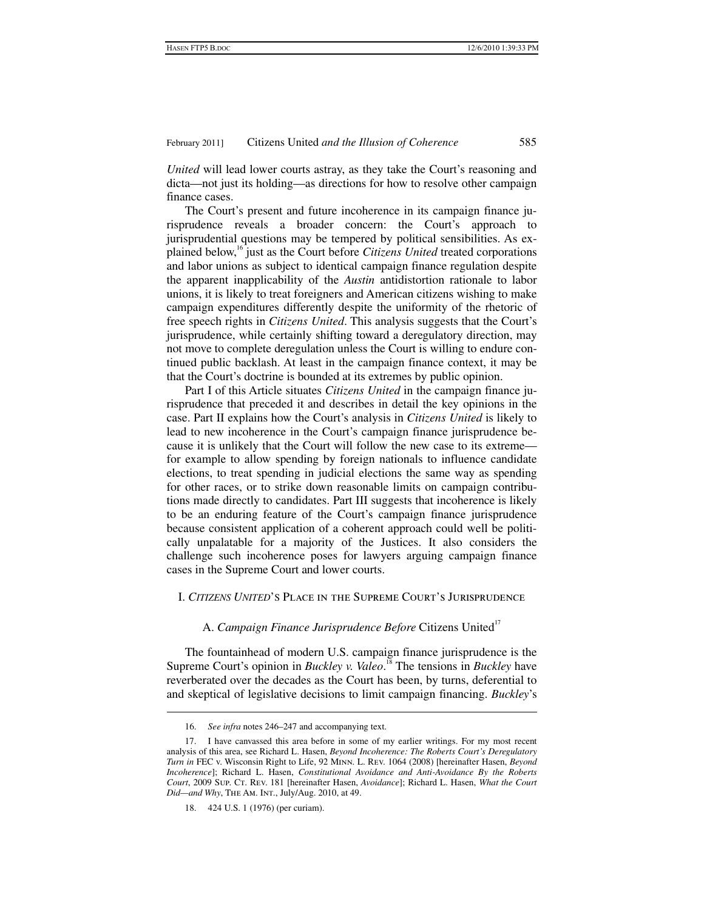*United* will lead lower courts astray, as they take the Court's reasoning and dicta—not just its holding—as directions for how to resolve other campaign finance cases.

The Court's present and future incoherence in its campaign finance jurisprudence reveals a broader concern: the Court's approach to jurisprudential questions may be tempered by political sensibilities. As explained below,16 just as the Court before *Citizens United* treated corporations and labor unions as subject to identical campaign finance regulation despite the apparent inapplicability of the *Austin* antidistortion rationale to labor unions, it is likely to treat foreigners and American citizens wishing to make campaign expenditures differently despite the uniformity of the rhetoric of free speech rights in *Citizens United*. This analysis suggests that the Court's jurisprudence, while certainly shifting toward a deregulatory direction, may not move to complete deregulation unless the Court is willing to endure continued public backlash. At least in the campaign finance context, it may be that the Court's doctrine is bounded at its extremes by public opinion.

Part I of this Article situates *Citizens United* in the campaign finance jurisprudence that preceded it and describes in detail the key opinions in the case. Part II explains how the Court's analysis in *Citizens United* is likely to lead to new incoherence in the Court's campaign finance jurisprudence because it is unlikely that the Court will follow the new case to its extreme for example to allow spending by foreign nationals to influence candidate elections, to treat spending in judicial elections the same way as spending for other races, or to strike down reasonable limits on campaign contributions made directly to candidates. Part III suggests that incoherence is likely to be an enduring feature of the Court's campaign finance jurisprudence because consistent application of a coherent approach could well be politically unpalatable for a majority of the Justices. It also considers the challenge such incoherence poses for lawyers arguing campaign finance cases in the Supreme Court and lower courts.

# I. *CITIZENS UNITED*'S Place in the Supreme Court's Jurisprudence

A. Campaign Finance Jurisprudence Before Citizens United<sup>17</sup>

The fountainhead of modern U.S. campaign finance jurisprudence is the Supreme Court's opinion in *Buckley v. Valeo*.<sup>18</sup> The tensions in *Buckley* have reverberated over the decades as the Court has been, by turns, deferential to and skeptical of legislative decisions to limit campaign financing. *Buckley*'s

 $\ddot{\phantom{a}}$ 

 <sup>16.</sup> *See infra* notes 246–247 and accompanying text.

 <sup>17.</sup> I have canvassed this area before in some of my earlier writings. For my most recent analysis of this area, see Richard L. Hasen, *Beyond Incoherence: The Roberts Court's Deregulatory Turn in* FEC v. Wisconsin Right to Life, 92 Minn. L. Rev. 1064 (2008) [hereinafter Hasen, *Beyond Incoherence*]; Richard L. Hasen, *Constitutional Avoidance and Anti-Avoidance By the Roberts Court*, 2009 Sup. CT. Rev. 181 [hereinafter Hasen, *Avoidance*]; Richard L. Hasen, *What the Court Did—and Why*, The Am. Int., July/Aug. 2010, at 49.

 <sup>18. 424</sup> U.S. 1 (1976) (per curiam).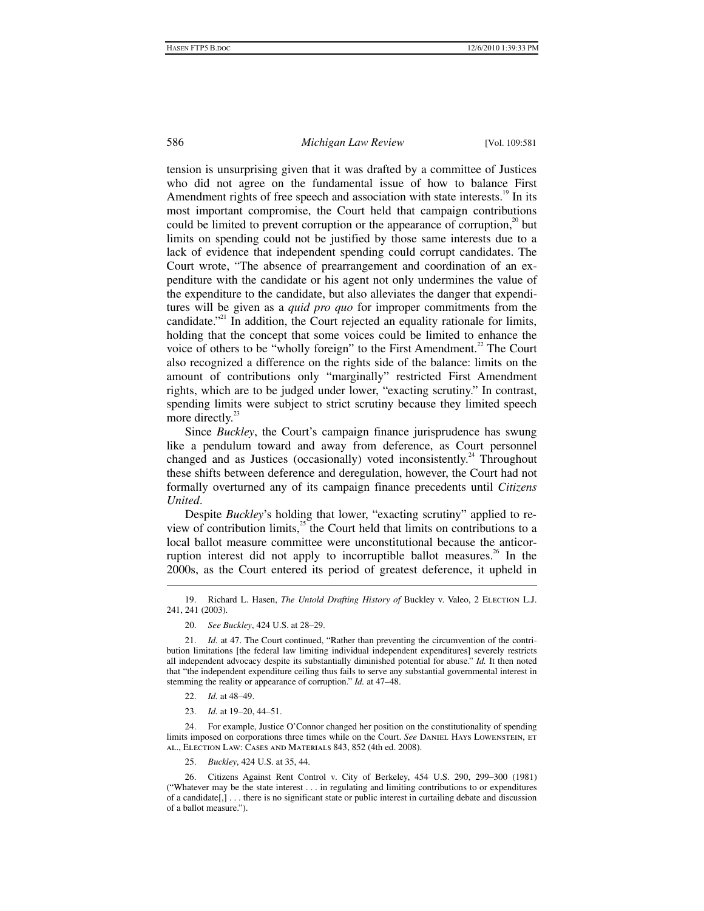tension is unsurprising given that it was drafted by a committee of Justices who did not agree on the fundamental issue of how to balance First Amendment rights of free speech and association with state interests.<sup>19</sup> In its most important compromise, the Court held that campaign contributions could be limited to prevent corruption or the appearance of corruption, $2^{\circ}$  but limits on spending could not be justified by those same interests due to a lack of evidence that independent spending could corrupt candidates. The Court wrote, "The absence of prearrangement and coordination of an expenditure with the candidate or his agent not only undermines the value of the expenditure to the candidate, but also alleviates the danger that expenditures will be given as a *quid pro quo* for improper commitments from the candidate."<sup>21</sup> In addition, the Court rejected an equality rationale for limits, holding that the concept that some voices could be limited to enhance the voice of others to be "wholly foreign" to the First Amendment.<sup>22</sup> The Court also recognized a difference on the rights side of the balance: limits on the amount of contributions only "marginally" restricted First Amendment rights, which are to be judged under lower, "exacting scrutiny." In contrast, spending limits were subject to strict scrutiny because they limited speech more directly.<sup>23</sup>

Since *Buckley*, the Court's campaign finance jurisprudence has swung like a pendulum toward and away from deference, as Court personnel changed and as Justices (occasionally) voted inconsistently.<sup>24</sup> Throughout these shifts between deference and deregulation, however, the Court had not formally overturned any of its campaign finance precedents until *Citizens United*.

Despite *Buckley*'s holding that lower, "exacting scrutiny" applied to review of contribution limits, $^{25}$  the Court held that limits on contributions to a local ballot measure committee were unconstitutional because the anticorruption interest did not apply to incorruptible ballot measures.<sup>26</sup> In the 2000s, as the Court entered its period of greatest deference, it upheld in

22. *Id.* at 48–49.

1

23. *Id.* at 19–20, 44–51.

 24. For example, Justice O'Connor changed her position on the constitutionality of spending limits imposed on corporations three times while on the Court. *See* DANIEL HAYS LOWENSTEIN, ET al., Election Law: Cases and Materials 843, 852 (4th ed. 2008).

25. *Buckley*, 424 U.S. at 35, 44.

 26. Citizens Against Rent Control v. City of Berkeley, 454 U.S. 290, 299–300 (1981) ("Whatever may be the state interest . . . in regulating and limiting contributions to or expenditures of a candidate[,] . . . there is no significant state or public interest in curtailing debate and discussion of a ballot measure.").

 <sup>19.</sup> Richard L. Hasen, *The Untold Drafting History of* Buckley v. Valeo, 2 Election L.J. 241, 241 (2003).

 <sup>20.</sup> *See Buckley*, 424 U.S. at 28–29.

 <sup>21.</sup> *Id.* at 47. The Court continued, "Rather than preventing the circumvention of the contribution limitations [the federal law limiting individual independent expenditures] severely restricts all independent advocacy despite its substantially diminished potential for abuse." *Id.* It then noted that "the independent expenditure ceiling thus fails to serve any substantial governmental interest in stemming the reality or appearance of corruption." *Id.* at 47–48.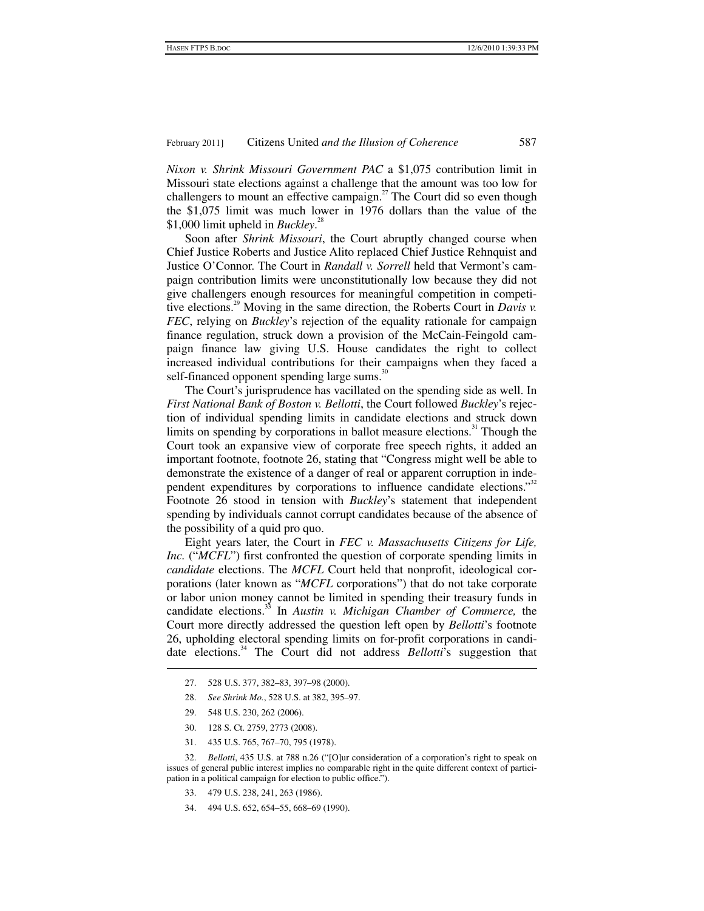*Nixon v. Shrink Missouri Government PAC* a \$1,075 contribution limit in Missouri state elections against a challenge that the amount was too low for challengers to mount an effective campaign.<sup>27</sup> The Court did so even though the \$1,075 limit was much lower in 1976 dollars than the value of the \$1,000 limit upheld in *Buckley*. 28

Soon after *Shrink Missouri*, the Court abruptly changed course when Chief Justice Roberts and Justice Alito replaced Chief Justice Rehnquist and Justice O'Connor. The Court in *Randall v. Sorrell* held that Vermont's campaign contribution limits were unconstitutionally low because they did not give challengers enough resources for meaningful competition in competitive elections.<sup>29</sup> Moving in the same direction, the Roberts Court in *Davis v. FEC*, relying on *Buckley*'s rejection of the equality rationale for campaign finance regulation, struck down a provision of the McCain-Feingold campaign finance law giving U.S. House candidates the right to collect increased individual contributions for their campaigns when they faced a self-financed opponent spending large sums.<sup>30</sup>

The Court's jurisprudence has vacillated on the spending side as well. In *First National Bank of Boston v. Bellotti*, the Court followed *Buckley*'s rejection of individual spending limits in candidate elections and struck down limits on spending by corporations in ballot measure elections.<sup>31</sup> Though the Court took an expansive view of corporate free speech rights, it added an important footnote, footnote 26, stating that "Congress might well be able to demonstrate the existence of a danger of real or apparent corruption in independent expenditures by corporations to influence candidate elections."<sup>32</sup> Footnote 26 stood in tension with *Buckley*'s statement that independent spending by individuals cannot corrupt candidates because of the absence of the possibility of a quid pro quo.

Eight years later, the Court in *FEC v. Massachusetts Citizens for Life, Inc.* ("*MCFL*") first confronted the question of corporate spending limits in *candidate* elections. The *MCFL* Court held that nonprofit, ideological corporations (later known as "*MCFL* corporations") that do not take corporate or labor union money cannot be limited in spending their treasury funds in candidate elections.33 In *Austin v. Michigan Chamber of Commerce,* the Court more directly addressed the question left open by *Bellotti*'s footnote 26, upholding electoral spending limits on for-profit corporations in candidate elections.34 The Court did not address *Bellotti*'s suggestion that

- 27. 528 U.S. 377, 382–83, 397–98 (2000).
- 28. *See Shrink Mo.*, 528 U.S. at 382, 395–97.
- 29. 548 U.S. 230, 262 (2006).

1

- 30. 128 S. Ct. 2759, 2773 (2008).
- 31. 435 U.S. 765, 767–70, 795 (1978).

 32. *Bellotti*, 435 U.S. at 788 n.26 ("[O]ur consideration of a corporation's right to speak on issues of general public interest implies no comparable right in the quite different context of participation in a political campaign for election to public office.").

- 33. 479 U.S. 238, 241, 263 (1986).
- 34. 494 U.S. 652, 654–55, 668–69 (1990).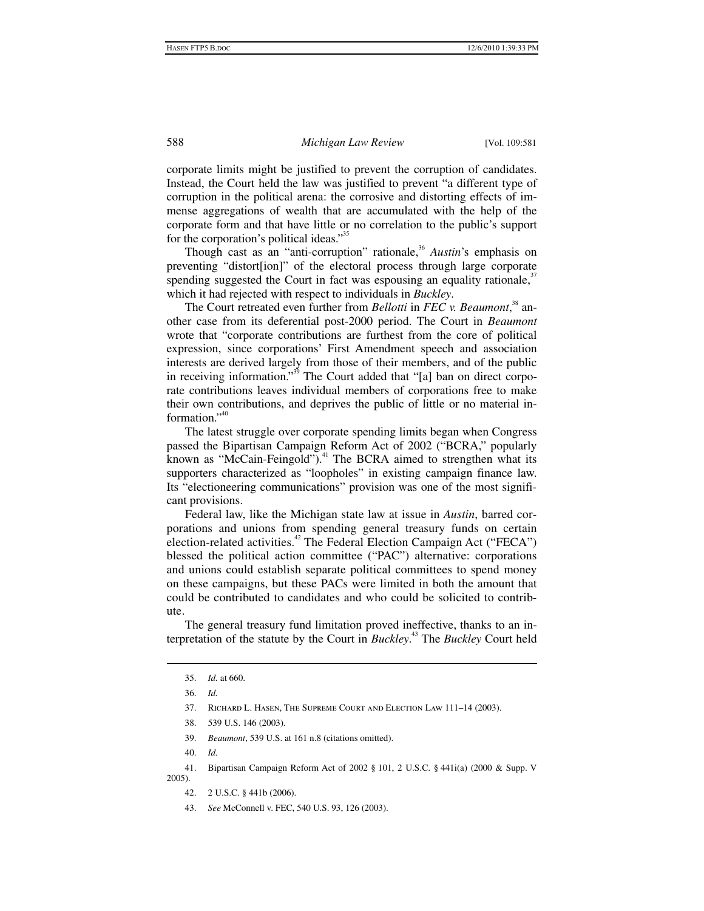corporate limits might be justified to prevent the corruption of candidates. Instead, the Court held the law was justified to prevent "a different type of corruption in the political arena: the corrosive and distorting effects of immense aggregations of wealth that are accumulated with the help of the corporate form and that have little or no correlation to the public's support for the corporation's political ideas."<sup>35</sup>

Though cast as an "anti-corruption" rationale,<sup>36</sup> Austin's emphasis on preventing "distort[ion]" of the electoral process through large corporate spending suggested the Court in fact was espousing an equality rationale, $37$ which it had rejected with respect to individuals in *Buckley*.

The Court retreated even further from *Bellotti* in *FEC v. Beaumont*, 38 another case from its deferential post-2000 period. The Court in *Beaumont* wrote that "corporate contributions are furthest from the core of political expression, since corporations' First Amendment speech and association interests are derived largely from those of their members, and of the public in receiving information."<sup>39</sup> The Court added that "[a] ban on direct corporate contributions leaves individual members of corporations free to make their own contributions, and deprives the public of little or no material information."<sup>40</sup>

The latest struggle over corporate spending limits began when Congress passed the Bipartisan Campaign Reform Act of 2002 ("BCRA," popularly known as "McCain-Feingold").<sup>41</sup> The BCRA aimed to strengthen what its supporters characterized as "loopholes" in existing campaign finance law. Its "electioneering communications" provision was one of the most significant provisions.

Federal law, like the Michigan state law at issue in *Austin*, barred corporations and unions from spending general treasury funds on certain election-related activities.<sup>42</sup> The Federal Election Campaign Act ("FECA") blessed the political action committee ("PAC") alternative: corporations and unions could establish separate political committees to spend money on these campaigns, but these PACs were limited in both the amount that could be contributed to candidates and who could be solicited to contribute.

The general treasury fund limitation proved ineffective, thanks to an interpretation of the statute by the Court in *Buckley*. 43 The *Buckley* Court held

 $\overline{a}$ 

39. *Beaumont*, 539 U.S. at 161 n.8 (citations omitted).

 <sup>35.</sup> *Id.* at 660.

 <sup>36.</sup> *Id.*

 <sup>37.</sup> Richard L. Hasen, The Supreme Court and Election Law 111–14 (2003).

 <sup>38. 539</sup> U.S. 146 (2003).

 <sup>40.</sup> *Id.*

 <sup>41.</sup> Bipartisan Campaign Reform Act of 2002 § 101, 2 U.S.C. § 441i(a) (2000 & Supp. V 2005).

 <sup>42. 2</sup> U.S.C. § 441b (2006).

 <sup>43.</sup> *See* McConnell v. FEC, 540 U.S. 93, 126 (2003).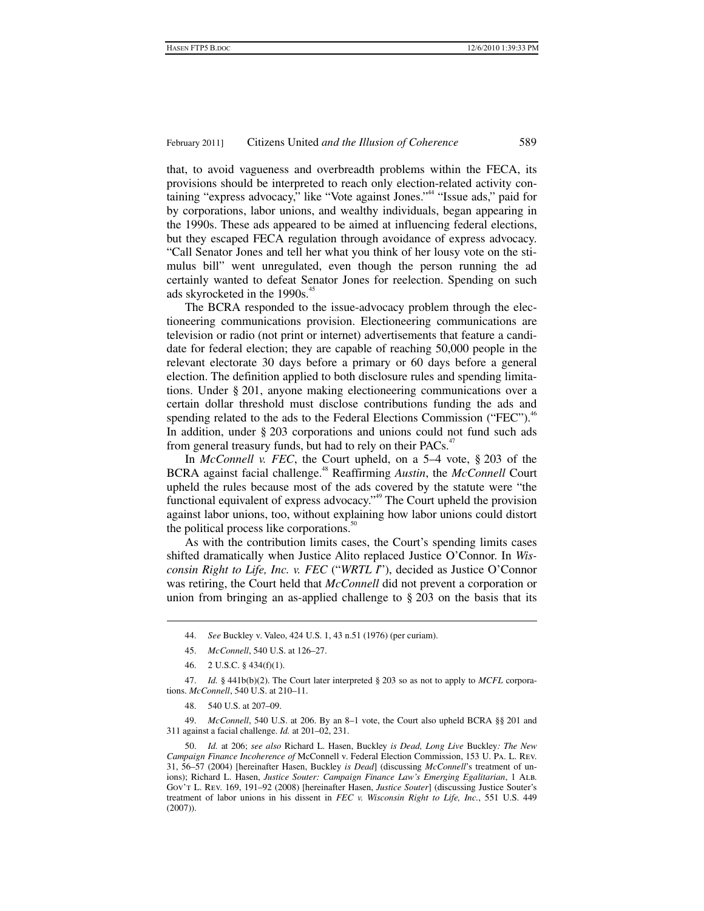that, to avoid vagueness and overbreadth problems within the FECA, its provisions should be interpreted to reach only election-related activity containing "express advocacy," like "Vote against Jones."<sup>44</sup> "Issue ads," paid for by corporations, labor unions, and wealthy individuals, began appearing in the 1990s. These ads appeared to be aimed at influencing federal elections, but they escaped FECA regulation through avoidance of express advocacy. "Call Senator Jones and tell her what you think of her lousy vote on the stimulus bill" went unregulated, even though the person running the ad certainly wanted to defeat Senator Jones for reelection. Spending on such ads skyrocketed in the 1990s.<sup>45</sup>

The BCRA responded to the issue-advocacy problem through the electioneering communications provision. Electioneering communications are television or radio (not print or internet) advertisements that feature a candidate for federal election; they are capable of reaching 50,000 people in the relevant electorate 30 days before a primary or 60 days before a general election. The definition applied to both disclosure rules and spending limitations. Under § 201, anyone making electioneering communications over a certain dollar threshold must disclose contributions funding the ads and spending related to the ads to the Federal Elections Commission ("FEC").<sup>46</sup> In addition, under § 203 corporations and unions could not fund such ads from general treasury funds, but had to rely on their PACs.<sup>47</sup>

In *McConnell v. FEC*, the Court upheld, on a 5–4 vote, § 203 of the BCRA against facial challenge.48 Reaffirming *Austin*, the *McConnell* Court upheld the rules because most of the ads covered by the statute were "the functional equivalent of express advocacy.<sup>"49</sup> The Court upheld the provision against labor unions, too, without explaining how labor unions could distort the political process like corporations. $50$ 

As with the contribution limits cases, the Court's spending limits cases shifted dramatically when Justice Alito replaced Justice O'Connor. In *Wisconsin Right to Life, Inc. v. FEC* ("*WRTL I*"), decided as Justice O'Connor was retiring, the Court held that *McConnell* did not prevent a corporation or union from bringing an as-applied challenge to § 203 on the basis that its

1

 47. *Id.* § 441b(b)(2). The Court later interpreted § 203 so as not to apply to *MCFL* corporations. *McConnell*, 540 U.S. at 210–11.

 49. *McConnell*, 540 U.S. at 206. By an 8–1 vote, the Court also upheld BCRA §§ 201 and 311 against a facial challenge. *Id.* at 201–02, 231.

 50. *Id.* at 206; *see also* Richard L. Hasen, Buckley *is Dead, Long Live* Buckley*: The New Campaign Finance Incoherence of* McConnell v. Federal Election Commission, 153 U. Pa. L. Rev. 31, 56–57 (2004) [hereinafter Hasen, Buckley *is Dead*] (discussing *McConnell*'s treatment of unions); Richard L. Hasen, *Justice Souter: Campaign Finance Law's Emerging Egalitarian*, 1 Alb. Gov't L. Rev. 169, 191–92 (2008) [hereinafter Hasen, *Justice Souter*] (discussing Justice Souter's treatment of labor unions in his dissent in *FEC v. Wisconsin Right to Life, Inc.*, 551 U.S. 449 (2007)).

 <sup>44.</sup> *See* Buckley v. Valeo, 424 U.S. 1, 43 n.51 (1976) (per curiam).

 <sup>45.</sup> *McConnell*, 540 U.S. at 126–27.

 <sup>46. 2</sup> U.S.C. § 434(f)(1).

 <sup>48. 540</sup> U.S. at 207–09.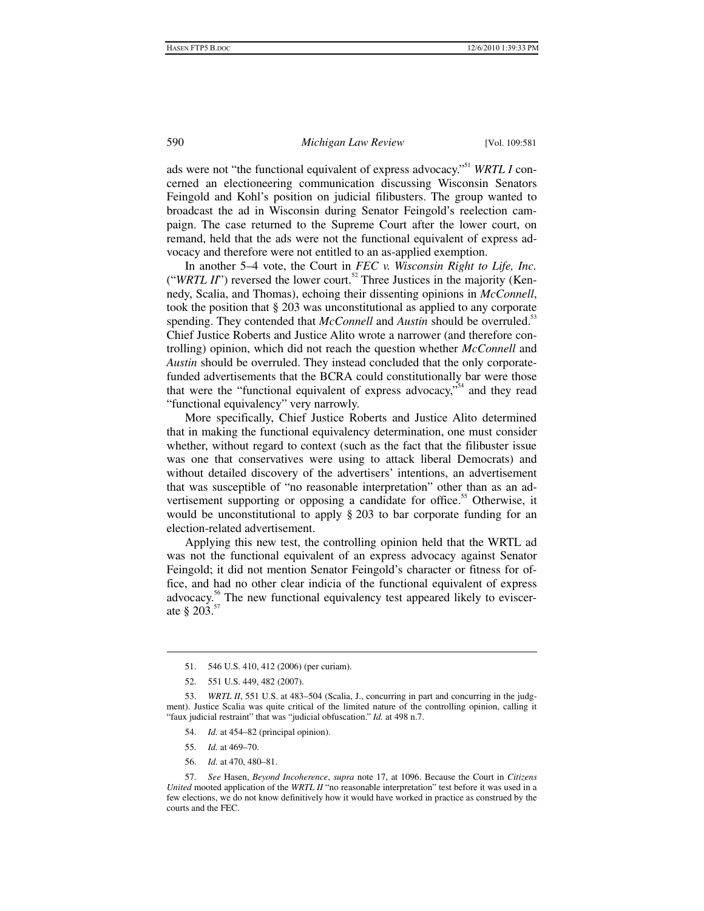ads were not "the functional equivalent of express advocacy."<sup>51</sup> *WRTL I* concerned an electioneering communication discussing Wisconsin Senators Feingold and Kohl's position on judicial filibusters. The group wanted to broadcast the ad in Wisconsin during Senator Feingold's reelection campaign. The case returned to the Supreme Court after the lower court, on remand, held that the ads were not the functional equivalent of express advocacy and therefore were not entitled to an as-applied exemption.

In another 5–4 vote, the Court in *FEC v. Wisconsin Right to Life, Inc.*  ("*WRTL II*") reversed the lower court.<sup>52</sup> Three Justices in the majority (Kennedy, Scalia, and Thomas), echoing their dissenting opinions in *McConnell*, took the position that § 203 was unconstitutional as applied to any corporate spending. They contended that *McConnell* and *Austin* should be overruled.<sup>53</sup> Chief Justice Roberts and Justice Alito wrote a narrower (and therefore controlling) opinion, which did not reach the question whether *McConnell* and *Austin* should be overruled. They instead concluded that the only corporatefunded advertisements that the BCRA could constitutionally bar were those that were the "functional equivalent of express advocacy,"<sup>54</sup> and they read "functional equivalency" very narrowly.

More specifically, Chief Justice Roberts and Justice Alito determined that in making the functional equivalency determination, one must consider whether, without regard to context (such as the fact that the filibuster issue was one that conservatives were using to attack liberal Democrats) and without detailed discovery of the advertisers' intentions, an advertisement that was susceptible of "no reasonable interpretation" other than as an advertisement supporting or opposing a candidate for office.<sup>55</sup> Otherwise, it would be unconstitutional to apply § 203 to bar corporate funding for an election-related advertisement.

Applying this new test, the controlling opinion held that the WRTL ad was not the functional equivalent of an express advocacy against Senator Feingold; it did not mention Senator Feingold's character or fitness for office, and had no other clear indicia of the functional equivalent of express advocacy.<sup>56</sup> The new functional equivalency test appeared likely to eviscerate  $§ 203.57$ 

- 54. *Id.* at 454–82 (principal opinion).
- 55. *Id.* at 469–70.

1

56. *Id.* at 470, 480–81.

 57. *See* Hasen, *Beyond Incoherence*, *supra* note 17, at 1096. Because the Court in *Citizens United* mooted application of the *WRTL II* "no reasonable interpretation" test before it was used in a few elections, we do not know definitively how it would have worked in practice as construed by the courts and the FEC.

 <sup>51. 546</sup> U.S. 410, 412 (2006) (per curiam).

 <sup>52. 551</sup> U.S. 449, 482 (2007).

 <sup>53.</sup> *WRTL II*, 551 U.S. at 483–504 (Scalia, J., concurring in part and concurring in the judgment). Justice Scalia was quite critical of the limited nature of the controlling opinion, calling it "faux judicial restraint" that was "judicial obfuscation." *Id.* at 498 n.7.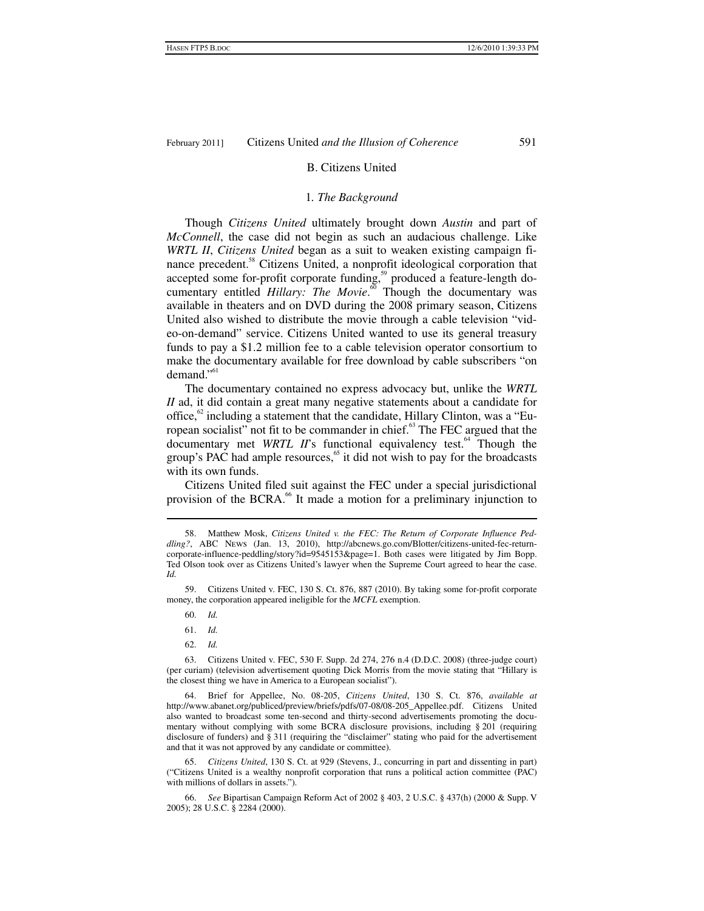#### B. Citizens United

#### 1*. The Background*

Though *Citizens United* ultimately brought down *Austin* and part of *McConnell*, the case did not begin as such an audacious challenge. Like *WRTL II*, *Citizens United* began as a suit to weaken existing campaign finance precedent.<sup>58</sup> Citizens United, a nonprofit ideological corporation that accepted some for-profit corporate funding,<sup>59</sup> produced a feature-length documentary entitled *Hillary: The Movie*.<sup>60</sup> Though the documentary was available in theaters and on DVD during the 2008 primary season, Citizens United also wished to distribute the movie through a cable television "video-on-demand" service. Citizens United wanted to use its general treasury funds to pay a \$1.2 million fee to a cable television operator consortium to make the documentary available for free download by cable subscribers "on  $d$ emand."<sup>61</sup>

The documentary contained no express advocacy but, unlike the *WRTL II* ad, it did contain a great many negative statements about a candidate for office, $62$  including a statement that the candidate, Hillary Clinton, was a "European socialist" not fit to be commander in chief.<sup>63</sup> The FEC argued that the documentary met *WRTL II*'s functional equivalency test.<sup>64</sup> Though the group's PAC had ample resources, $65$  it did not wish to pay for the broadcasts with its own funds.

Citizens United filed suit against the FEC under a special jurisdictional provision of the BCRA.<sup>66</sup> It made a motion for a preliminary injunction to

60. *Id.*

 $\overline{a}$ 

62. *Id.*

 64. Brief for Appellee, No. 08-205, *Citizens United*, 130 S. Ct. 876, *available at*  http://www.abanet.org/publiced/preview/briefs/pdfs/07-08/08-205\_Appellee.pdf. Citizens United also wanted to broadcast some ten-second and thirty-second advertisements promoting the documentary without complying with some BCRA disclosure provisions, including § 201 (requiring disclosure of funders) and § 311 (requiring the "disclaimer" stating who paid for the advertisement and that it was not approved by any candidate or committee).

 65. *Citizens United*, 130 S. Ct. at 929 (Stevens, J., concurring in part and dissenting in part) ("Citizens United is a wealthy nonprofit corporation that runs a political action committee (PAC) with millions of dollars in assets.").

 <sup>58.</sup> Matthew Mosk, *Citizens United v. the FEC: The Return of Corporate Influence Peddling?*, ABC News (Jan. 13, 2010), http://abcnews.go.com/Blotter/citizens-united-fec-returncorporate-influence-peddling/story?id=9545153&page=1. Both cases were litigated by Jim Bopp. Ted Olson took over as Citizens United's lawyer when the Supreme Court agreed to hear the case. *Id.*

 <sup>59.</sup> Citizens United v. FEC, 130 S. Ct. 876, 887 (2010). By taking some for-profit corporate money, the corporation appeared ineligible for the *MCFL* exemption.

 <sup>61.</sup> *Id.*

 <sup>63.</sup> Citizens United v. FEC, 530 F. Supp. 2d 274, 276 n.4 (D.D.C. 2008) (three-judge court) (per curiam) (television advertisement quoting Dick Morris from the movie stating that "Hillary is the closest thing we have in America to a European socialist").

 <sup>66.</sup> *See* Bipartisan Campaign Reform Act of 2002 § 403, 2 U.S.C. § 437(h) (2000 & Supp. V 2005); 28 U.S.C. § 2284 (2000).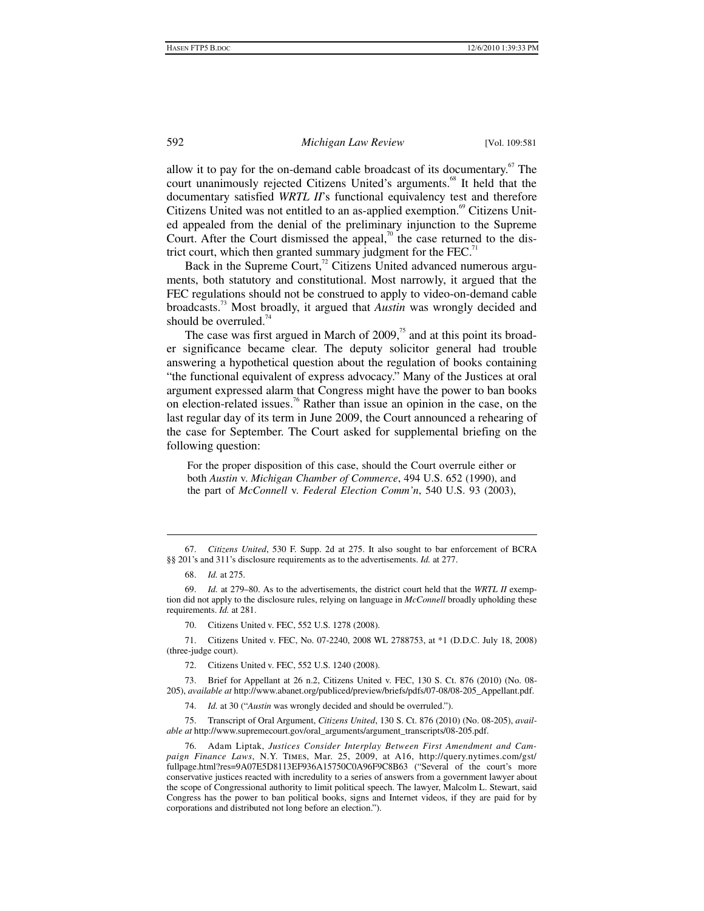allow it to pay for the on-demand cable broadcast of its documentary.<sup>67</sup> The court unanimously rejected Citizens United's arguments.<sup>68</sup> It held that the documentary satisfied *WRTL II*'s functional equivalency test and therefore Citizens United was not entitled to an as-applied exemption.<sup>69</sup> Citizens United appealed from the denial of the preliminary injunction to the Supreme Court. After the Court dismissed the appeal,<sup>70</sup> the case returned to the district court, which then granted summary judgment for the FEC.<sup>71</sup>

Back in the Supreme Court, $\frac{72}{12}$  Citizens United advanced numerous arguments, both statutory and constitutional. Most narrowly, it argued that the FEC regulations should not be construed to apply to video-on-demand cable broadcasts.73 Most broadly, it argued that *Austin* was wrongly decided and should be overruled.<sup>74</sup>

The case was first argued in March of  $2009$ ,<sup>75</sup> and at this point its broader significance became clear. The deputy solicitor general had trouble answering a hypothetical question about the regulation of books containing "the functional equivalent of express advocacy." Many of the Justices at oral argument expressed alarm that Congress might have the power to ban books on election-related issues.<sup>76</sup> Rather than issue an opinion in the case, on the last regular day of its term in June 2009, the Court announced a rehearing of the case for September. The Court asked for supplemental briefing on the following question:

For the proper disposition of this case, should the Court overrule either or both *Austin* v. *Michigan Chamber of Commerce*, 494 U.S. 652 (1990), and the part of *McConnell* v. *Federal Election Comm'n*, 540 U.S. 93 (2003),

 <sup>67.</sup> *Citizens United*, 530 F. Supp. 2d at 275. It also sought to bar enforcement of BCRA §§ 201's and 311's disclosure requirements as to the advertisements. *Id.* at 277.

 <sup>68.</sup> *Id.* at 275.

 <sup>69.</sup> *Id.* at 279–80. As to the advertisements, the district court held that the *WRTL II* exemption did not apply to the disclosure rules, relying on language in *McConnell* broadly upholding these requirements. *Id.* at 281.

 <sup>70.</sup> Citizens United v. FEC, 552 U.S. 1278 (2008).

 <sup>71.</sup> Citizens United v. FEC, No. 07-2240, 2008 WL 2788753, at \*1 (D.D.C. July 18, 2008) (three-judge court).

 <sup>72.</sup> Citizens United v. FEC, 552 U.S. 1240 (2008).

 <sup>73.</sup> Brief for Appellant at 26 n.2, Citizens United v. FEC, 130 S. Ct. 876 (2010) (No. 08- 205), *available at* http://www.abanet.org/publiced/preview/briefs/pdfs/07-08/08-205\_Appellant.pdf.

 <sup>74.</sup> *Id.* at 30 ("*Austin* was wrongly decided and should be overruled.").

 <sup>75.</sup> Transcript of Oral Argument, *Citizens United*, 130 S. Ct. 876 (2010) (No. 08-205), *available at* http://www.supremecourt.gov/oral\_arguments/argument\_transcripts/08-205.pdf.

 <sup>76.</sup> Adam Liptak, *Justices Consider Interplay Between First Amendment and Campaign Finance Laws*, N.Y. Times, Mar. 25, 2009, at A16, http://query.nytimes.com/gst/ fullpage.html?res=9A07E5D8113EF936A15750C0A96F9C8B63 ("Several of the court's more conservative justices reacted with incredulity to a series of answers from a government lawyer about the scope of Congressional authority to limit political speech. The lawyer, Malcolm L. Stewart, said Congress has the power to ban political books, signs and Internet videos, if they are paid for by corporations and distributed not long before an election.").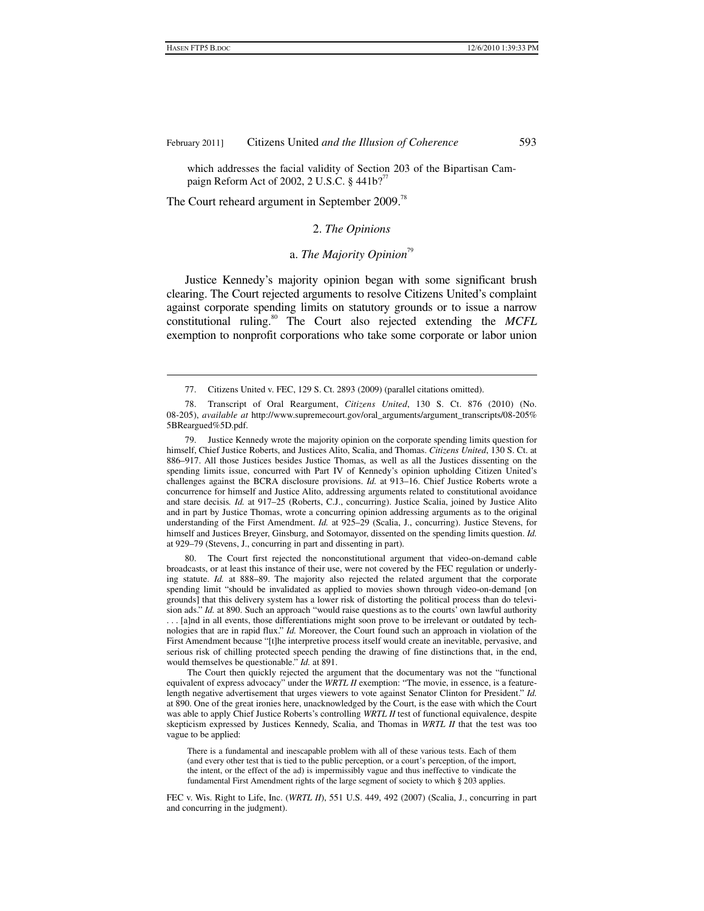which addresses the facial validity of Section 203 of the Bipartisan Campaign Reform Act of 2002, 2 U.S.C.  $\S$  441b?<sup>77</sup>

The Court reheard argument in September 2009.<sup>78</sup>

1

## 2. *The Opinions*

# a. The Majority Opinion<sup>79</sup>

Justice Kennedy's majority opinion began with some significant brush clearing. The Court rejected arguments to resolve Citizens United's complaint against corporate spending limits on statutory grounds or to issue a narrow constitutional ruling.80 The Court also rejected extending the *MCFL* exemption to nonprofit corporations who take some corporate or labor union

 80. The Court first rejected the nonconstitutional argument that video-on-demand cable broadcasts, or at least this instance of their use, were not covered by the FEC regulation or underlying statute. *Id.* at 888–89. The majority also rejected the related argument that the corporate spending limit "should be invalidated as applied to movies shown through video-on-demand [on grounds] that this delivery system has a lower risk of distorting the political process than do television ads." *Id.* at 890. Such an approach "would raise questions as to the courts' own lawful authority . . . [a]nd in all events, those differentiations might soon prove to be irrelevant or outdated by technologies that are in rapid flux." *Id.* Moreover, the Court found such an approach in violation of the First Amendment because "[t]he interpretive process itself would create an inevitable, pervasive, and serious risk of chilling protected speech pending the drawing of fine distinctions that, in the end, would themselves be questionable." *Id.* at 891.

The Court then quickly rejected the argument that the documentary was not the "functional equivalent of express advocacy" under the *WRTL II* exemption: "The movie, in essence, is a featurelength negative advertisement that urges viewers to vote against Senator Clinton for President." *Id.* at 890. One of the great ironies here, unacknowledged by the Court, is the ease with which the Court was able to apply Chief Justice Roberts's controlling *WRTL II* test of functional equivalence, despite skepticism expressed by Justices Kennedy, Scalia, and Thomas in *WRTL II* that the test was too vague to be applied:

There is a fundamental and inescapable problem with all of these various tests. Each of them (and every other test that is tied to the public perception, or a court's perception, of the import, the intent, or the effect of the ad) is impermissibly vague and thus ineffective to vindicate the fundamental First Amendment rights of the large segment of society to which § 203 applies.

FEC v. Wis. Right to Life, Inc. (*WRTL II*), 551 U.S. 449, 492 (2007) (Scalia, J., concurring in part and concurring in the judgment).

 <sup>77.</sup> Citizens United v. FEC, 129 S. Ct. 2893 (2009) (parallel citations omitted).

 <sup>78.</sup> Transcript of Oral Reargument, *Citizens United*, 130 S. Ct. 876 (2010) (No. 08-205), *available at* http://www.supremecourt.gov/oral\_arguments/argument\_transcripts/08-205% 5BReargued%5D.pdf.

 <sup>79.</sup> Justice Kennedy wrote the majority opinion on the corporate spending limits question for himself, Chief Justice Roberts, and Justices Alito, Scalia, and Thomas. *Citizens United*, 130 S. Ct. at 886–917. All those Justices besides Justice Thomas, as well as all the Justices dissenting on the spending limits issue, concurred with Part IV of Kennedy's opinion upholding Citizen United's challenges against the BCRA disclosure provisions. *Id.* at 913–16. Chief Justice Roberts wrote a concurrence for himself and Justice Alito, addressing arguments related to constitutional avoidance and stare decisis*. Id.* at 917–25 (Roberts, C.J., concurring). Justice Scalia, joined by Justice Alito and in part by Justice Thomas, wrote a concurring opinion addressing arguments as to the original understanding of the First Amendment. *Id.* at 925–29 (Scalia, J., concurring). Justice Stevens, for himself and Justices Breyer, Ginsburg, and Sotomayor, dissented on the spending limits question. *Id.* at 929–79 (Stevens, J., concurring in part and dissenting in part).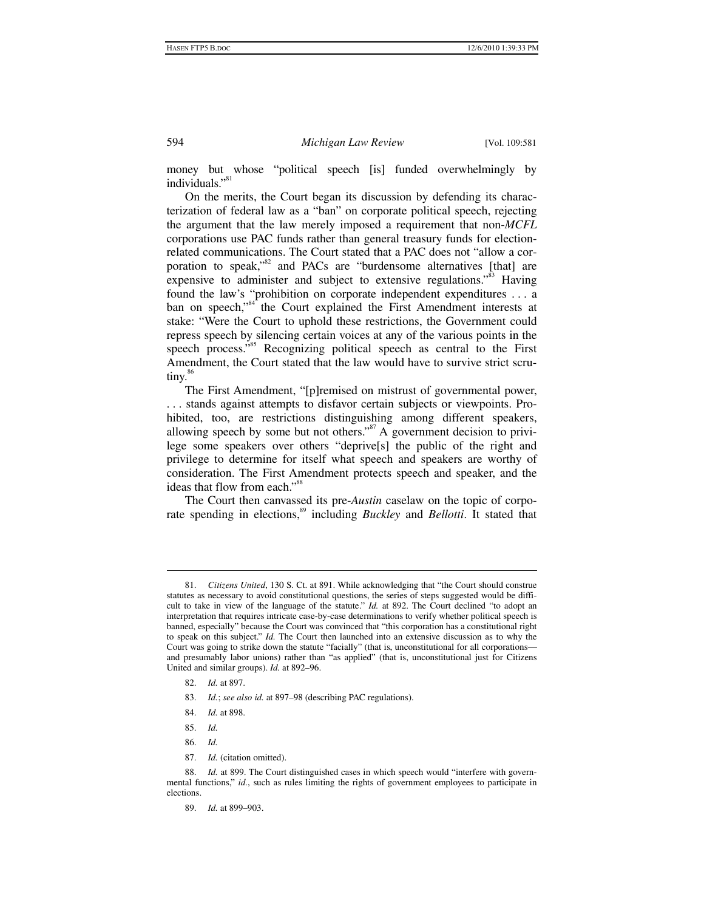money but whose "political speech [is] funded overwhelmingly by individuals."<sup>81</sup>

On the merits, the Court began its discussion by defending its characterization of federal law as a "ban" on corporate political speech, rejecting the argument that the law merely imposed a requirement that non-*MCFL* corporations use PAC funds rather than general treasury funds for electionrelated communications. The Court stated that a PAC does not "allow a corporation to speak," $82$  and PACs are "burdensome alternatives [that] are expensive to administer and subject to extensive regulations.<sup>83</sup> Having found the law's "prohibition on corporate independent expenditures . . . a ban on speech,"<sup>84</sup> the Court explained the First Amendment interests at stake: "Were the Court to uphold these restrictions, the Government could repress speech by silencing certain voices at any of the various points in the speech process."<sup>85</sup> Recognizing political speech as central to the First Amendment, the Court stated that the law would have to survive strict scrutiny.<sup>86</sup>

The First Amendment, "[p]remised on mistrust of governmental power, . . . stands against attempts to disfavor certain subjects or viewpoints. Prohibited, too, are restrictions distinguishing among different speakers, allowing speech by some but not others."<sup>87</sup> A government decision to privilege some speakers over others "deprive[s] the public of the right and privilege to determine for itself what speech and speakers are worthy of consideration. The First Amendment protects speech and speaker, and the ideas that flow from each."<sup>88</sup>

The Court then canvassed its pre-*Austin* caselaw on the topic of corporate spending in elections,<sup>89</sup> including *Buckley* and *Bellotti*. It stated that

- 82. *Id.* at 897.
- 83. *Id.*; *see also id.* at 897–98 (describing PAC regulations).
- 84. *Id.* at 898.
- 85. *Id.*

 $\overline{a}$ 

- 86. *Id.*
- 87. *Id.* (citation omitted).

 88. *Id.* at 899. The Court distinguished cases in which speech would "interfere with governmental functions," *id.*, such as rules limiting the rights of government employees to participate in elections.

 <sup>81.</sup> *Citizens United*, 130 S. Ct. at 891. While acknowledging that "the Court should construe statutes as necessary to avoid constitutional questions, the series of steps suggested would be difficult to take in view of the language of the statute." *Id.* at 892. The Court declined "to adopt an interpretation that requires intricate case-by-case determinations to verify whether political speech is banned, especially" because the Court was convinced that "this corporation has a constitutional right to speak on this subject." *Id.* The Court then launched into an extensive discussion as to why the Court was going to strike down the statute "facially" (that is, unconstitutional for all corporations and presumably labor unions) rather than "as applied" (that is, unconstitutional just for Citizens United and similar groups). *Id.* at 892–96.

 <sup>89.</sup> *Id.* at 899–903.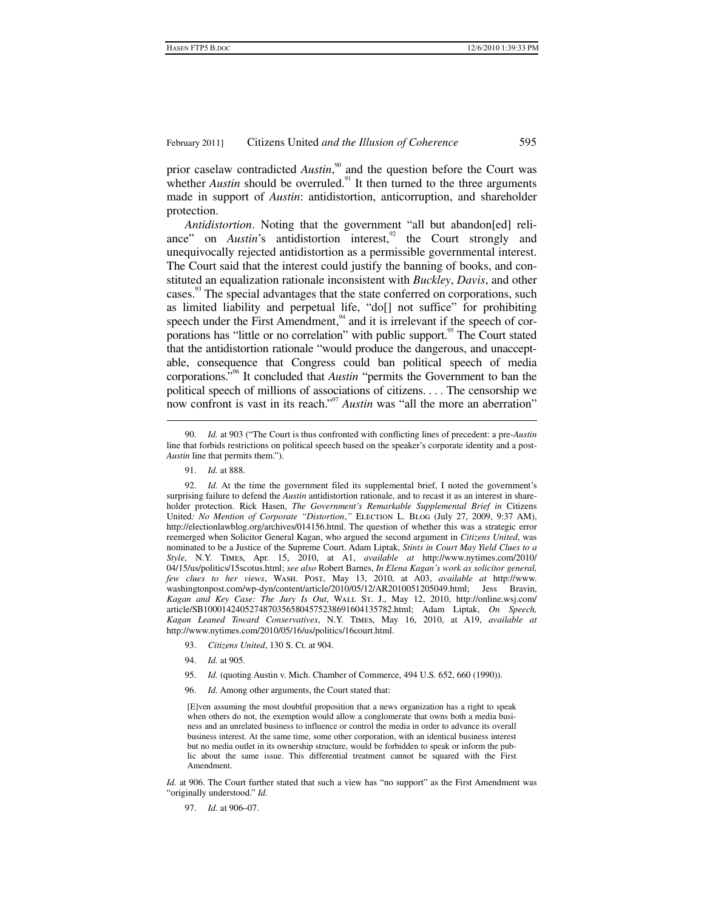prior caselaw contradicted *Austin*,<sup>90</sup> and the question before the Court was whether *Austin* should be overruled.<sup>91</sup> It then turned to the three arguments made in support of *Austin*: antidistortion, anticorruption, and shareholder protection.

*Antidistortion*. Noting that the government "all but abandon[ed] reliance" on *Austin*'s antidistortion interest,<sup>92</sup> the Court strongly and unequivocally rejected antidistortion as a permissible governmental interest. The Court said that the interest could justify the banning of books, and constituted an equalization rationale inconsistent with *Buckley*, *Davis*, and other cases.<sup>93</sup> The special advantages that the state conferred on corporations, such as limited liability and perpetual life, "do[] not suffice" for prohibiting speech under the First Amendment, $94$  and it is irrelevant if the speech of corporations has "little or no correlation" with public support.<sup>95</sup> The Court stated that the antidistortion rationale "would produce the dangerous, and unacceptable, consequence that Congress could ban political speech of media corporations."96 It concluded that *Austin* "permits the Government to ban the political speech of millions of associations of citizens. . . . The censorship we now confront is vast in its reach."<sup>97</sup> *Austin* was "all the more an aberration"

91. *Id.* at 888.

1

- 93. *Citizens United*, 130 S. Ct. at 904.
- 94. *Id.* at 905.
- 95. *Id.* (quoting Austin v. Mich. Chamber of Commerce, 494 U.S. 652, 660 (1990)).
- 96. *Id.* Among other arguments, the Court stated that:

[E]ven assuming the most doubtful proposition that a news organization has a right to speak when others do not, the exemption would allow a conglomerate that owns both a media business and an unrelated business to influence or control the media in order to advance its overall business interest. At the same time, some other corporation, with an identical business interest but no media outlet in its ownership structure, would be forbidden to speak or inform the public about the same issue. This differential treatment cannot be squared with the First Amendment.

*Id.* at 906. The Court further stated that such a view has "no support" as the First Amendment was "originally understood." *Id.*

97. *Id.* at 906–07.

 <sup>90.</sup> *Id.* at 903 ("The Court is thus confronted with conflicting lines of precedent: a pre-*Austin* line that forbids restrictions on political speech based on the speaker's corporate identity and a post-*Austin* line that permits them.").

 <sup>92.</sup> *Id.* At the time the government filed its supplemental brief, I noted the government's surprising failure to defend the *Austin* antidistortion rationale, and to recast it as an interest in shareholder protection. Rick Hasen, *The Government's Remarkable Supplemental Brief in* Citizens United: No Mention of Corporate "Distortion," ELECTION L. BLOG (July 27, 2009, 9:37 AM), http://electionlawblog.org/archives/014156.html. The question of whether this was a strategic error reemerged when Solicitor General Kagan, who argued the second argument in *Citizens United*, was nominated to be a Justice of the Supreme Court. Adam Liptak, *Stints in Court May Yield Clues to a Style*, N.Y. Times, Apr. 15, 2010, at A1, *available at* http://www.nytimes.com/2010/ 04/15/us/politics/15scotus.html; *see also* Robert Barnes, *In Elena Kagan's work as solicitor general, few clues to her views*, Wash. Post, May 13, 2010, at A03, *available at* http://www. washingtonpost.com/wp-dyn/content/article/2010/05/12/AR2010051205049.html; Jess Bravin, *Kagan and Key Case: The Jury Is Out*, Wall St. J., May 12, 2010, http://online.wsj.com/ article/SB10001424052748703565804575238691604135782.html; Adam Liptak, *On Speech, Kagan Leaned Toward Conservatives*, N.Y. Times, May 16, 2010, at A19, *available at* http://www.nytimes.com/2010/05/16/us/politics/16court.html.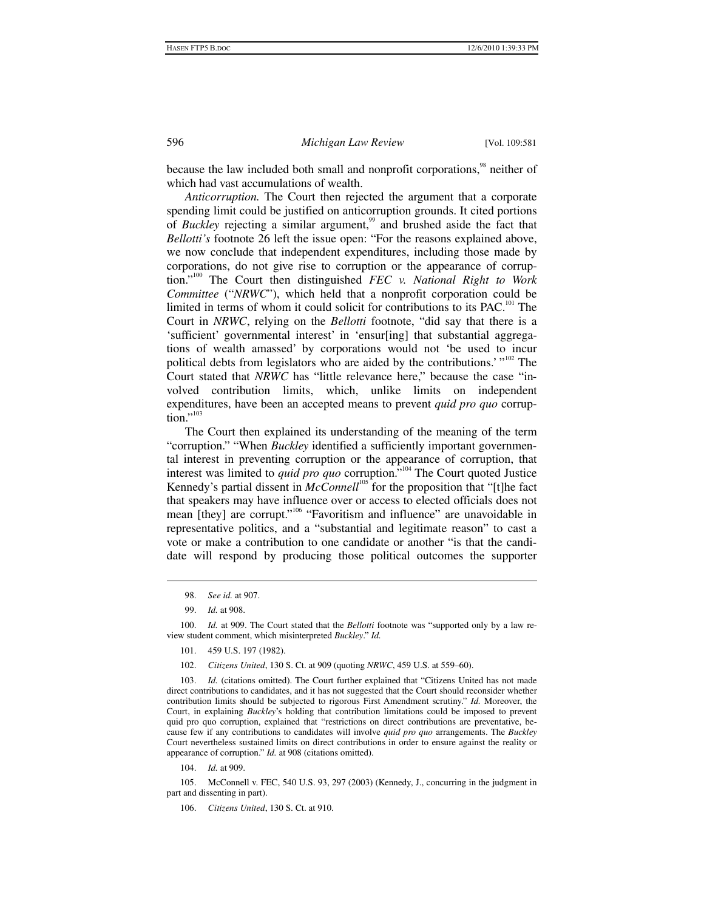because the law included both small and nonprofit corporations,<sup>98</sup> neither of which had vast accumulations of wealth.

*Anticorruption.* The Court then rejected the argument that a corporate spending limit could be justified on anticorruption grounds. It cited portions of *Buckley* rejecting a similar argument,<sup>99</sup> and brushed aside the fact that *Bellotti's* footnote 26 left the issue open: "For the reasons explained above, we now conclude that independent expenditures, including those made by corporations, do not give rise to corruption or the appearance of corruption."100 The Court then distinguished *FEC v. National Right to Work Committee* ("*NRWC*"), which held that a nonprofit corporation could be limited in terms of whom it could solicit for contributions to its PAC.<sup>101</sup> The Court in *NRWC*, relying on the *Bellotti* footnote, "did say that there is a 'sufficient' governmental interest' in 'ensur[ing] that substantial aggregations of wealth amassed' by corporations would not 'be used to incur political debts from legislators who are aided by the contributions.' "<sup>102</sup> The Court stated that *NRWC* has "little relevance here," because the case "involved contribution limits, which, unlike limits on independent expenditures, have been an accepted means to prevent *quid pro quo* corruption."<sup>103</sup>

The Court then explained its understanding of the meaning of the term "corruption." "When *Buckley* identified a sufficiently important governmental interest in preventing corruption or the appearance of corruption, that interest was limited to *quid pro quo* corruption."104 The Court quoted Justice Kennedy's partial dissent in *McConnell*<sup>105</sup> for the proposition that "[t]he fact that speakers may have influence over or access to elected officials does not mean [they] are corrupt."<sup>106</sup> "Favoritism and influence" are unavoidable in representative politics, and a "substantial and legitimate reason" to cast a vote or make a contribution to one candidate or another "is that the candidate will respond by producing those political outcomes the supporter

 $\overline{a}$ 

104. *Id.* at 909.

 <sup>98.</sup> *See id.* at 907.

 <sup>99.</sup> *Id.* at 908.

 <sup>100.</sup> *Id.* at 909. The Court stated that the *Bellotti* footnote was "supported only by a law review student comment, which misinterpreted *Buckley*." *Id.*

 <sup>101. 459</sup> U.S. 197 (1982).

 <sup>102.</sup> *Citizens United*, 130 S. Ct. at 909 (quoting *NRWC*, 459 U.S. at 559–60).

<sup>103.</sup> *Id.* (citations omitted). The Court further explained that "Citizens United has not made direct contributions to candidates, and it has not suggested that the Court should reconsider whether contribution limits should be subjected to rigorous First Amendment scrutiny." *Id.* Moreover, the Court, in explaining *Buckley*'s holding that contribution limitations could be imposed to prevent quid pro quo corruption, explained that "restrictions on direct contributions are preventative, because few if any contributions to candidates will involve *quid pro quo* arrangements. The *Buckley* Court nevertheless sustained limits on direct contributions in order to ensure against the reality or appearance of corruption." *Id.* at 908 (citations omitted).

 <sup>105.</sup> McConnell v. FEC, 540 U.S. 93, 297 (2003) (Kennedy, J., concurring in the judgment in part and dissenting in part).

 <sup>106.</sup> *Citizens United*, 130 S. Ct. at 910.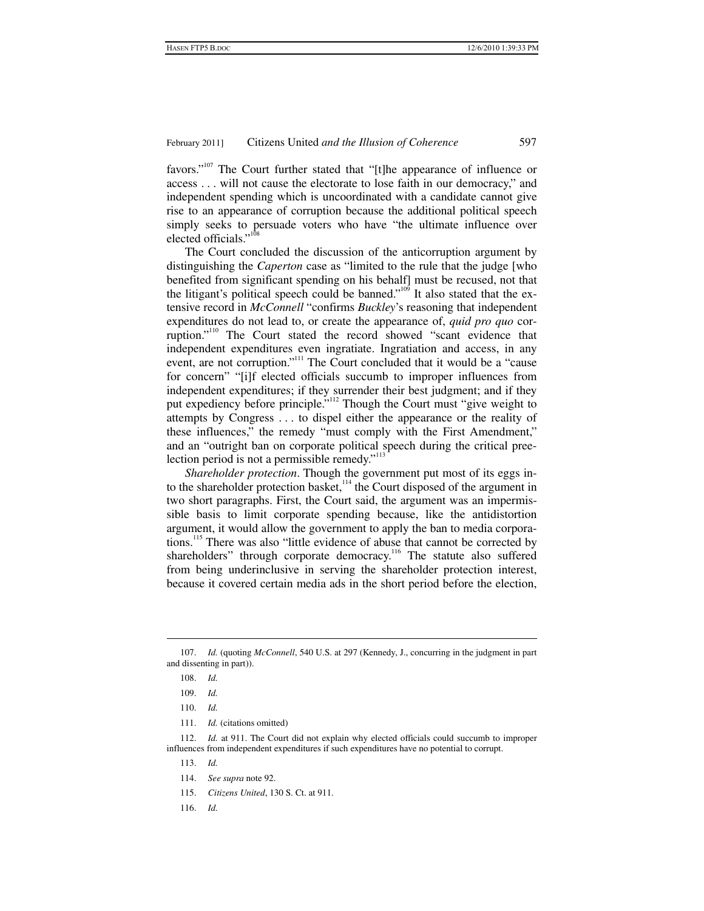favors."<sup>107</sup> The Court further stated that "[t]he appearance of influence or access . . . will not cause the electorate to lose faith in our democracy," and independent spending which is uncoordinated with a candidate cannot give rise to an appearance of corruption because the additional political speech simply seeks to persuade voters who have "the ultimate influence over elected officials."<sup>108</sup>

The Court concluded the discussion of the anticorruption argument by distinguishing the *Caperton* case as "limited to the rule that the judge [who benefited from significant spending on his behalf] must be recused, not that the litigant's political speech could be banned."<sup>109</sup> It also stated that the extensive record in *McConnell* "confirms *Buckley*'s reasoning that independent expenditures do not lead to, or create the appearance of, *quid pro quo* corruption."<sup>110</sup> The Court stated the record showed "scant evidence that independent expenditures even ingratiate. Ingratiation and access, in any event, are not corruption."<sup>111</sup> The Court concluded that it would be a "cause" for concern" "[i]f elected officials succumb to improper influences from independent expenditures; if they surrender their best judgment; and if they put expediency before principle."112 Though the Court must "give weight to attempts by Congress . . . to dispel either the appearance or the reality of these influences," the remedy "must comply with the First Amendment," and an "outright ban on corporate political speech during the critical preelection period is not a permissible remedy." $113$ 

*Shareholder protection*. Though the government put most of its eggs into the shareholder protection basket,  $114$  the Court disposed of the argument in two short paragraphs. First, the Court said, the argument was an impermissible basis to limit corporate spending because, like the antidistortion argument, it would allow the government to apply the ban to media corporations.<sup>115</sup> There was also "little evidence of abuse that cannot be corrected by shareholders" through corporate democracy.<sup>116</sup> The statute also suffered from being underinclusive in serving the shareholder protection interest, because it covered certain media ads in the short period before the election,

1

 112. *Id.* at 911. The Court did not explain why elected officials could succumb to improper influences from independent expenditures if such expenditures have no potential to corrupt.

- 113. *Id.*
- 114. *See supra* note 92.
- 115. *Citizens United*, 130 S. Ct. at 911.
- 116. *Id.*

 <sup>107.</sup> *Id.* (quoting *McConnell*, 540 U.S. at 297 (Kennedy, J., concurring in the judgment in part and dissenting in part)).

 <sup>108.</sup> *Id.*

 <sup>109.</sup> *Id.*

 <sup>110.</sup> *Id.*

 <sup>111.</sup> *Id.* (citations omitted)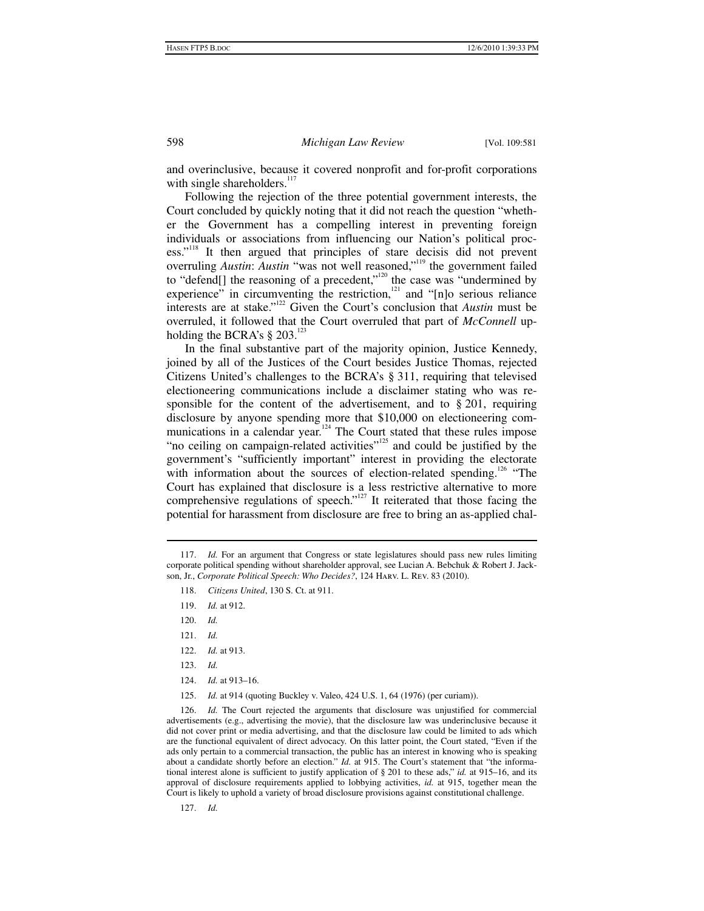and overinclusive, because it covered nonprofit and for-profit corporations with single shareholders. $117$ 

Following the rejection of the three potential government interests, the Court concluded by quickly noting that it did not reach the question "whether the Government has a compelling interest in preventing foreign individuals or associations from influencing our Nation's political process."<sup>118</sup> It then argued that principles of stare decisis did not prevent overruling *Austin*: *Austin* "was not well reasoned,"<sup>119</sup> the government failed to "defend[] the reasoning of a precedent,"<sup>120</sup> the case was "undermined by experience" in circumventing the restriction, $121$  and "[n]o serious reliance interests are at stake."122 Given the Court's conclusion that *Austin* must be overruled, it followed that the Court overruled that part of *McConnell* upholding the BCRA's  $\S 203$ .<sup>123</sup>

In the final substantive part of the majority opinion, Justice Kennedy, joined by all of the Justices of the Court besides Justice Thomas, rejected Citizens United's challenges to the BCRA's § 311, requiring that televised electioneering communications include a disclaimer stating who was responsible for the content of the advertisement, and to  $\S 201$ , requiring disclosure by anyone spending more that \$10,000 on electioneering communications in a calendar year.<sup>124</sup> The Court stated that these rules impose "no ceiling on campaign-related activities"<sup>125</sup> and could be justified by the government's "sufficiently important" interest in providing the electorate with information about the sources of election-related spending.<sup>126</sup> "The Court has explained that disclosure is a less restrictive alternative to more comprehensive regulations of speech."<sup>127</sup> It reiterated that those facing the potential for harassment from disclosure are free to bring an as-applied chal-

- 118. *Citizens United*, 130 S. Ct. at 911.
- 119. *Id.* at 912.

1

- 120. *Id.*
- 121. *Id.*
- 122. *Id.* at 913.
- 123. *Id.*
- 124. *Id.* at 913–16.
- 125. *Id.* at 914 (quoting Buckley v. Valeo, 424 U.S. 1, 64 (1976) (per curiam)).

 126. *Id.* The Court rejected the arguments that disclosure was unjustified for commercial advertisements (e.g., advertising the movie), that the disclosure law was underinclusive because it did not cover print or media advertising, and that the disclosure law could be limited to ads which are the functional equivalent of direct advocacy. On this latter point, the Court stated, "Even if the ads only pertain to a commercial transaction, the public has an interest in knowing who is speaking about a candidate shortly before an election." *Id.* at 915. The Court's statement that "the informational interest alone is sufficient to justify application of § 201 to these ads," *id.* at 915–16, and its approval of disclosure requirements applied to lobbying activities, *id.* at 915, together mean the Court is likely to uphold a variety of broad disclosure provisions against constitutional challenge.

127. *Id.*

 <sup>117.</sup> *Id.* For an argument that Congress or state legislatures should pass new rules limiting corporate political spending without shareholder approval, see Lucian A. Bebchuk & Robert J. Jackson, Jr., *Corporate Political Speech: Who Decides?*, 124 Harv. L. Rev. 83 (2010).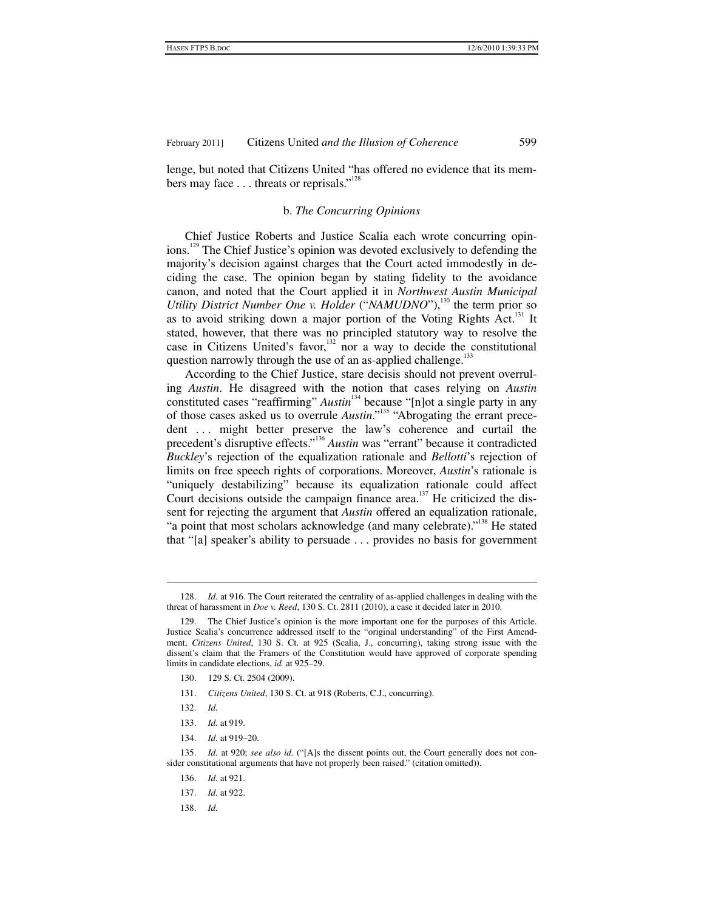lenge, but noted that Citizens United "has offered no evidence that its members may face  $\dots$  threats or reprisals."<sup>128</sup>

#### b. *The Concurring Opinions*

Chief Justice Roberts and Justice Scalia each wrote concurring opinions.<sup>129</sup> The Chief Justice's opinion was devoted exclusively to defending the majority's decision against charges that the Court acted immodestly in deciding the case. The opinion began by stating fidelity to the avoidance canon, and noted that the Court applied it in *Northwest Austin Municipal Utility District Number One v. Holder* ("*NAMUDNO*"),<sup>130</sup> the term prior so as to avoid striking down a major portion of the Voting Rights  $Act.$ <sup>131</sup> It stated, however, that there was no principled statutory way to resolve the case in Citizens United's favor, $\frac{132}{2}$  nor a way to decide the constitutional question narrowly through the use of an as-applied challenge. $^{133}$ 

According to the Chief Justice, stare decisis should not prevent overruling *Austin*. He disagreed with the notion that cases relying on *Austin* constituted cases "reaffirming" *Austin*<sup>134</sup> because "[n]ot a single party in any of those cases asked us to overrule *Austin*."<sup>135</sup> "Abrogating the errant precedent ... might better preserve the law's coherence and curtail the precedent's disruptive effects."<sup>136</sup> *Austin* was "errant" because it contradicted *Buckley*'s rejection of the equalization rationale and *Bellotti*'s rejection of limits on free speech rights of corporations. Moreover, *Austin*'s rationale is "uniquely destabilizing" because its equalization rationale could affect Court decisions outside the campaign finance area.<sup>137</sup> He criticized the dissent for rejecting the argument that *Austin* offered an equalization rationale, "a point that most scholars acknowledge (and many celebrate)."<sup>138</sup> He stated that "[a] speaker's ability to persuade . . . provides no basis for government

- 130. 129 S. Ct. 2504 (2009).
- 131. *Citizens United*, 130 S. Ct. at 918 (Roberts, C.J., concurring).
- 132. *Id.*

- 133. *Id.* at 919.
- 134. *Id.* at 919–20.

- 136. *Id.* at 921.
- 137. *Id.* at 922.
- 138. *Id.*

 <sup>128.</sup> *Id.* at 916. The Court reiterated the centrality of as-applied challenges in dealing with the threat of harassment in *Doe v. Reed*, 130 S. Ct. 2811 (2010), a case it decided later in 2010.

 <sup>129.</sup> The Chief Justice's opinion is the more important one for the purposes of this Article. Justice Scalia's concurrence addressed itself to the "original understanding" of the First Amendment, *Citizens United*, 130 S. Ct. at 925 (Scalia, J., concurring), taking strong issue with the dissent's claim that the Framers of the Constitution would have approved of corporate spending limits in candidate elections, *id.* at 925–29.

 <sup>135.</sup> *Id.* at 920; *see also id.* ("[A]s the dissent points out, the Court generally does not consider constitutional arguments that have not properly been raised." (citation omitted)).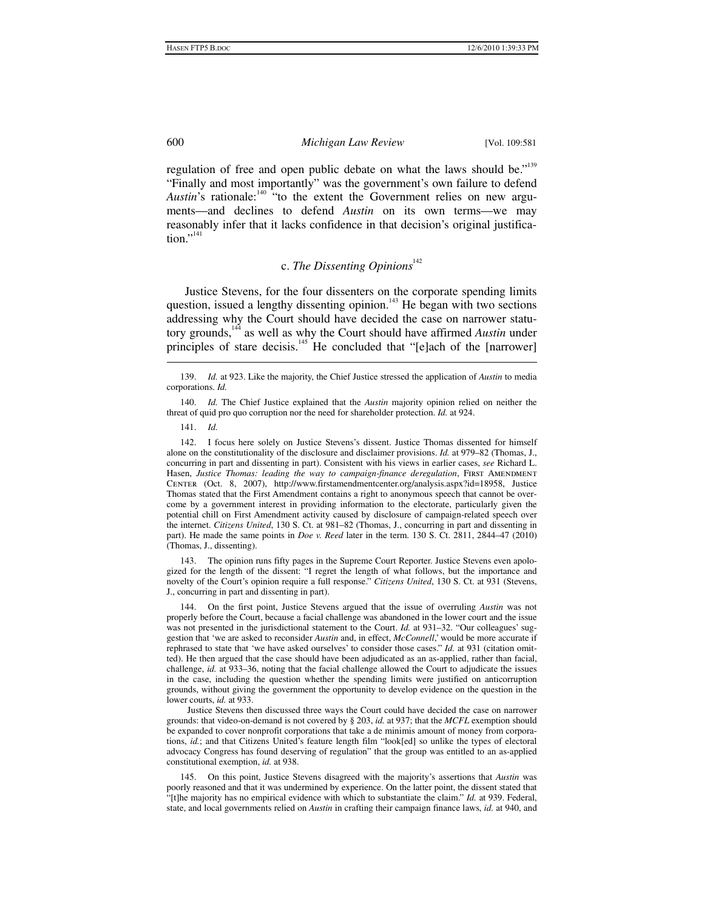regulation of free and open public debate on what the laws should be."<sup>139</sup> "Finally and most importantly" was the government's own failure to defend *Austin*'s rationale:<sup>140</sup> "to the extent the Government relies on new arguments—and declines to defend *Austin* on its own terms—we may reasonably infer that it lacks confidence in that decision's original justifica- $\text{tion.}^{\cdot,141}$ 

# c. The Dissenting Opinions<sup>142</sup>

Justice Stevens, for the four dissenters on the corporate spending limits question, issued a lengthy dissenting opinion.<sup>143</sup> He began with two sections addressing why the Court should have decided the case on narrower statutory grounds,144 as well as why the Court should have affirmed *Austin* under principles of stare decisis.<sup>145</sup> He concluded that "[e]ach of the [narrower]

 140. *Id.* The Chief Justice explained that the *Austin* majority opinion relied on neither the threat of quid pro quo corruption nor the need for shareholder protection. *Id.* at 924.

141. *Id.*

1

 142. I focus here solely on Justice Stevens's dissent. Justice Thomas dissented for himself alone on the constitutionality of the disclosure and disclaimer provisions. *Id.* at 979–82 (Thomas, J., concurring in part and dissenting in part). Consistent with his views in earlier cases, *see* Richard L. Hasen, *Justice Thomas: leading the way to campaign-finance deregulation*, FIRST AMENDMENT Center (Oct. 8, 2007), http://www.firstamendmentcenter.org/analysis.aspx?id=18958, Justice Thomas stated that the First Amendment contains a right to anonymous speech that cannot be overcome by a government interest in providing information to the electorate, particularly given the potential chill on First Amendment activity caused by disclosure of campaign-related speech over the internet. *Citizens United*, 130 S. Ct. at 981–82 (Thomas, J., concurring in part and dissenting in part). He made the same points in *Doe v. Reed* later in the term. 130 S. Ct. 2811, 2844–47 (2010) (Thomas, J., dissenting).

 143. The opinion runs fifty pages in the Supreme Court Reporter. Justice Stevens even apologized for the length of the dissent: "I regret the length of what follows, but the importance and novelty of the Court's opinion require a full response." *Citizens United*, 130 S. Ct. at 931 (Stevens, J., concurring in part and dissenting in part).

 144. On the first point, Justice Stevens argued that the issue of overruling *Austin* was not properly before the Court, because a facial challenge was abandoned in the lower court and the issue was not presented in the jurisdictional statement to the Court. *Id.* at 931–32. "Our colleagues' suggestion that 'we are asked to reconsider *Austin* and, in effect, *McConnell*,' would be more accurate if rephrased to state that 'we have asked ourselves' to consider those cases." *Id.* at 931 (citation omitted). He then argued that the case should have been adjudicated as an as-applied, rather than facial, challenge, *id.* at 933–36, noting that the facial challenge allowed the Court to adjudicate the issues in the case, including the question whether the spending limits were justified on anticorruption grounds, without giving the government the opportunity to develop evidence on the question in the lower courts, *id.* at 933.

Justice Stevens then discussed three ways the Court could have decided the case on narrower grounds: that video-on-demand is not covered by § 203, *id.* at 937; that the *MCFL* exemption should be expanded to cover nonprofit corporations that take a de minimis amount of money from corporations, *id.*; and that Citizens United's feature length film "look[ed] so unlike the types of electoral advocacy Congress has found deserving of regulation" that the group was entitled to an as-applied constitutional exemption, *id.* at 938.

 145. On this point, Justice Stevens disagreed with the majority's assertions that *Austin* was poorly reasoned and that it was undermined by experience. On the latter point, the dissent stated that "[t]he majority has no empirical evidence with which to substantiate the claim." *Id.* at 939. Federal, state, and local governments relied on *Austin* in crafting their campaign finance laws, *id.* at 940, and

 <sup>139.</sup> *Id.* at 923. Like the majority, the Chief Justice stressed the application of *Austin* to media corporations. *Id.*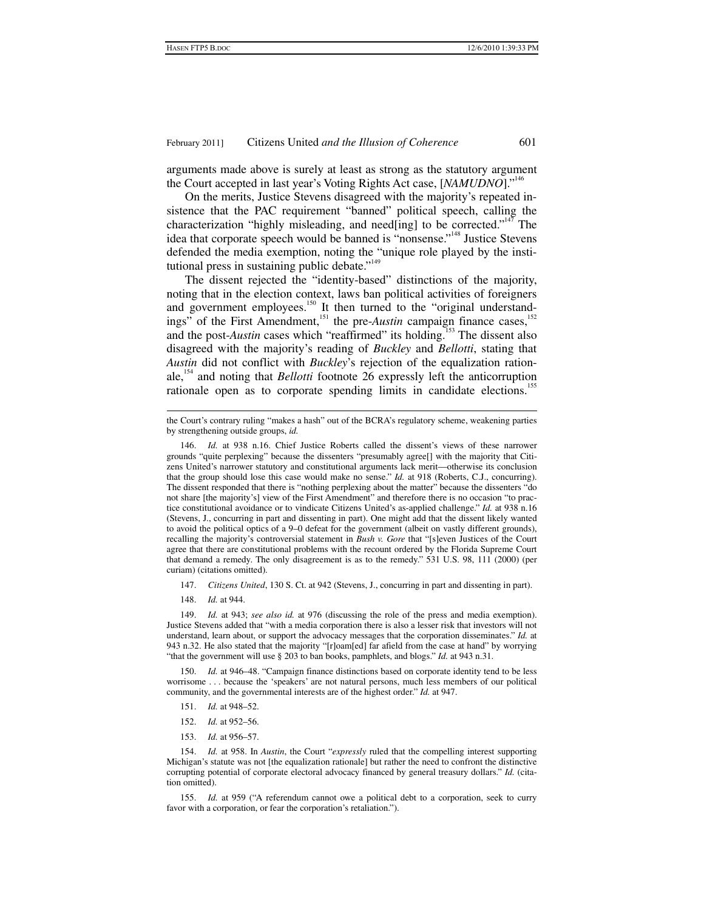arguments made above is surely at least as strong as the statutory argument the Court accepted in last year's Voting Rights Act case, [*NAMUDNO*]."146

On the merits, Justice Stevens disagreed with the majority's repeated insistence that the PAC requirement "banned" political speech, calling the characterization "highly misleading, and need[ing] to be corrected."<sup>147</sup> The idea that corporate speech would be banned is "nonsense."<sup>148</sup> Justice Stevens defended the media exemption, noting the "unique role played by the institutional press in sustaining public debate."<sup>149</sup>

The dissent rejected the "identity-based" distinctions of the majority, noting that in the election context, laws ban political activities of foreigners and government employees.<sup>150</sup> It then turned to the "original understandings" of the First Amendment,<sup>151</sup> the pre-*Austin* campaign finance cases,<sup>152</sup> and the post-*Austin* cases which "reaffirmed" its holding.<sup>153</sup> The dissent also disagreed with the majority's reading of *Buckley* and *Bellotti*, stating that *Austin* did not conflict with *Buckley*'s rejection of the equalization rationale,154 and noting that *Bellotti* footnote 26 expressly left the anticorruption rationale open as to corporate spending limits in candidate elections.<sup>155</sup>

- 147. *Citizens United*, 130 S. Ct. at 942 (Stevens, J., concurring in part and dissenting in part).
- 148. *Id.* at 944.

1

 149. *Id.* at 943; *see also id.* at 976 (discussing the role of the press and media exemption). Justice Stevens added that "with a media corporation there is also a lesser risk that investors will not understand, learn about, or support the advocacy messages that the corporation disseminates." *Id.* at 943 n.32. He also stated that the majority "[r]oam[ed] far afield from the case at hand" by worrying "that the government will use § 203 to ban books, pamphlets, and blogs." *Id.* at 943 n.31.

 150. *Id.* at 946–48. "Campaign finance distinctions based on corporate identity tend to be less worrisome . . . because the 'speakers' are not natural persons, much less members of our political community, and the governmental interests are of the highest order." *Id.* at 947.

- 151. *Id.* at 948–52.
- 152. *Id.* at 952–56.
- 153. *Id.* at 956–57.

 154. *Id.* at 958. In *Austin*, the Court "*expressly* ruled that the compelling interest supporting Michigan's statute was not [the equalization rationale] but rather the need to confront the distinctive corrupting potential of corporate electoral advocacy financed by general treasury dollars." *Id.* (citation omitted).

 155. *Id.* at 959 ("A referendum cannot owe a political debt to a corporation, seek to curry favor with a corporation, or fear the corporation's retaliation.").

the Court's contrary ruling "makes a hash" out of the BCRA's regulatory scheme, weakening parties by strengthening outside groups, *id.*

 <sup>146.</sup> *Id.* at 938 n.16. Chief Justice Roberts called the dissent's views of these narrower grounds "quite perplexing" because the dissenters "presumably agree[] with the majority that Citizens United's narrower statutory and constitutional arguments lack merit—otherwise its conclusion that the group should lose this case would make no sense." *Id.* at 918 (Roberts, C.J., concurring). The dissent responded that there is "nothing perplexing about the matter" because the dissenters "do not share [the majority's] view of the First Amendment" and therefore there is no occasion "to practice constitutional avoidance or to vindicate Citizens United's as-applied challenge." *Id.* at 938 n.16 (Stevens, J., concurring in part and dissenting in part). One might add that the dissent likely wanted to avoid the political optics of a 9–0 defeat for the government (albeit on vastly different grounds), recalling the majority's controversial statement in *Bush v. Gore* that "[s]even Justices of the Court agree that there are constitutional problems with the recount ordered by the Florida Supreme Court that demand a remedy. The only disagreement is as to the remedy." 531 U.S. 98, 111 (2000) (per curiam) (citations omitted).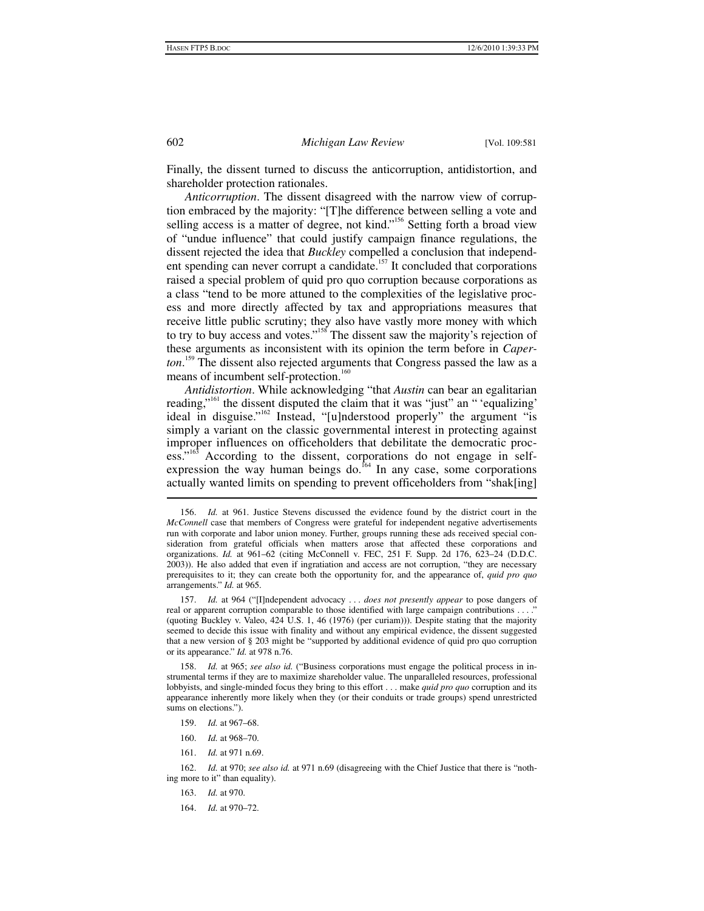Finally, the dissent turned to discuss the anticorruption, antidistortion, and shareholder protection rationales.

*Anticorruption*. The dissent disagreed with the narrow view of corruption embraced by the majority: "[T]he difference between selling a vote and selling access is a matter of degree, not kind."<sup>156</sup> Setting forth a broad view of "undue influence" that could justify campaign finance regulations, the dissent rejected the idea that *Buckley* compelled a conclusion that independent spending can never corrupt a candidate.<sup>157</sup> It concluded that corporations raised a special problem of quid pro quo corruption because corporations as a class "tend to be more attuned to the complexities of the legislative process and more directly affected by tax and appropriations measures that receive little public scrutiny; they also have vastly more money with which to try to buy access and votes."<sup>158</sup> The dissent saw the majority's rejection of these arguments as inconsistent with its opinion the term before in *Caperton*. 159 The dissent also rejected arguments that Congress passed the law as a means of incumbent self-protection.<sup>160</sup>

*Antidistortion*. While acknowledging "that *Austin* can bear an egalitarian reading,"<sup>161</sup> the dissent disputed the claim that it was "just" an " 'equalizing' ideal in disguise."162 Instead, "[u]nderstood properly" the argument "is simply a variant on the classic governmental interest in protecting against improper influences on officeholders that debilitate the democratic process."<sup>163</sup> According to the dissent, corporations do not engage in selfexpression the way human beings do.<sup>164</sup> In any case, some corporations actually wanted limits on spending to prevent officeholders from "shak[ing]

 158. *Id.* at 965; *see also id.* ("Business corporations must engage the political process in instrumental terms if they are to maximize shareholder value. The unparalleled resources, professional lobbyists, and single-minded focus they bring to this effort . . . make *quid pro quo* corruption and its appearance inherently more likely when they (or their conduits or trade groups) spend unrestricted sums on elections.").

- 159. *Id.* at 967–68.
- 160. *Id.* at 968–70.
- 161. *Id.* at 971 n.69.

 162. *Id.* at 970; *see also id.* at 971 n.69 (disagreeing with the Chief Justice that there is "nothing more to it" than equality).

- 163. *Id.* at 970.
- 164. *Id.* at 970–72.

 $\overline{a}$ 

 <sup>156.</sup> *Id.* at 961. Justice Stevens discussed the evidence found by the district court in the *McConnell* case that members of Congress were grateful for independent negative advertisements run with corporate and labor union money. Further, groups running these ads received special consideration from grateful officials when matters arose that affected these corporations and organizations. *Id.* at 961–62 (citing McConnell v. FEC, 251 F. Supp. 2d 176, 623–24 (D.D.C. 2003)). He also added that even if ingratiation and access are not corruption, "they are necessary prerequisites to it; they can create both the opportunity for, and the appearance of, *quid pro quo* arrangements." *Id.* at 965.

 <sup>157.</sup> *Id.* at 964 ("[I]ndependent advocacy . . . *does not presently appear* to pose dangers of real or apparent corruption comparable to those identified with large campaign contributions . . . ? (quoting Buckley v. Valeo, 424 U.S. 1, 46 (1976) (per curiam))). Despite stating that the majority seemed to decide this issue with finality and without any empirical evidence, the dissent suggested that a new version of § 203 might be "supported by additional evidence of quid pro quo corruption or its appearance." *Id.* at 978 n.76.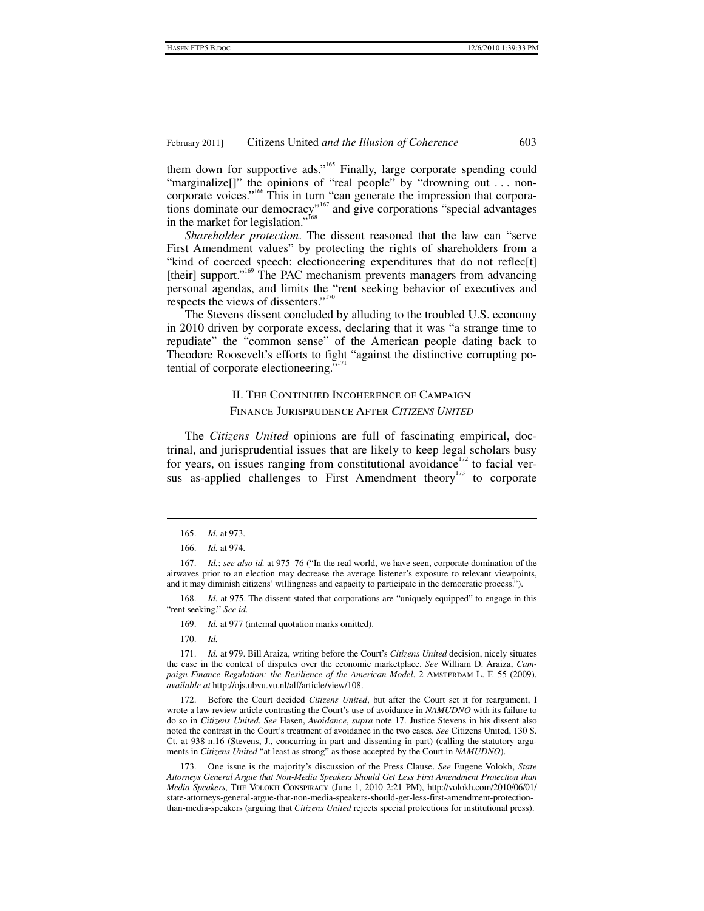them down for supportive ads."<sup>165</sup> Finally, large corporate spending could "marginalize<sup>[]"</sup> the opinions of "real people" by "drowning out . . . noncorporate voices."<sup>166</sup> This in turn "can generate the impression that corporations dominate our democracy"<sup>167</sup> and give corporations "special advantages in the market for legislation."<sup>168</sup>

*Shareholder protection*. The dissent reasoned that the law can "serve First Amendment values" by protecting the rights of shareholders from a "kind of coerced speech: electioneering expenditures that do not reflec[t] [their] support."<sup>169</sup> The PAC mechanism prevents managers from advancing personal agendas, and limits the "rent seeking behavior of executives and respects the views of dissenters."<sup>170</sup>

The Stevens dissent concluded by alluding to the troubled U.S. economy in 2010 driven by corporate excess, declaring that it was "a strange time to repudiate" the "common sense" of the American people dating back to Theodore Roosevelt's efforts to fight "against the distinctive corrupting potential of corporate electioneering."

# II. The Continued Incoherence of Campaign Finance Jurisprudence After *CITIZENS UNITED*

The *Citizens United* opinions are full of fascinating empirical, doctrinal, and jurisprudential issues that are likely to keep legal scholars busy for years, on issues ranging from constitutional avoidance<sup>172</sup> to facial versus as-applied challenges to First Amendment theory<sup>173</sup> to corporate

 $\overline{a}$ 

Id. at 975. The dissent stated that corporations are "uniquely equipped" to engage in this "rent seeking." *See id.*

169. *Id.* at 977 (internal quotation marks omitted).

170. *Id.*

 171. *Id.* at 979. Bill Araiza, writing before the Court's *Citizens United* decision, nicely situates the case in the context of disputes over the economic marketplace. *See* William D. Araiza, *Campaign Finance Regulation: the Resilience of the American Model*, 2 AMSTERDAM L. F. 55 (2009), *available at* http://ojs.ubvu.vu.nl/alf/article/view/108.

 172. Before the Court decided *Citizens United*, but after the Court set it for reargument, I wrote a law review article contrasting the Court's use of avoidance in *NAMUDNO* with its failure to do so in *Citizens United*. *See* Hasen, *Avoidance*, *supra* note 17. Justice Stevens in his dissent also noted the contrast in the Court's treatment of avoidance in the two cases. *See* Citizens United, 130 S. Ct. at 938 n.16 (Stevens, J., concurring in part and dissenting in part) (calling the statutory arguments in *Citizens United* "at least as strong" as those accepted by the Court in *NAMUDNO*).

 173. One issue is the majority's discussion of the Press Clause. *See* Eugene Volokh, *State Attorneys General Argue that Non-Media Speakers Should Get Less First Amendment Protection than Media Speakers*, The Volokh Conspiracy (June 1, 2010 2:21 PM), http://volokh.com/2010/06/01/ state-attorneys-general-argue-that-non-media-speakers-should-get-less-first-amendment-protectionthan-media-speakers (arguing that *Citizens United* rejects special protections for institutional press).

 <sup>165.</sup> *Id.* at 973.

 <sup>166.</sup> *Id.* at 974.

 <sup>167.</sup> *Id.*; *see also id.* at 975–76 ("In the real world, we have seen, corporate domination of the airwaves prior to an election may decrease the average listener's exposure to relevant viewpoints, and it may diminish citizens' willingness and capacity to participate in the democratic process.").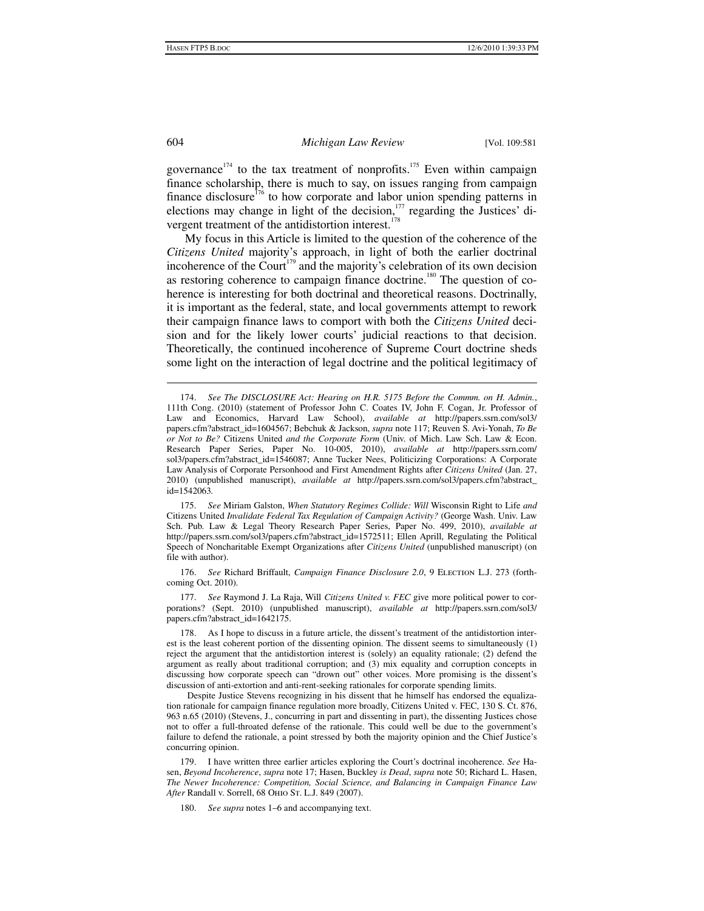governance $174$  to the tax treatment of nonprofits.<sup>175</sup> Even within campaign finance scholarship, there is much to say, on issues ranging from campaign finance disclosure<sup>176</sup> to how corporate and labor union spending patterns in elections may change in light of the decision,<sup>177</sup> regarding the Justices' divergent treatment of the antidistortion interest.<sup>178</sup>

My focus in this Article is limited to the question of the coherence of the *Citizens United* majority's approach, in light of both the earlier doctrinal incoherence of the Court<sup>179</sup> and the majority's celebration of its own decision as restoring coherence to campaign finance doctrine.<sup>180</sup> The question of coherence is interesting for both doctrinal and theoretical reasons. Doctrinally, it is important as the federal, state, and local governments attempt to rework their campaign finance laws to comport with both the *Citizens United* decision and for the likely lower courts' judicial reactions to that decision. Theoretically, the continued incoherence of Supreme Court doctrine sheds some light on the interaction of legal doctrine and the political legitimacy of

 175. *See* Miriam Galston, *When Statutory Regimes Collide: Will* Wisconsin Right to Life *and*  Citizens United *Invalidate Federal Tax Regulation of Campaign Activity?* (George Wash. Univ. Law Sch. Pub. Law & Legal Theory Research Paper Series, Paper No. 499, 2010), *available at* http://papers.ssrn.com/sol3/papers.cfm?abstract\_id=1572511; Ellen Aprill, Regulating the Political Speech of Noncharitable Exempt Organizations after *Citizens United* (unpublished manuscript) (on file with author).

 176. *See* Richard Briffault, *Campaign Finance Disclosure 2.0*, 9 Election L.J. 273 (forthcoming Oct. 2010).

 177. *See* Raymond J. La Raja, Will *Citizens United v. FEC* give more political power to corporations? (Sept. 2010) (unpublished manuscript), *available at* http://papers.ssrn.com/sol3/ papers.cfm?abstract\_id=1642175.

 178. As I hope to discuss in a future article, the dissent's treatment of the antidistortion interest is the least coherent portion of the dissenting opinion. The dissent seems to simultaneously (1) reject the argument that the antidistortion interest is (solely) an equality rationale; (2) defend the argument as really about traditional corruption; and (3) mix equality and corruption concepts in discussing how corporate speech can "drown out" other voices. More promising is the dissent's discussion of anti-extortion and anti-rent-seeking rationales for corporate spending limits.

Despite Justice Stevens recognizing in his dissent that he himself has endorsed the equalization rationale for campaign finance regulation more broadly, Citizens United v. FEC, 130 S. Ct. 876, 963 n.65 (2010) (Stevens, J., concurring in part and dissenting in part), the dissenting Justices chose not to offer a full-throated defense of the rationale. This could well be due to the government's failure to defend the rationale, a point stressed by both the majority opinion and the Chief Justice's concurring opinion.

 179. I have written three earlier articles exploring the Court's doctrinal incoherence. *See* Hasen, *Beyond Incoherence*, *supra* note 17; Hasen, Buckley *is Dead*, *supra* note 50; Richard L. Hasen, *The Newer Incoherence: Competition, Social Science, and Balancing in Campaign Finance Law After* Randall v. Sorrell, 68 Ohio St. L.J. 849 (2007).

180. *See supra* notes 1–6 and accompanying text.

 <sup>174.</sup> *See The DISCLOSURE Act: Hearing on H.R. 5175 Before the Commm. on H. Admin.*, 111th Cong. (2010) (statement of Professor John C. Coates IV, John F. Cogan, Jr. Professor of Law and Economics, Harvard Law School), *available at* http://papers.ssrn.com/sol3/ papers.cfm?abstract\_id=1604567; Bebchuk & Jackson, *supra* note 117; Reuven S. Avi-Yonah, *To Be or Not to Be?* Citizens United *and the Corporate Form* (Univ. of Mich. Law Sch. Law & Econ. Research Paper Series, Paper No. 10-005, 2010), *available at* http://papers.ssrn.com/ sol3/papers.cfm?abstract\_id=1546087; Anne Tucker Nees, Politicizing Corporations: A Corporate Law Analysis of Corporate Personhood and First Amendment Rights after *Citizens United* (Jan. 27, 2010) (unpublished manuscript), *available at* http://papers.ssrn.com/sol3/papers.cfm?abstract\_ id=1542063*.*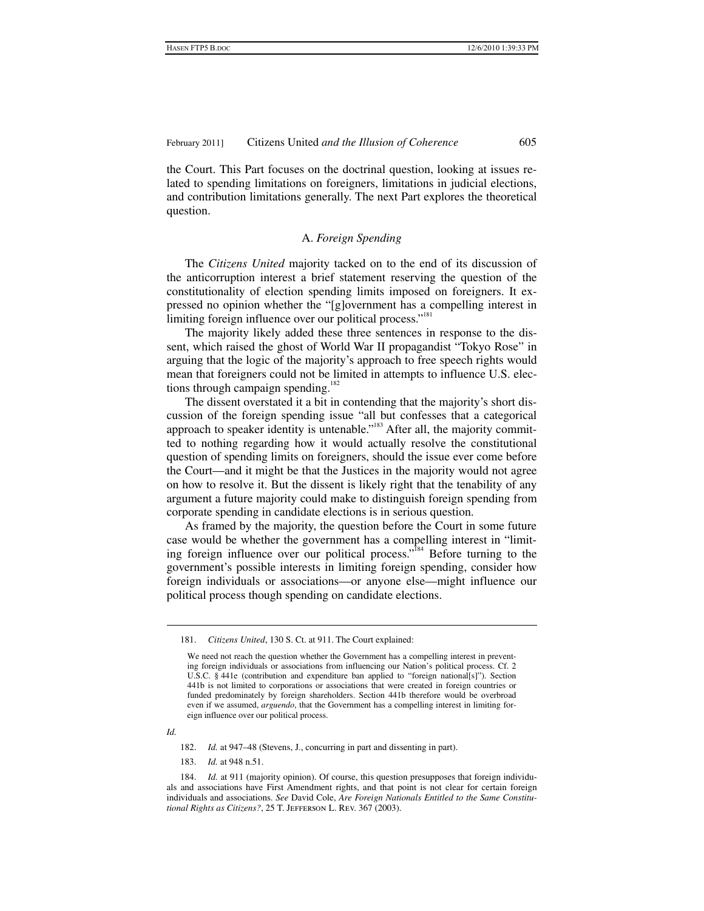the Court. This Part focuses on the doctrinal question, looking at issues related to spending limitations on foreigners, limitations in judicial elections, and contribution limitations generally. The next Part explores the theoretical question.

### A. *Foreign Spending*

The *Citizens United* majority tacked on to the end of its discussion of the anticorruption interest a brief statement reserving the question of the constitutionality of election spending limits imposed on foreigners. It expressed no opinion whether the "[g]overnment has a compelling interest in limiting foreign influence over our political process."<sup>181</sup>

The majority likely added these three sentences in response to the dissent, which raised the ghost of World War II propagandist "Tokyo Rose" in arguing that the logic of the majority's approach to free speech rights would mean that foreigners could not be limited in attempts to influence U.S. elections through campaign spending.<sup>182</sup>

The dissent overstated it a bit in contending that the majority's short discussion of the foreign spending issue "all but confesses that a categorical approach to speaker identity is untenable."<sup>183</sup> After all, the majority committed to nothing regarding how it would actually resolve the constitutional question of spending limits on foreigners, should the issue ever come before the Court—and it might be that the Justices in the majority would not agree on how to resolve it. But the dissent is likely right that the tenability of any argument a future majority could make to distinguish foreign spending from corporate spending in candidate elections is in serious question.

As framed by the majority, the question before the Court in some future case would be whether the government has a compelling interest in "limiting foreign influence over our political process."<sup>184</sup> Before turning to the government's possible interests in limiting foreign spending, consider how foreign individuals or associations—or anyone else—might influence our political process though spending on candidate elections.

*Id.*

 $\overline{a}$ 

182. *Id.* at 947–48 (Stevens, J., concurring in part and dissenting in part).

183. *Id.* at 948 n.51.

 184. *Id.* at 911 (majority opinion). Of course, this question presupposes that foreign individuals and associations have First Amendment rights, and that point is not clear for certain foreign individuals and associations. *See* David Cole, *Are Foreign Nationals Entitled to the Same Constitutional Rights as Citizens?*, 25 T. Jefferson L. Rev. 367 (2003).

 <sup>181.</sup> *Citizens United*, 130 S. Ct. at 911. The Court explained:

We need not reach the question whether the Government has a compelling interest in preventing foreign individuals or associations from influencing our Nation's political process. Cf. 2 U.S.C. § 441e (contribution and expenditure ban applied to "foreign national[s]"). Section 441b is not limited to corporations or associations that were created in foreign countries or funded predominately by foreign shareholders. Section 441b therefore would be overbroad even if we assumed, *arguendo*, that the Government has a compelling interest in limiting foreign influence over our political process.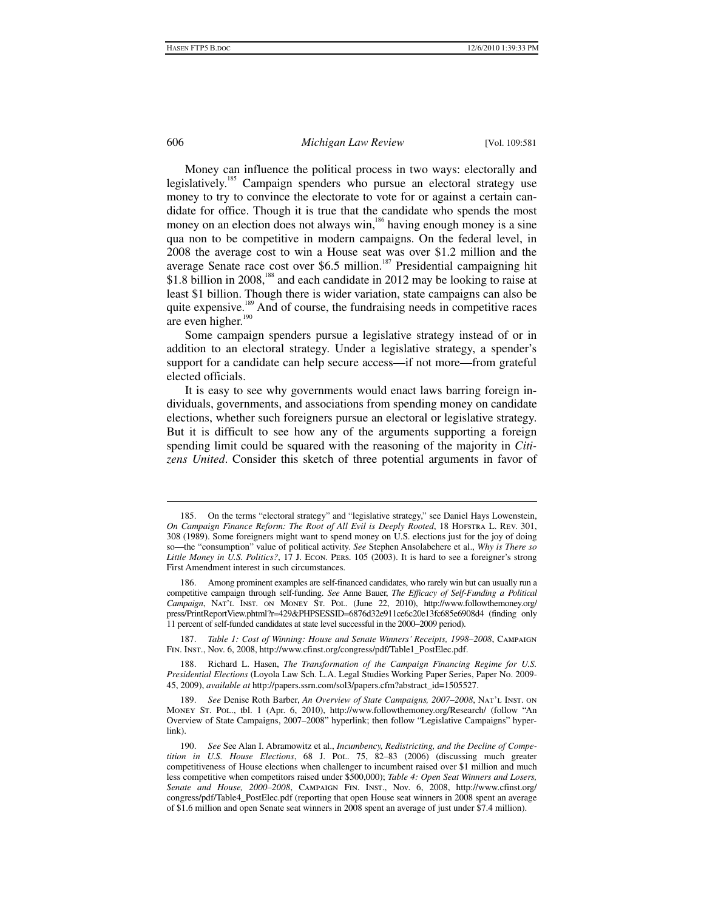#### 606 *Michigan Law Review* [Vol. 109:581

Money can influence the political process in two ways: electorally and legislatively.<sup>185</sup> Campaign spenders who pursue an electoral strategy use money to try to convince the electorate to vote for or against a certain candidate for office. Though it is true that the candidate who spends the most money on an election does not always win,<sup>186</sup> having enough money is a sine qua non to be competitive in modern campaigns. On the federal level, in 2008 the average cost to win a House seat was over \$1.2 million and the average Senate race cost over \$6.5 million.<sup>187</sup> Presidential campaigning hit \$1.8 billion in 2008,<sup>188</sup> and each candidate in 2012 may be looking to raise at least \$1 billion. Though there is wider variation, state campaigns can also be quite expensive.<sup>189</sup> And of course, the fundraising needs in competitive races are even higher. $190$ 

Some campaign spenders pursue a legislative strategy instead of or in addition to an electoral strategy. Under a legislative strategy, a spender's support for a candidate can help secure access—if not more—from grateful elected officials.

It is easy to see why governments would enact laws barring foreign individuals, governments, and associations from spending money on candidate elections, whether such foreigners pursue an electoral or legislative strategy. But it is difficult to see how any of the arguments supporting a foreign spending limit could be squared with the reasoning of the majority in *Citizens United*. Consider this sketch of three potential arguments in favor of

 $\overline{a}$ 

 <sup>185.</sup> On the terms "electoral strategy" and "legislative strategy," see Daniel Hays Lowenstein, *On Campaign Finance Reform: The Root of All Evil is Deeply Rooted*, 18 Hofstra L. Rev. 301, 308 (1989). Some foreigners might want to spend money on U.S. elections just for the joy of doing so—the "consumption" value of political activity. *See* Stephen Ansolabehere et al., *Why is There so Little Money in U.S. Politics?*, 17 J. Econ. Pers. 105 (2003). It is hard to see a foreigner's strong First Amendment interest in such circumstances.

 <sup>186.</sup> Among prominent examples are self-financed candidates, who rarely win but can usually run a competitive campaign through self-funding. *See* Anne Bauer, *The Efficacy of Self-Funding a Political Campaign*, Nat'l Inst. on Money St. Pol. (June 22, 2010), http://www.followthemoney.org/ press/PrintReportView.phtml?r=429&PHPSESSID=6876d32e911ce6c20e13fc685e6908d4 (finding only 11 percent of self-funded candidates at state level successful in the 2000–2009 period).

Table 1: Cost of Winning: House and Senate Winners' Receipts, 1998-2008, CAMPAIGN Fin. Inst., Nov. 6, 2008, http://www.cfinst.org/congress/pdf/Table1\_PostElec.pdf.

 <sup>188.</sup> Richard L. Hasen, *The Transformation of the Campaign Financing Regime for U.S. Presidential Elections* (Loyola Law Sch. L.A. Legal Studies Working Paper Series, Paper No. 2009- 45, 2009), *available at* http://papers.ssrn.com/sol3/papers.cfm?abstract\_id=1505527.

 <sup>189.</sup> *See* Denise Roth Barber, *An Overview of State Campaigns, 2007–2008*, Nat'l Inst. on Money St. Pol., tbl. 1 (Apr. 6, 2010), http://www.followthemoney.org/Research/ (follow "An Overview of State Campaigns, 2007–2008" hyperlink; then follow "Legislative Campaigns" hyperlink).

 <sup>190.</sup> *See* See Alan I. Abramowitz et al., *Incumbency, Redistricting, and the Decline of Competition in U.S. House Elections*, 68 J. Pol. 75, 82–83 (2006) (discussing much greater competitiveness of House elections when challenger to incumbent raised over \$1 million and much less competitive when competitors raised under \$500,000); *Table 4: Open Seat Winners and Losers, Senate and House, 2000–2008*, Campaign Fin. Inst., Nov. 6, 2008, http://www.cfinst.org/ congress/pdf/Table4\_PostElec.pdf (reporting that open House seat winners in 2008 spent an average of \$1.6 million and open Senate seat winners in 2008 spent an average of just under \$7.4 million).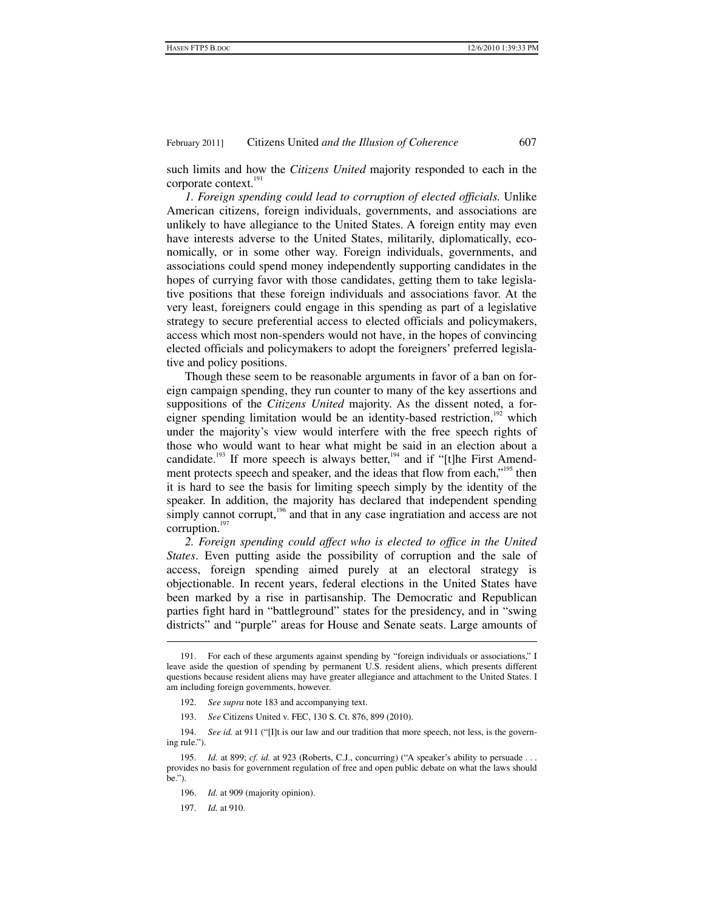such limits and how the *Citizens United* majority responded to each in the corporate context.<sup>191</sup>

*1. Foreign spending could lead to corruption of elected officials.* Unlike American citizens, foreign individuals, governments, and associations are unlikely to have allegiance to the United States. A foreign entity may even have interests adverse to the United States, militarily, diplomatically, economically, or in some other way. Foreign individuals, governments, and associations could spend money independently supporting candidates in the hopes of currying favor with those candidates, getting them to take legislative positions that these foreign individuals and associations favor. At the very least, foreigners could engage in this spending as part of a legislative strategy to secure preferential access to elected officials and policymakers, access which most non-spenders would not have, in the hopes of convincing elected officials and policymakers to adopt the foreigners' preferred legislative and policy positions.

Though these seem to be reasonable arguments in favor of a ban on foreign campaign spending, they run counter to many of the key assertions and suppositions of the *Citizens United* majority. As the dissent noted, a foreigner spending limitation would be an identity-based restriction,  $192$  which under the majority's view would interfere with the free speech rights of those who would want to hear what might be said in an election about a candidate.<sup>193</sup> If more speech is always better,<sup>194</sup> and if "[t]he First Amendment protects speech and speaker, and the ideas that flow from each,<sup>195</sup> then it is hard to see the basis for limiting speech simply by the identity of the speaker. In addition, the majority has declared that independent spending simply cannot corrupt, $196$  and that in any case ingratiation and access are not corruption.<sup>197</sup>

2. Foreign spending could affect who is elected to office in the United *States*. Even putting aside the possibility of corruption and the sale of access, foreign spending aimed purely at an electoral strategy is objectionable. In recent years, federal elections in the United States have been marked by a rise in partisanship. The Democratic and Republican parties fight hard in "battleground" states for the presidency, and in "swing districts" and "purple" areas for House and Senate seats. Large amounts of

193. *See* Citizens United v. FEC, 130 S. Ct. 876, 899 (2010).

 194. *See id.* at 911 ("[I]t is our law and our tradition that more speech, not less, is the governing rule.").

 <sup>191.</sup> For each of these arguments against spending by "foreign individuals or associations," I leave aside the question of spending by permanent U.S. resident aliens, which presents different questions because resident aliens may have greater allegiance and attachment to the United States. I am including foreign governments, however.

 <sup>192.</sup> *See supra* note 183 and accompanying text.

 <sup>195.</sup> *Id.* at 899; *cf. id.* at 923 (Roberts, C.J., concurring) ("A speaker's ability to persuade . . . provides no basis for government regulation of free and open public debate on what the laws should be.").

 <sup>196.</sup> *Id.* at 909 (majority opinion).

 <sup>197.</sup> *Id.* at 910.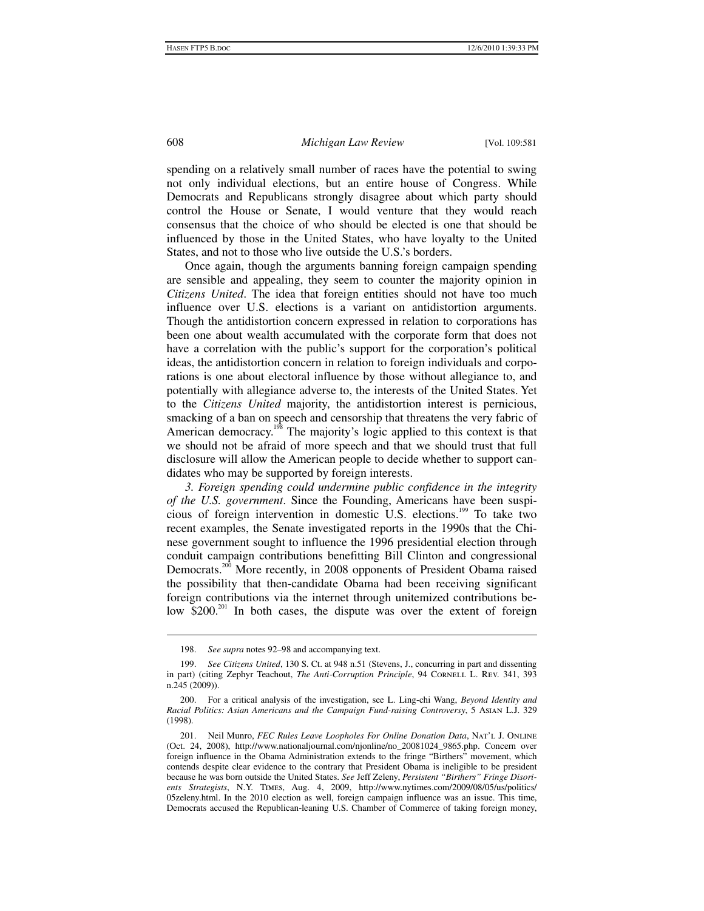spending on a relatively small number of races have the potential to swing not only individual elections, but an entire house of Congress. While Democrats and Republicans strongly disagree about which party should control the House or Senate, I would venture that they would reach consensus that the choice of who should be elected is one that should be influenced by those in the United States, who have loyalty to the United States, and not to those who live outside the U.S.'s borders.

Once again, though the arguments banning foreign campaign spending are sensible and appealing, they seem to counter the majority opinion in *Citizens United*. The idea that foreign entities should not have too much influence over U.S. elections is a variant on antidistortion arguments. Though the antidistortion concern expressed in relation to corporations has been one about wealth accumulated with the corporate form that does not have a correlation with the public's support for the corporation's political ideas, the antidistortion concern in relation to foreign individuals and corporations is one about electoral influence by those without allegiance to, and potentially with allegiance adverse to, the interests of the United States. Yet to the *Citizens United* majority, the antidistortion interest is pernicious, smacking of a ban on speech and censorship that threatens the very fabric of American democracy.<sup>198</sup> The majority's logic applied to this context is that we should not be afraid of more speech and that we should trust that full disclosure will allow the American people to decide whether to support candidates who may be supported by foreign interests.

*3. Foreign spending could undermine public confidence in the integrity of the U.S. government*. Since the Founding, Americans have been suspicious of foreign intervention in domestic U.S. elections.199 To take two recent examples, the Senate investigated reports in the 1990s that the Chinese government sought to influence the 1996 presidential election through conduit campaign contributions benefitting Bill Clinton and congressional Democrats.<sup>200</sup> More recently, in 2008 opponents of President Obama raised the possibility that then-candidate Obama had been receiving significant foreign contributions via the internet through unitemized contributions below  $$200$ <sup>201</sup>. In both cases, the dispute was over the extent of foreign

 <sup>198.</sup> *See supra* notes 92–98 and accompanying text.

 <sup>199.</sup> *See Citizens United*, 130 S. Ct. at 948 n.51 (Stevens, J., concurring in part and dissenting in part) (citing Zephyr Teachout, *The Anti-Corruption Principle*, 94 CORNELL L. REV. 341, 393 n.245 (2009)).

 <sup>200.</sup> For a critical analysis of the investigation, see L. Ling-chi Wang, *Beyond Identity and Racial Politics: Asian Americans and the Campaign Fund-raising Controversy*, 5 Asian L.J. 329 (1998).

 <sup>201.</sup> Neil Munro, *FEC Rules Leave Loopholes For Online Donation Data*, Nat'l J. Online (Oct. 24, 2008), http://www.nationaljournal.com/njonline/no\_20081024\_9865.php. Concern over foreign influence in the Obama Administration extends to the fringe "Birthers" movement, which contends despite clear evidence to the contrary that President Obama is ineligible to be president because he was born outside the United States. *See* Jeff Zeleny, *Persistent "Birthers" Fringe Disorients Strategists*, N.Y. Times, Aug. 4, 2009, http://www.nytimes.com/2009/08/05/us/politics/ 05zeleny.html. In the 2010 election as well, foreign campaign influence was an issue. This time, Democrats accused the Republican-leaning U.S. Chamber of Commerce of taking foreign money,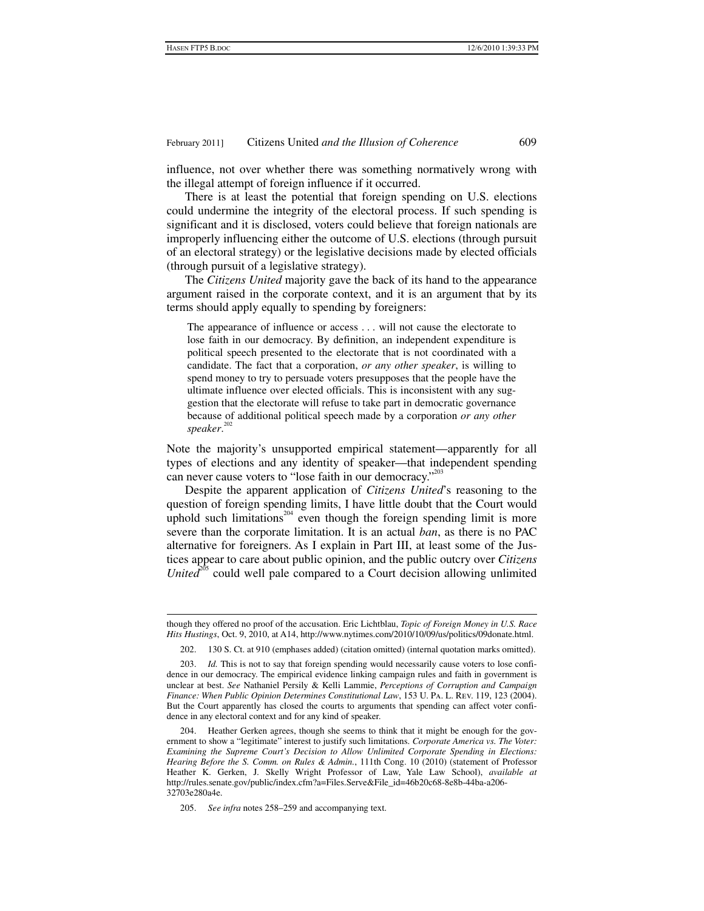influence, not over whether there was something normatively wrong with the illegal attempt of foreign influence if it occurred.

There is at least the potential that foreign spending on U.S. elections could undermine the integrity of the electoral process. If such spending is significant and it is disclosed, voters could believe that foreign nationals are improperly influencing either the outcome of U.S. elections (through pursuit of an electoral strategy) or the legislative decisions made by elected officials (through pursuit of a legislative strategy).

The *Citizens United* majority gave the back of its hand to the appearance argument raised in the corporate context, and it is an argument that by its terms should apply equally to spending by foreigners:

The appearance of influence or access . . . will not cause the electorate to lose faith in our democracy. By definition, an independent expenditure is political speech presented to the electorate that is not coordinated with a candidate. The fact that a corporation, *or any other speaker*, is willing to spend money to try to persuade voters presupposes that the people have the ultimate influence over elected officials. This is inconsistent with any suggestion that the electorate will refuse to take part in democratic governance because of additional political speech made by a corporation *or any other speaker*. 202

Note the majority's unsupported empirical statement—apparently for all types of elections and any identity of speaker—that independent spending can never cause voters to "lose faith in our democracy."<sup>203</sup>

Despite the apparent application of *Citizens United*'s reasoning to the question of foreign spending limits, I have little doubt that the Court would uphold such limitations<sup>204</sup> even though the foreign spending limit is more severe than the corporate limitation. It is an actual *ban*, as there is no PAC alternative for foreigners. As I explain in Part III, at least some of the Justices appear to care about public opinion, and the public outcry over *Citizens United*<sup>205</sup> could well pale compared to a Court decision allowing unlimited

<sup>1</sup> though they offered no proof of the accusation. Eric Lichtblau, *Topic of Foreign Money in U.S. Race Hits Hustings*, Oct. 9, 2010, at A14, http://www.nytimes.com/2010/10/09/us/politics/09donate.html.

 <sup>202. 130</sup> S. Ct. at 910 (emphases added) (citation omitted) (internal quotation marks omitted).

 <sup>203.</sup> *Id.* This is not to say that foreign spending would necessarily cause voters to lose confidence in our democracy. The empirical evidence linking campaign rules and faith in government is unclear at best. *See* Nathaniel Persily & Kelli Lammie, *Perceptions of Corruption and Campaign Finance: When Public Opinion Determines Constitutional Law*, 153 U. Pa. L. Rev. 119, 123 (2004). But the Court apparently has closed the courts to arguments that spending can affect voter confidence in any electoral context and for any kind of speaker.

 <sup>204.</sup> Heather Gerken agrees, though she seems to think that it might be enough for the government to show a "legitimate" interest to justify such limitations. *Corporate America vs. The Voter: Examining the Supreme Court's Decision to Allow Unlimited Corporate Spending in Elections: Hearing Before the S. Comm. on Rules & Admin.*, 111th Cong. 10 (2010) (statement of Professor Heather K. Gerken, J. Skelly Wright Professor of Law, Yale Law School), *available at* http://rules.senate.gov/public/index.cfm?a=Files.Serve&File\_id=46b20c68-8e8b-44ba-a206- 32703e280a4e.

 <sup>205.</sup> *See infra* notes 258–259 and accompanying text.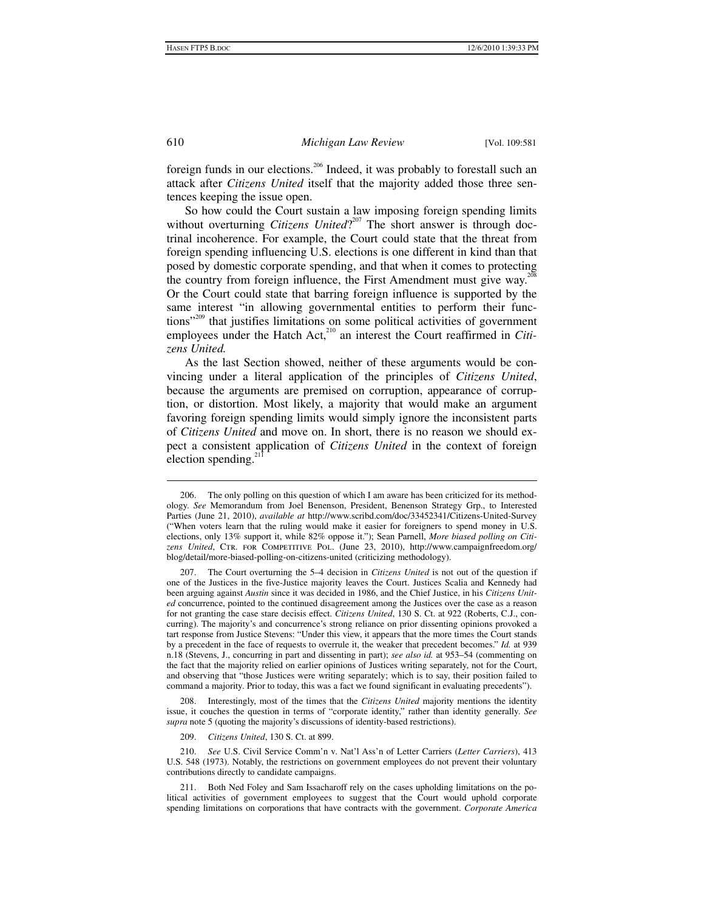foreign funds in our elections.<sup>206</sup> Indeed, it was probably to forestall such an attack after *Citizens United* itself that the majority added those three sentences keeping the issue open.

So how could the Court sustain a law imposing foreign spending limits without overturning *Citizens United*?<sup>207</sup> The short answer is through doctrinal incoherence. For example, the Court could state that the threat from foreign spending influencing U.S. elections is one different in kind than that posed by domestic corporate spending, and that when it comes to protecting the country from foreign influence, the First Amendment must give way.<sup>20</sup> Or the Court could state that barring foreign influence is supported by the same interest "in allowing governmental entities to perform their functions"<sup>209</sup> that justifies limitations on some political activities of government employees under the Hatch Act,<sup>210</sup> an interest the Court reaffirmed in *Citizens United.* 

As the last Section showed, neither of these arguments would be convincing under a literal application of the principles of *Citizens United*, because the arguments are premised on corruption, appearance of corruption, or distortion. Most likely, a majority that would make an argument favoring foreign spending limits would simply ignore the inconsistent parts of *Citizens United* and move on. In short, there is no reason we should expect a consistent application of *Citizens United* in the context of foreign election spending. $^{21}$ 

 208. Interestingly, most of the times that the *Citizens United* majority mentions the identity issue, it couches the question in terms of "corporate identity," rather than identity generally. *See supra* note 5 (quoting the majority's discussions of identity-based restrictions).

209. *Citizens United*, 130 S. Ct. at 899.

 210. *See* U.S. Civil Service Comm'n v. Nat'l Ass'n of Letter Carriers (*Letter Carriers*), 413 U.S. 548 (1973). Notably, the restrictions on government employees do not prevent their voluntary contributions directly to candidate campaigns.

 211. Both Ned Foley and Sam Issacharoff rely on the cases upholding limitations on the political activities of government employees to suggest that the Court would uphold corporate spending limitations on corporations that have contracts with the government. *Corporate America* 

 $\overline{a}$ 

 <sup>206.</sup> The only polling on this question of which I am aware has been criticized for its methodology. *See* Memorandum from Joel Benenson, President, Benenson Strategy Grp., to Interested Parties (June 21, 2010), *available at* http://www.scribd.com/doc/33452341/Citizens-United-Survey ("When voters learn that the ruling would make it easier for foreigners to spend money in U.S. elections, only 13% support it, while 82% oppose it."); Sean Parnell, *More biased polling on Citizens United*, Ctr. for Competitive Pol. (June 23, 2010), http://www.campaignfreedom.org/ blog/detail/more-biased-polling-on-citizens-united (criticizing methodology).

 <sup>207.</sup> The Court overturning the 5–4 decision in *Citizens United* is not out of the question if one of the Justices in the five-Justice majority leaves the Court. Justices Scalia and Kennedy had been arguing against *Austin* since it was decided in 1986, and the Chief Justice, in his *Citizens United* concurrence, pointed to the continued disagreement among the Justices over the case as a reason for not granting the case stare decisis effect. *Citizens United*, 130 S. Ct. at 922 (Roberts, C.J., concurring). The majority's and concurrence's strong reliance on prior dissenting opinions provoked a tart response from Justice Stevens: "Under this view, it appears that the more times the Court stands by a precedent in the face of requests to overrule it, the weaker that precedent becomes." *Id.* at 939 n.18 (Stevens, J., concurring in part and dissenting in part); *see also id.* at 953–54 (commenting on the fact that the majority relied on earlier opinions of Justices writing separately, not for the Court, and observing that "those Justices were writing separately; which is to say, their position failed to command a majority. Prior to today, this was a fact we found significant in evaluating precedents").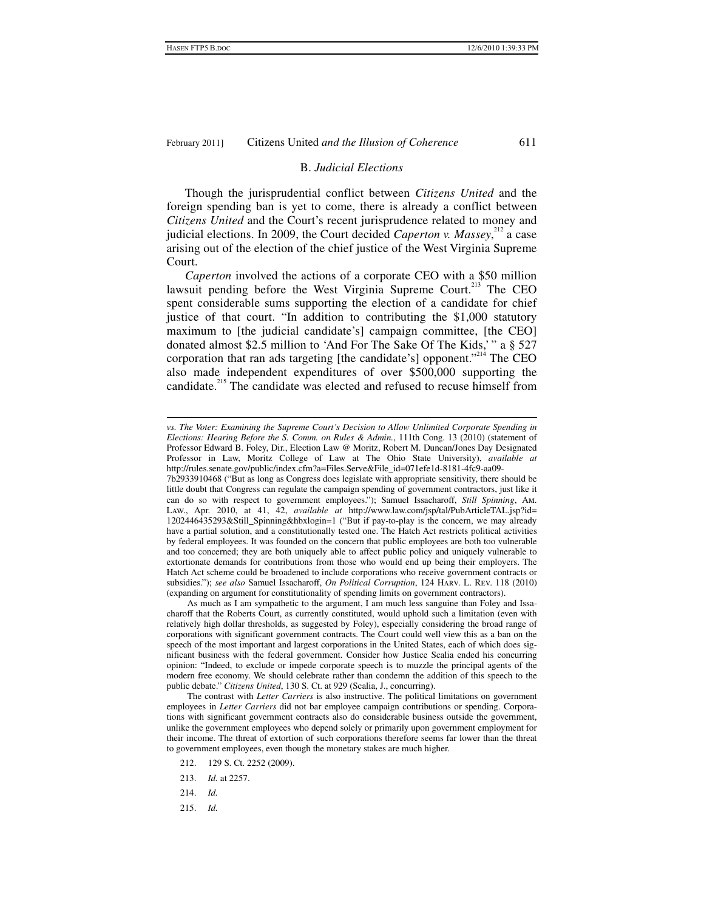#### B. *Judicial Elections*

Though the jurisprudential conflict between *Citizens United* and the foreign spending ban is yet to come, there is already a conflict between *Citizens United* and the Court's recent jurisprudence related to money and judicial elections. In 2009, the Court decided *Caperton v. Massey*,<sup>212</sup> a case arising out of the election of the chief justice of the West Virginia Supreme Court.

*Caperton* involved the actions of a corporate CEO with a \$50 million lawsuit pending before the West Virginia Supreme Court.<sup>213</sup> The CEO spent considerable sums supporting the election of a candidate for chief justice of that court. "In addition to contributing the \$1,000 statutory maximum to [the judicial candidate's] campaign committee, [the CEO] donated almost \$2.5 million to 'And For The Sake Of The Kids,'" a § 527 corporation that ran ads targeting [the candidate's] opponent."<sup>214</sup> The CEO also made independent expenditures of over \$500,000 supporting the candidate.<sup>215</sup> The candidate was elected and refused to recuse himself from

As much as I am sympathetic to the argument, I am much less sanguine than Foley and Issacharoff that the Roberts Court, as currently constituted, would uphold such a limitation (even with relatively high dollar thresholds, as suggested by Foley), especially considering the broad range of corporations with significant government contracts. The Court could well view this as a ban on the speech of the most important and largest corporations in the United States, each of which does significant business with the federal government. Consider how Justice Scalia ended his concurring opinion: "Indeed, to exclude or impede corporate speech is to muzzle the principal agents of the modern free economy. We should celebrate rather than condemn the addition of this speech to the public debate." *Citizens United*, 130 S. Ct. at 929 (Scalia, J., concurring).

The contrast with *Letter Carriers* is also instructive. The political limitations on government employees in *Letter Carriers* did not bar employee campaign contributions or spending. Corporations with significant government contracts also do considerable business outside the government, unlike the government employees who depend solely or primarily upon government employment for their income. The threat of extortion of such corporations therefore seems far lower than the threat to government employees, even though the monetary stakes are much higher.

- 212. 129 S. Ct. 2252 (2009).
- 213. *Id.* at 2257.
- 214. *Id.*
- 215. *Id.*

<sup>1</sup> *vs. The Voter: Examining the Supreme Court's Decision to Allow Unlimited Corporate Spending in Elections: Hearing Before the S. Comm. on Rules & Admin.*, 111th Cong. 13 (2010) (statement of Professor Edward B. Foley, Dir., Election Law @ Moritz, Robert M. Duncan/Jones Day Designated Professor in Law, Moritz College of Law at The Ohio State University), *available at* http://rules.senate.gov/public/index.cfm?a=Files.Serve&File\_id=071efe1d-8181-4fc9-aa09-

<sup>7</sup>b2933910468 ("But as long as Congress does legislate with appropriate sensitivity, there should be little doubt that Congress can regulate the campaign spending of government contractors, just like it can do so with respect to government employees."); Samuel Issacharoff, *Still Spinning*, Am. Law., Apr. 2010, at 41, 42, *available at* http://www.law.com/jsp/tal/PubArticleTAL.jsp?id= 1202446435293&Still\_Spinning&hbxlogin=1 ("But if pay-to-play is the concern, we may already have a partial solution, and a constitutionally tested one. The Hatch Act restricts political activities by federal employees. It was founded on the concern that public employees are both too vulnerable and too concerned; they are both uniquely able to affect public policy and uniquely vulnerable to extortionate demands for contributions from those who would end up being their employers. The Hatch Act scheme could be broadened to include corporations who receive government contracts or subsidies."); *see also* Samuel Issacharoff, *On Political Corruption*, 124 Harv. L. Rev. 118 (2010) (expanding on argument for constitutionality of spending limits on government contractors).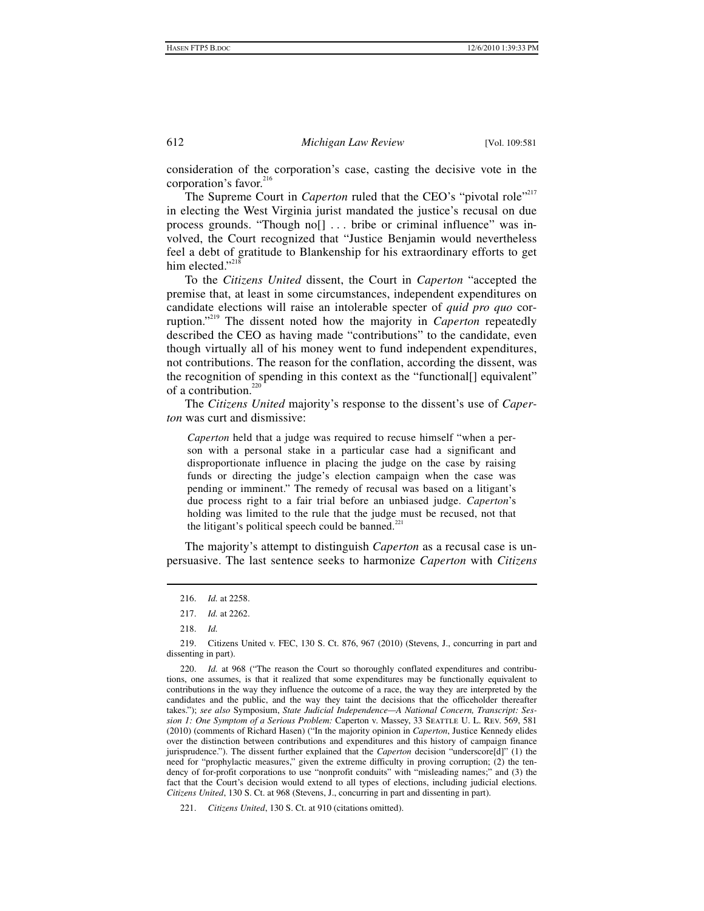consideration of the corporation's case, casting the decisive vote in the corporation's favor.<sup>216</sup>

The Supreme Court in *Caperton* ruled that the CEO's "pivotal role"<sup>217</sup> in electing the West Virginia jurist mandated the justice's recusal on due process grounds. "Though no[] . . . bribe or criminal influence" was involved, the Court recognized that "Justice Benjamin would nevertheless feel a debt of gratitude to Blankenship for his extraordinary efforts to get him elected." $218$ 

To the *Citizens United* dissent, the Court in *Caperton* "accepted the premise that, at least in some circumstances, independent expenditures on candidate elections will raise an intolerable specter of *quid pro quo* corruption."219 The dissent noted how the majority in *Caperton* repeatedly described the CEO as having made "contributions" to the candidate, even though virtually all of his money went to fund independent expenditures, not contributions. The reason for the conflation, according the dissent, was the recognition of spending in this context as the "functional[] equivalent" of a contribution. $220$ 

The *Citizens United* majority's response to the dissent's use of *Caperton* was curt and dismissive:

*Caperton* held that a judge was required to recuse himself "when a person with a personal stake in a particular case had a significant and disproportionate influence in placing the judge on the case by raising funds or directing the judge's election campaign when the case was pending or imminent." The remedy of recusal was based on a litigant's due process right to a fair trial before an unbiased judge. *Caperton*'s holding was limited to the rule that the judge must be recused, not that the litigant's political speech could be banned. $221$ 

The majority's attempt to distinguish *Caperton* as a recusal case is unpersuasive. The last sentence seeks to harmonize *Caperton* with *Citizens* 

 $\overline{a}$ 

221. *Citizens United*, 130 S. Ct. at 910 (citations omitted).

 <sup>216.</sup> *Id.* at 2258.

 <sup>217.</sup> *Id.* at 2262.

 <sup>218.</sup> *Id.*

 <sup>219.</sup> Citizens United v. FEC, 130 S. Ct. 876, 967 (2010) (Stevens, J., concurring in part and dissenting in part).

 <sup>220.</sup> *Id.* at 968 ("The reason the Court so thoroughly conflated expenditures and contributions, one assumes, is that it realized that some expenditures may be functionally equivalent to contributions in the way they influence the outcome of a race, the way they are interpreted by the candidates and the public, and the way they taint the decisions that the officeholder thereafter takes."); *see also* Symposium, *State Judicial Independence—A National Concern, Transcript: Session 1: One Symptom of a Serious Problem:* Caperton v. Massey, 33 Seattle U. L. Rev. 569, 581 (2010) (comments of Richard Hasen) ("In the majority opinion in *Caperton*, Justice Kennedy elides over the distinction between contributions and expenditures and this history of campaign finance jurisprudence."). The dissent further explained that the *Caperton* decision "underscore[d]" (1) the need for "prophylactic measures," given the extreme difficulty in proving corruption; (2) the tendency of for-profit corporations to use "nonprofit conduits" with "misleading names;" and (3) the fact that the Court's decision would extend to all types of elections, including judicial elections. *Citizens United*, 130 S. Ct. at 968 (Stevens, J., concurring in part and dissenting in part).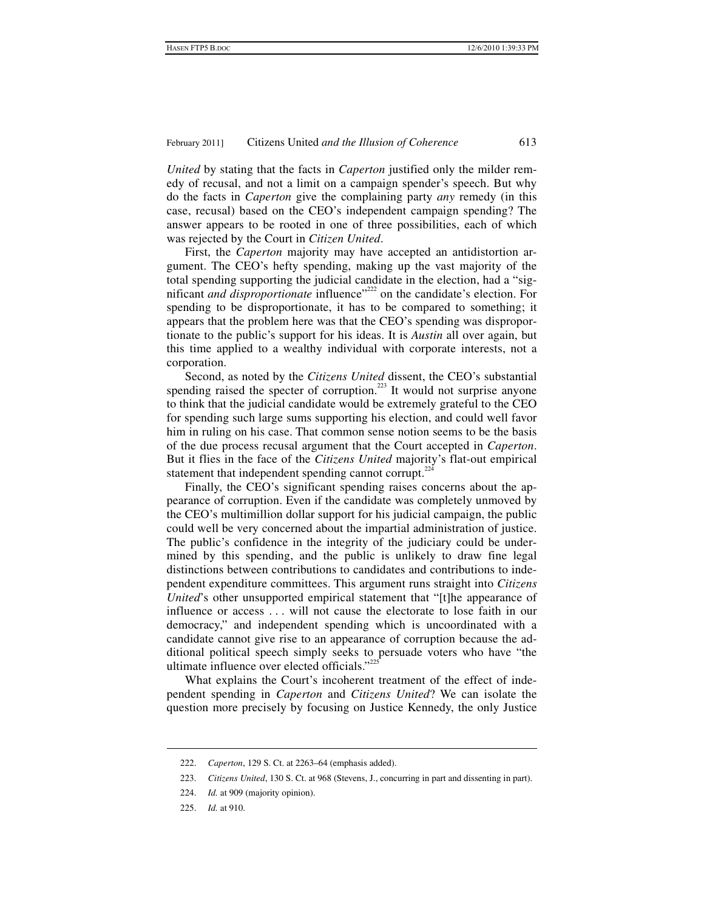*United* by stating that the facts in *Caperton* justified only the milder remedy of recusal, and not a limit on a campaign spender's speech. But why do the facts in *Caperton* give the complaining party *any* remedy (in this case, recusal) based on the CEO's independent campaign spending? The answer appears to be rooted in one of three possibilities, each of which was rejected by the Court in *Citizen United*.

First, the *Caperton* majority may have accepted an antidistortion argument. The CEO's hefty spending, making up the vast majority of the total spending supporting the judicial candidate in the election, had a "significant *and disproportionate* influence"<sup>222</sup> on the candidate's election. For spending to be disproportionate, it has to be compared to something; it appears that the problem here was that the CEO's spending was disproportionate to the public's support for his ideas. It is *Austin* all over again, but this time applied to a wealthy individual with corporate interests, not a corporation.

Second, as noted by the *Citizens United* dissent, the CEO's substantial spending raised the specter of corruption.<sup>223</sup> It would not surprise anyone to think that the judicial candidate would be extremely grateful to the CEO for spending such large sums supporting his election, and could well favor him in ruling on his case. That common sense notion seems to be the basis of the due process recusal argument that the Court accepted in *Caperton*. But it flies in the face of the *Citizens United* majority's flat-out empirical statement that independent spending cannot corrupt.<sup>224</sup>

Finally, the CEO's significant spending raises concerns about the appearance of corruption. Even if the candidate was completely unmoved by the CEO's multimillion dollar support for his judicial campaign, the public could well be very concerned about the impartial administration of justice. The public's confidence in the integrity of the judiciary could be undermined by this spending, and the public is unlikely to draw fine legal distinctions between contributions to candidates and contributions to independent expenditure committees. This argument runs straight into *Citizens United*'s other unsupported empirical statement that "[t]he appearance of influence or access . . . will not cause the electorate to lose faith in our democracy," and independent spending which is uncoordinated with a candidate cannot give rise to an appearance of corruption because the additional political speech simply seeks to persuade voters who have "the ultimate influence over elected officials."<sup>225</sup>

What explains the Court's incoherent treatment of the effect of independent spending in *Caperton* and *Citizens United*? We can isolate the question more precisely by focusing on Justice Kennedy, the only Justice

 <sup>222.</sup> *Caperton*, 129 S. Ct. at 2263–64 (emphasis added).

 <sup>223.</sup> *Citizens United*, 130 S. Ct. at 968 (Stevens, J., concurring in part and dissenting in part).

 <sup>224.</sup> *Id.* at 909 (majority opinion).

 <sup>225.</sup> *Id.* at 910.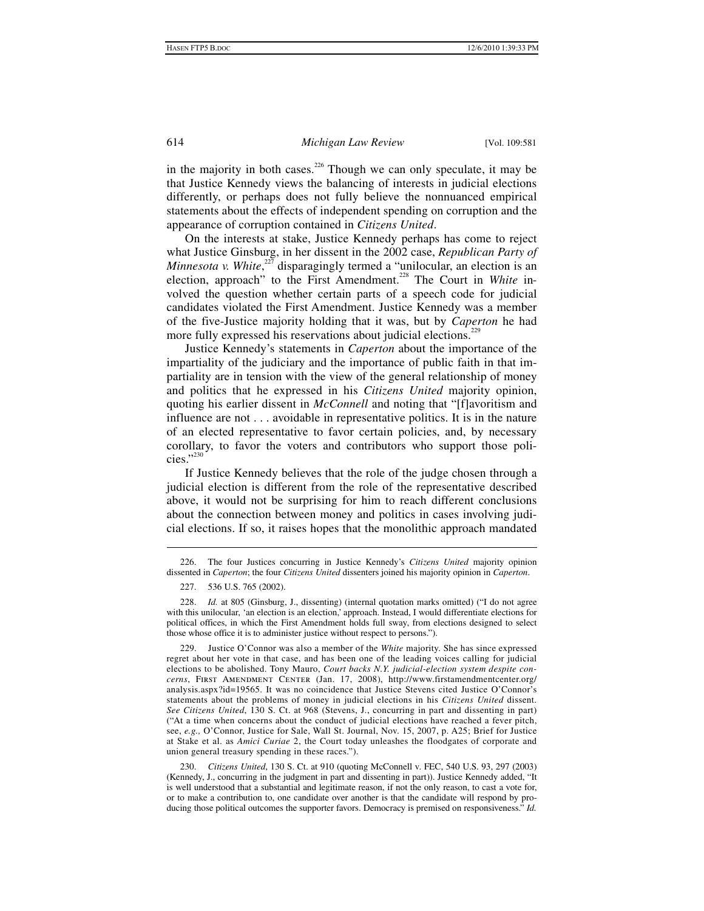in the majority in both cases.<sup>226</sup> Though we can only speculate, it may be that Justice Kennedy views the balancing of interests in judicial elections differently, or perhaps does not fully believe the nonnuanced empirical statements about the effects of independent spending on corruption and the appearance of corruption contained in *Citizens United*.

On the interests at stake, Justice Kennedy perhaps has come to reject what Justice Ginsburg, in her dissent in the 2002 case, *Republican Party of Minnesota v. White*,<sup>227</sup> disparagingly termed a "unilocular, an election is an election, approach" to the First Amendment.<sup>228</sup> The Court in *White* involved the question whether certain parts of a speech code for judicial candidates violated the First Amendment. Justice Kennedy was a member of the five-Justice majority holding that it was, but by *Caperton* he had more fully expressed his reservations about judicial elections.<sup>229</sup>

Justice Kennedy's statements in *Caperton* about the importance of the impartiality of the judiciary and the importance of public faith in that impartiality are in tension with the view of the general relationship of money and politics that he expressed in his *Citizens United* majority opinion, quoting his earlier dissent in *McConnell* and noting that "[f]avoritism and influence are not . . . avoidable in representative politics. It is in the nature of an elected representative to favor certain policies, and, by necessary corollary, to favor the voters and contributors who support those policies."230

If Justice Kennedy believes that the role of the judge chosen through a judicial election is different from the role of the representative described above, it would not be surprising for him to reach different conclusions about the connection between money and politics in cases involving judicial elections. If so, it raises hopes that the monolithic approach mandated

 <sup>226.</sup> The four Justices concurring in Justice Kennedy's *Citizens United* majority opinion dissented in *Caperton*; the four *Citizens United* dissenters joined his majority opinion in *Caperton*.

 <sup>227. 536</sup> U.S. 765 (2002).

 <sup>228.</sup> *Id.* at 805 (Ginsburg, J., dissenting) (internal quotation marks omitted) ("I do not agree with this unilocular, 'an election is an election,' approach. Instead, I would differentiate elections for political offices, in which the First Amendment holds full sway, from elections designed to select those whose office it is to administer justice without respect to persons.").

 <sup>229.</sup> Justice O'Connor was also a member of the *White* majority. She has since expressed regret about her vote in that case, and has been one of the leading voices calling for judicial elections to be abolished. Tony Mauro, *Court backs N.Y. judicial-election system despite concerns*, First Amendment Center (Jan. 17, 2008), http://www.firstamendmentcenter.org/ analysis.aspx?id=19565. It was no coincidence that Justice Stevens cited Justice O'Connor's statements about the problems of money in judicial elections in his *Citizens United* dissent. *See Citizens United*, 130 S. Ct. at 968 (Stevens, J., concurring in part and dissenting in part) ("At a time when concerns about the conduct of judicial elections have reached a fever pitch, see, *e.g.,* O'Connor, Justice for Sale, Wall St. Journal, Nov. 15, 2007, p. A25; Brief for Justice at Stake et al. as *Amici Curiae* 2, the Court today unleashes the floodgates of corporate and union general treasury spending in these races.").

 <sup>230.</sup> *Citizens United*, 130 S. Ct. at 910 (quoting McConnell v. FEC, 540 U.S. 93, 297 (2003) (Kennedy, J., concurring in the judgment in part and dissenting in part)). Justice Kennedy added, "It is well understood that a substantial and legitimate reason, if not the only reason, to cast a vote for, or to make a contribution to, one candidate over another is that the candidate will respond by producing those political outcomes the supporter favors. Democracy is premised on responsiveness." *Id.*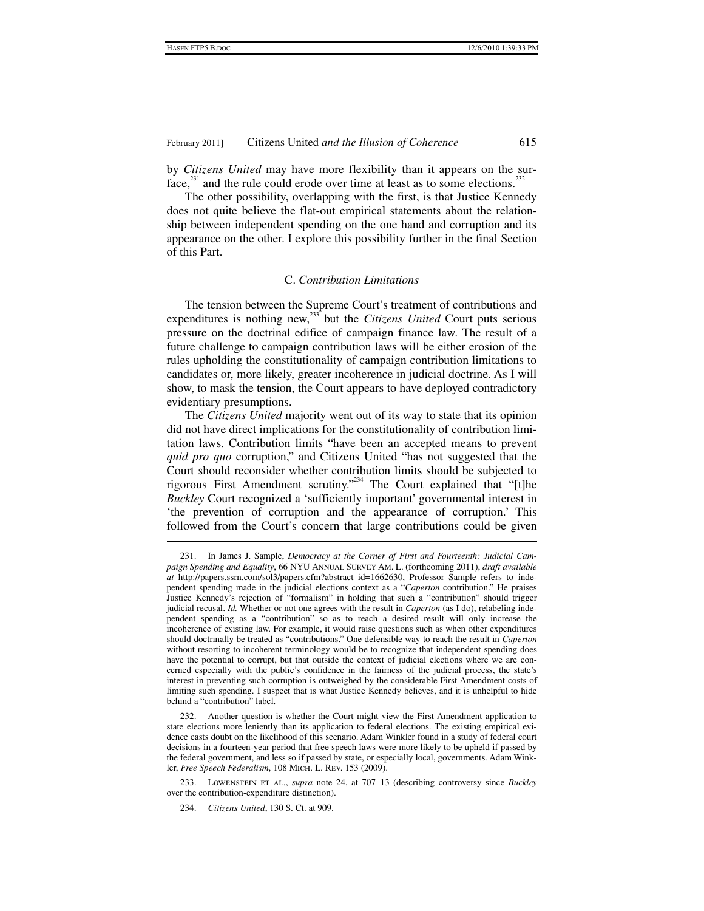by *Citizens United* may have more flexibility than it appears on the surface, $^{231}$  and the rule could erode over time at least as to some elections.<sup>232</sup>

The other possibility, overlapping with the first, is that Justice Kennedy does not quite believe the flat-out empirical statements about the relationship between independent spending on the one hand and corruption and its appearance on the other. I explore this possibility further in the final Section of this Part.

#### C. *Contribution Limitations*

The tension between the Supreme Court's treatment of contributions and expenditures is nothing new,<sup>233</sup> but the *Citizens United* Court puts serious pressure on the doctrinal edifice of campaign finance law. The result of a future challenge to campaign contribution laws will be either erosion of the rules upholding the constitutionality of campaign contribution limitations to candidates or, more likely, greater incoherence in judicial doctrine. As I will show, to mask the tension, the Court appears to have deployed contradictory evidentiary presumptions.

The *Citizens United* majority went out of its way to state that its opinion did not have direct implications for the constitutionality of contribution limitation laws. Contribution limits "have been an accepted means to prevent *quid pro quo* corruption," and Citizens United "has not suggested that the Court should reconsider whether contribution limits should be subjected to rigorous First Amendment scrutiny."234 The Court explained that "[t]he *Buckley* Court recognized a 'sufficiently important' governmental interest in 'the prevention of corruption and the appearance of corruption.' This followed from the Court's concern that large contributions could be given

 <sup>231.</sup> In James J. Sample, *Democracy at the Corner of First and Fourteenth: Judicial Campaign Spending and Equality*, 66 NYU ANNUAL SURVEY AM. L. (forthcoming 2011), *draft available at* http://papers.ssrn.com/sol3/papers.cfm?abstract\_id=1662630, Professor Sample refers to independent spending made in the judicial elections context as a "*Caperton* contribution." He praises Justice Kennedy's rejection of "formalism" in holding that such a "contribution" should trigger judicial recusal. *Id.* Whether or not one agrees with the result in *Caperton* (as I do), relabeling independent spending as a "contribution" so as to reach a desired result will only increase the incoherence of existing law. For example, it would raise questions such as when other expenditures should doctrinally be treated as "contributions." One defensible way to reach the result in *Caperton* without resorting to incoherent terminology would be to recognize that independent spending does have the potential to corrupt, but that outside the context of judicial elections where we are concerned especially with the public's confidence in the fairness of the judicial process, the state's interest in preventing such corruption is outweighed by the considerable First Amendment costs of limiting such spending. I suspect that is what Justice Kennedy believes, and it is unhelpful to hide behind a "contribution" label.

 <sup>232.</sup> Another question is whether the Court might view the First Amendment application to state elections more leniently than its application to federal elections. The existing empirical evidence casts doubt on the likelihood of this scenario. Adam Winkler found in a study of federal court decisions in a fourteen-year period that free speech laws were more likely to be upheld if passed by the federal government, and less so if passed by state, or especially local, governments. Adam Winkler, *Free Speech Federalism*, 108 Mich. L. Rev. 153 (2009).

 <sup>233.</sup> Lowenstein et al., *supra* note 24, at 707–13 (describing controversy since *Buckley* over the contribution-expenditure distinction).

 <sup>234.</sup> *Citizens United*, 130 S. Ct. at 909.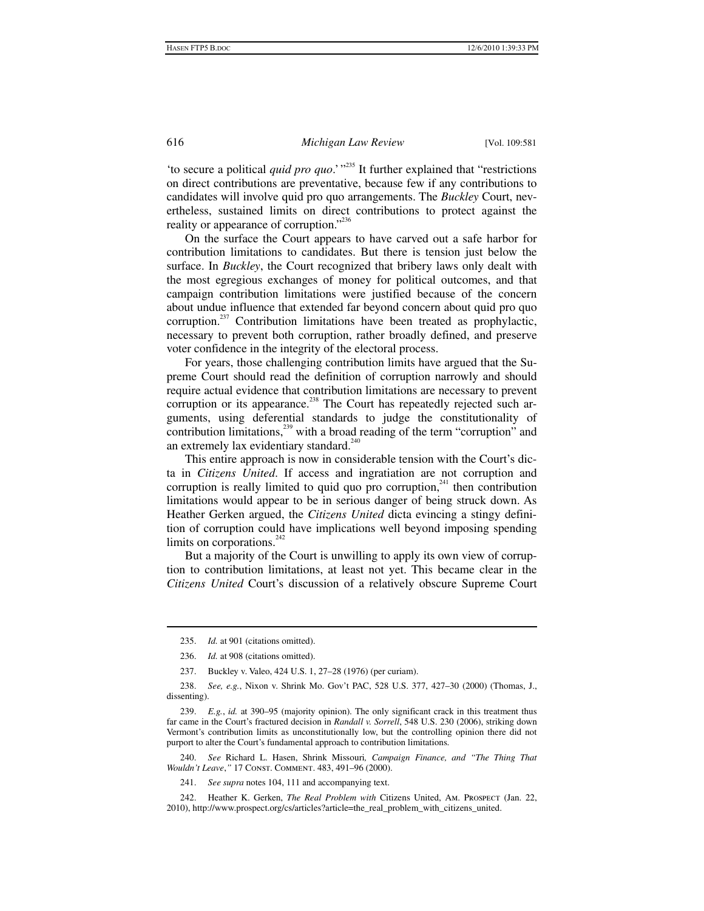'to secure a political *quid pro quo*.' "<sup>235</sup> It further explained that "restrictions" on direct contributions are preventative, because few if any contributions to candidates will involve quid pro quo arrangements. The *Buckley* Court, nevertheless, sustained limits on direct contributions to protect against the reality or appearance of corruption."<sup>236</sup>

On the surface the Court appears to have carved out a safe harbor for contribution limitations to candidates. But there is tension just below the surface. In *Buckley*, the Court recognized that bribery laws only dealt with the most egregious exchanges of money for political outcomes, and that campaign contribution limitations were justified because of the concern about undue influence that extended far beyond concern about quid pro quo corruption.<sup>237</sup> Contribution limitations have been treated as prophylactic, necessary to prevent both corruption, rather broadly defined, and preserve voter confidence in the integrity of the electoral process.

For years, those challenging contribution limits have argued that the Supreme Court should read the definition of corruption narrowly and should require actual evidence that contribution limitations are necessary to prevent corruption or its appearance.<sup>238</sup> The Court has repeatedly rejected such arguments, using deferential standards to judge the constitutionality of contribution limitations, $^{239}$  with a broad reading of the term "corruption" and an extremely lax evidentiary standard.<sup>240</sup>

This entire approach is now in considerable tension with the Court's dicta in *Citizens United*. If access and ingratiation are not corruption and corruption is really limited to quid quo pro corruption,<sup>241</sup> then contribution limitations would appear to be in serious danger of being struck down. As Heather Gerken argued, the *Citizens United* dicta evincing a stingy definition of corruption could have implications well beyond imposing spending limits on corporations. $242$ 

But a majority of the Court is unwilling to apply its own view of corruption to contribution limitations, at least not yet. This became clear in the *Citizens United* Court's discussion of a relatively obscure Supreme Court

1

 240. *See* Richard L. Hasen, Shrink Missouri*, Campaign Finance, and "The Thing That Wouldn't Leave*,*"* 17 Const. Comment. 483, 491–96 (2000).

 <sup>235.</sup> *Id.* at 901 (citations omitted).

 <sup>236.</sup> *Id.* at 908 (citations omitted).

 <sup>237.</sup> Buckley v. Valeo, 424 U.S. 1, 27–28 (1976) (per curiam).

 <sup>238.</sup> *See, e.g.*, Nixon v. Shrink Mo. Gov't PAC, 528 U.S. 377, 427–30 (2000) (Thomas, J., dissenting).

 <sup>239.</sup> *E.g.*, *id.* at 390–95 (majority opinion). The only significant crack in this treatment thus far came in the Court's fractured decision in *Randall v. Sorrell*, 548 U.S. 230 (2006), striking down Vermont's contribution limits as unconstitutionally low, but the controlling opinion there did not purport to alter the Court's fundamental approach to contribution limitations.

 <sup>241.</sup> *See supra* notes 104, 111 and accompanying text.

 <sup>242.</sup> Heather K. Gerken, *The Real Problem with* Citizens United, Am. Prospect (Jan. 22, 2010), http://www.prospect.org/cs/articles?article=the\_real\_problem\_with\_citizens\_united.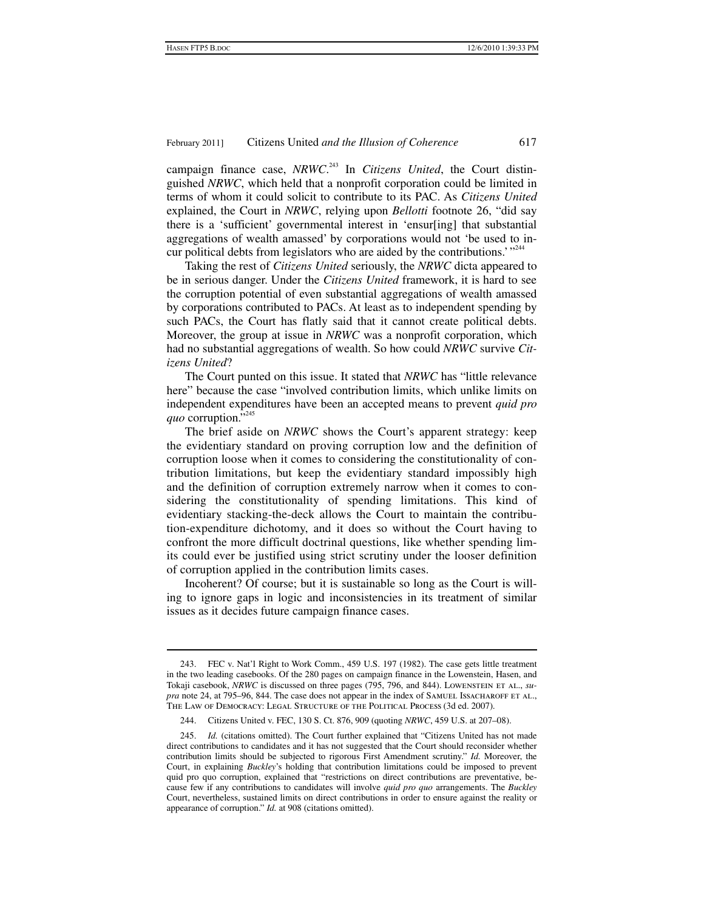campaign finance case, *NRWC*. 243 In *Citizens United*, the Court distinguished *NRWC*, which held that a nonprofit corporation could be limited in terms of whom it could solicit to contribute to its PAC. As *Citizens United* explained, the Court in *NRWC*, relying upon *Bellotti* footnote 26, "did say there is a 'sufficient' governmental interest in 'ensur[ing] that substantial aggregations of wealth amassed' by corporations would not 'be used to incur political debts from legislators who are aided by the contributions.' $"$ 

Taking the rest of *Citizens United* seriously, the *NRWC* dicta appeared to be in serious danger. Under the *Citizens United* framework, it is hard to see the corruption potential of even substantial aggregations of wealth amassed by corporations contributed to PACs. At least as to independent spending by such PACs, the Court has flatly said that it cannot create political debts. Moreover, the group at issue in *NRWC* was a nonprofit corporation, which had no substantial aggregations of wealth. So how could *NRWC* survive *Citizens United*?

The Court punted on this issue. It stated that *NRWC* has "little relevance here" because the case "involved contribution limits, which unlike limits on independent expenditures have been an accepted means to prevent *quid pro quo* corruption."<sup>245</sup>

The brief aside on *NRWC* shows the Court's apparent strategy: keep the evidentiary standard on proving corruption low and the definition of corruption loose when it comes to considering the constitutionality of contribution limitations, but keep the evidentiary standard impossibly high and the definition of corruption extremely narrow when it comes to considering the constitutionality of spending limitations. This kind of evidentiary stacking-the-deck allows the Court to maintain the contribution-expenditure dichotomy, and it does so without the Court having to confront the more difficult doctrinal questions, like whether spending limits could ever be justified using strict scrutiny under the looser definition of corruption applied in the contribution limits cases.

Incoherent? Of course; but it is sustainable so long as the Court is willing to ignore gaps in logic and inconsistencies in its treatment of similar issues as it decides future campaign finance cases.

 $\overline{a}$ 

 <sup>243.</sup> FEC v. Nat'l Right to Work Comm., 459 U.S. 197 (1982). The case gets little treatment in the two leading casebooks. Of the 280 pages on campaign finance in the Lowenstein, Hasen, and Tokaji casebook, *NRWC* is discussed on three pages (795, 796, and 844). LOWENSTEIN ET AL., su*pra* note 24, at 795–96, 844. The case does not appear in the index of SAMUEL ISSACHAROFF ET AL., The Law of Democracy: Legal Structure of the Political Process (3d ed. 2007).

 <sup>244.</sup> Citizens United v. FEC, 130 S. Ct. 876, 909 (quoting *NRWC*, 459 U.S. at 207–08).

 <sup>245.</sup> *Id.* (citations omitted). The Court further explained that "Citizens United has not made direct contributions to candidates and it has not suggested that the Court should reconsider whether contribution limits should be subjected to rigorous First Amendment scrutiny." *Id.* Moreover, the Court, in explaining *Buckley*'s holding that contribution limitations could be imposed to prevent quid pro quo corruption, explained that "restrictions on direct contributions are preventative, because few if any contributions to candidates will involve *quid pro quo* arrangements. The *Buckley*  Court, nevertheless, sustained limits on direct contributions in order to ensure against the reality or appearance of corruption." *Id.* at 908 (citations omitted).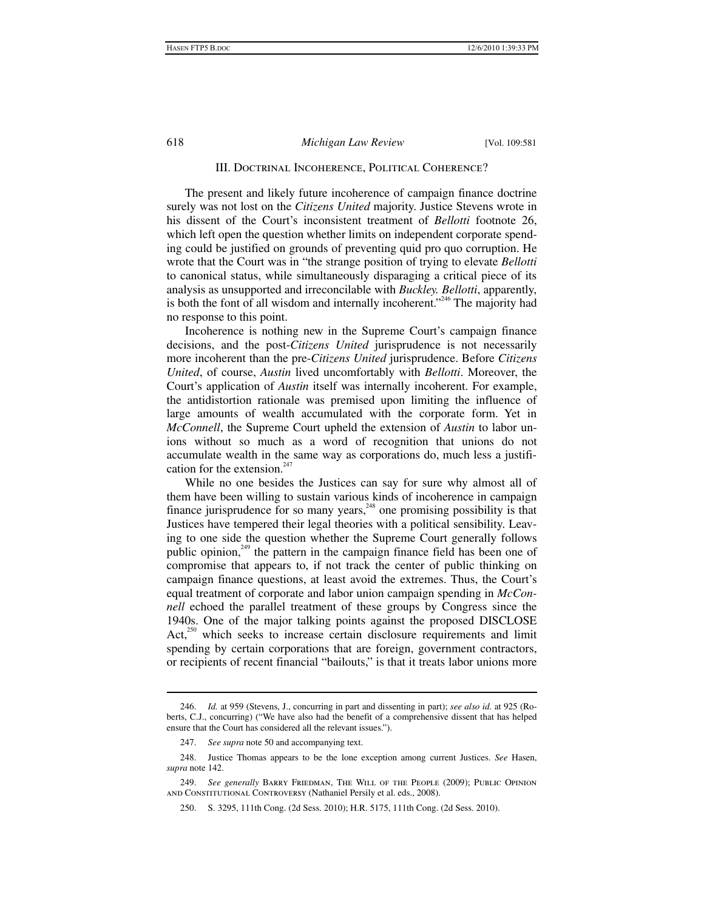#### III. Doctrinal Incoherence, Political Coherence?

The present and likely future incoherence of campaign finance doctrine surely was not lost on the *Citizens United* majority. Justice Stevens wrote in his dissent of the Court's inconsistent treatment of *Bellotti* footnote 26, which left open the question whether limits on independent corporate spending could be justified on grounds of preventing quid pro quo corruption. He wrote that the Court was in "the strange position of trying to elevate *Bellotti* to canonical status, while simultaneously disparaging a critical piece of its analysis as unsupported and irreconcilable with *Buckley. Bellotti*, apparently, is both the font of all wisdom and internally incoherent."<sup>246</sup> The majority had no response to this point.

Incoherence is nothing new in the Supreme Court's campaign finance decisions, and the post-*Citizens United* jurisprudence is not necessarily more incoherent than the pre-*Citizens United* jurisprudence. Before *Citizens United*, of course, *Austin* lived uncomfortably with *Bellotti*. Moreover, the Court's application of *Austin* itself was internally incoherent. For example, the antidistortion rationale was premised upon limiting the influence of large amounts of wealth accumulated with the corporate form. Yet in *McConnell*, the Supreme Court upheld the extension of *Austin* to labor unions without so much as a word of recognition that unions do not accumulate wealth in the same way as corporations do, much less a justification for the extension. $247$ 

While no one besides the Justices can say for sure why almost all of them have been willing to sustain various kinds of incoherence in campaign finance jurisprudence for so many years,  $248$  one promising possibility is that Justices have tempered their legal theories with a political sensibility. Leaving to one side the question whether the Supreme Court generally follows public opinion,<sup>249</sup> the pattern in the campaign finance field has been one of compromise that appears to, if not track the center of public thinking on campaign finance questions, at least avoid the extremes. Thus, the Court's equal treatment of corporate and labor union campaign spending in *McConnell* echoed the parallel treatment of these groups by Congress since the 1940s. One of the major talking points against the proposed DISCLOSE Act, $^{250}$  which seeks to increase certain disclosure requirements and limit spending by certain corporations that are foreign, government contractors, or recipients of recent financial "bailouts," is that it treats labor unions more

 <sup>246.</sup> *Id.* at 959 (Stevens, J., concurring in part and dissenting in part); *see also id.* at 925 (Roberts, C.J., concurring) ("We have also had the benefit of a comprehensive dissent that has helped ensure that the Court has considered all the relevant issues.").

 <sup>247.</sup> *See supra* note 50 and accompanying text.

 <sup>248.</sup> Justice Thomas appears to be the lone exception among current Justices. *See* Hasen, *supra* note 142.

 <sup>249.</sup> *See generally* Barry Friedman, The Will of the People (2009); Public Opinion and Constitutional Controversy (Nathaniel Persily et al. eds., 2008).

 <sup>250.</sup> S. 3295, 111th Cong. (2d Sess. 2010); H.R. 5175, 111th Cong. (2d Sess. 2010).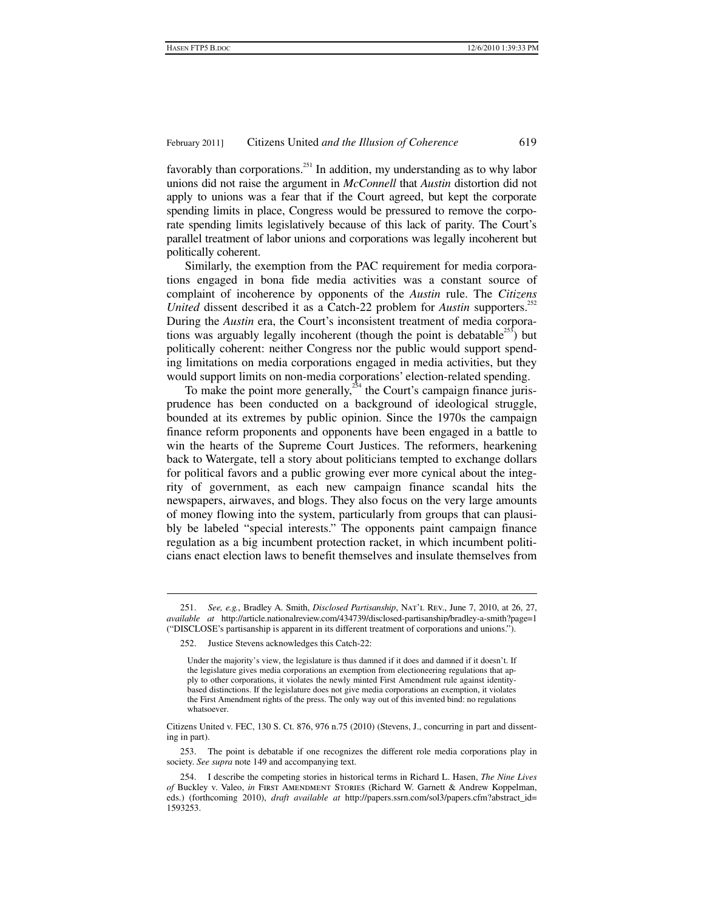favorably than corporations.<sup>251</sup> In addition, my understanding as to why labor unions did not raise the argument in *McConnell* that *Austin* distortion did not apply to unions was a fear that if the Court agreed, but kept the corporate spending limits in place, Congress would be pressured to remove the corporate spending limits legislatively because of this lack of parity. The Court's parallel treatment of labor unions and corporations was legally incoherent but politically coherent.

Similarly, the exemption from the PAC requirement for media corporations engaged in bona fide media activities was a constant source of complaint of incoherence by opponents of the *Austin* rule. The *Citizens United* dissent described it as a Catch-22 problem for *Austin* supporters.<sup>252</sup> During the *Austin* era, the Court's inconsistent treatment of media corporations was arguably legally incoherent (though the point is debatable  $253$ ) but politically coherent: neither Congress nor the public would support spending limitations on media corporations engaged in media activities, but they would support limits on non-media corporations' election-related spending.

To make the point more generally,<sup>254</sup> the Court's campaign finance jurisprudence has been conducted on a background of ideological struggle, bounded at its extremes by public opinion. Since the 1970s the campaign finance reform proponents and opponents have been engaged in a battle to win the hearts of the Supreme Court Justices. The reformers, hearkening back to Watergate, tell a story about politicians tempted to exchange dollars for political favors and a public growing ever more cynical about the integrity of government, as each new campaign finance scandal hits the newspapers, airwaves, and blogs. They also focus on the very large amounts of money flowing into the system, particularly from groups that can plausibly be labeled "special interests." The opponents paint campaign finance regulation as a big incumbent protection racket, in which incumbent politicians enact election laws to benefit themselves and insulate themselves from

 <sup>251.</sup> *See, e.g.*, Bradley A. Smith, *Disclosed Partisanship*, Nat'l Rev., June 7, 2010, at 26, 27, *available at* http://article.nationalreview.com/434739/disclosed-partisanship/bradley-a-smith?page=1 ("DISCLOSE's partisanship is apparent in its different treatment of corporations and unions.").

 <sup>252.</sup> Justice Stevens acknowledges this Catch-22:

Under the majority's view, the legislature is thus damned if it does and damned if it doesn't. If the legislature gives media corporations an exemption from electioneering regulations that apply to other corporations, it violates the newly minted First Amendment rule against identitybased distinctions. If the legislature does not give media corporations an exemption, it violates the First Amendment rights of the press. The only way out of this invented bind: no regulations whatsoever.

Citizens United v. FEC, 130 S. Ct. 876, 976 n.75 (2010) (Stevens, J., concurring in part and dissenting in part).

 <sup>253.</sup> The point is debatable if one recognizes the different role media corporations play in society. *See supra* note 149 and accompanying text.

 <sup>254.</sup> I describe the competing stories in historical terms in Richard L. Hasen, *The Nine Lives of* Buckley v. Valeo, *in* First Amendment Stories (Richard W. Garnett & Andrew Koppelman, eds.) (forthcoming 2010), *draft available at* http://papers.ssrn.com/sol3/papers.cfm?abstract\_id= 1593253.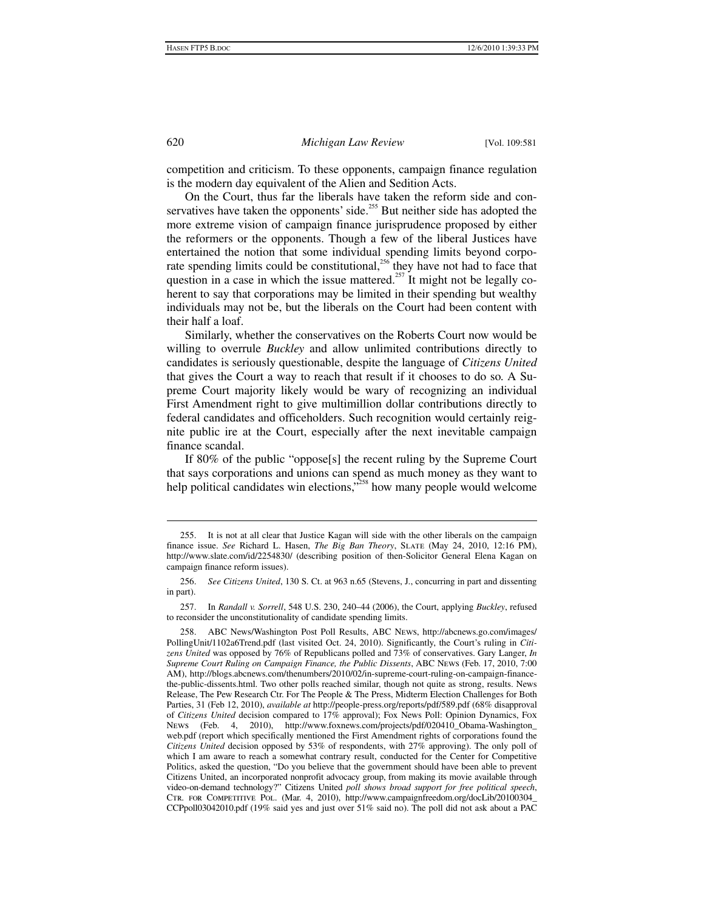competition and criticism. To these opponents, campaign finance regulation is the modern day equivalent of the Alien and Sedition Acts.

On the Court, thus far the liberals have taken the reform side and conservatives have taken the opponents' side.<sup>255</sup> But neither side has adopted the more extreme vision of campaign finance jurisprudence proposed by either the reformers or the opponents. Though a few of the liberal Justices have entertained the notion that some individual spending limits beyond corporate spending limits could be constitutional,<sup>256</sup> they have not had to face that question in a case in which the issue mattered.<sup>257</sup> It might not be legally coherent to say that corporations may be limited in their spending but wealthy individuals may not be, but the liberals on the Court had been content with their half a loaf.

Similarly, whether the conservatives on the Roberts Court now would be willing to overrule *Buckley* and allow unlimited contributions directly to candidates is seriously questionable, despite the language of *Citizens United*  that gives the Court a way to reach that result if it chooses to do so*.* A Supreme Court majority likely would be wary of recognizing an individual First Amendment right to give multimillion dollar contributions directly to federal candidates and officeholders. Such recognition would certainly reignite public ire at the Court, especially after the next inevitable campaign finance scandal.

If 80% of the public "oppose[s] the recent ruling by the Supreme Court that says corporations and unions can spend as much money as they want to help political candidates win elections,<sup>5258</sup> how many people would welcome

 <sup>255.</sup> It is not at all clear that Justice Kagan will side with the other liberals on the campaign finance issue. *See* Richard L. Hasen, *The Big Ban Theory*, Slate (May 24, 2010, 12:16 PM), http://www.slate.com/id/2254830/ (describing position of then-Solicitor General Elena Kagan on campaign finance reform issues).

 <sup>256.</sup> *See Citizens United*, 130 S. Ct. at 963 n.65 (Stevens, J., concurring in part and dissenting in part).

 <sup>257.</sup> In *Randall v. Sorrell*, 548 U.S. 230, 240–44 (2006), the Court, applying *Buckley*, refused to reconsider the unconstitutionality of candidate spending limits.

 <sup>258.</sup> ABC News/Washington Post Poll Results, ABC News, http://abcnews.go.com/images/ PollingUnit/1102a6Trend.pdf (last visited Oct. 24, 2010). Significantly, the Court's ruling in *Citizens United* was opposed by 76% of Republicans polled and 73% of conservatives. Gary Langer, *In Supreme Court Ruling on Campaign Finance, the Public Dissents*, ABC News (Feb. 17, 2010, 7:00 AM), http://blogs.abcnews.com/thenumbers/2010/02/in-supreme-court-ruling-on-campaign-financethe-public-dissents.html. Two other polls reached similar, though not quite as strong, results. News Release, The Pew Research Ctr. For The People & The Press, Midterm Election Challenges for Both Parties, 31 (Feb 12, 2010), *available at* http://people-press.org/reports/pdf/589.pdf (68% disapproval of *Citizens United* decision compared to 17% approval); Fox News Poll: Opinion Dynamics, Fox News (Feb. 4, 2010), http://www.foxnews.com/projects/pdf/020410\_Obama-Washington\_ web.pdf (report which specifically mentioned the First Amendment rights of corporations found the *Citizens United* decision opposed by 53% of respondents, with 27% approving). The only poll of which I am aware to reach a somewhat contrary result, conducted for the Center for Competitive Politics, asked the question, "Do you believe that the government should have been able to prevent Citizens United, an incorporated nonprofit advocacy group, from making its movie available through video-on-demand technology?" Citizens United *poll shows broad support for free political speech*, Ctr. for Competitive Pol. (Mar. 4, 2010), http://www.campaignfreedom.org/docLib/20100304\_ CCPpoll03042010.pdf (19% said yes and just over 51% said no). The poll did not ask about a PAC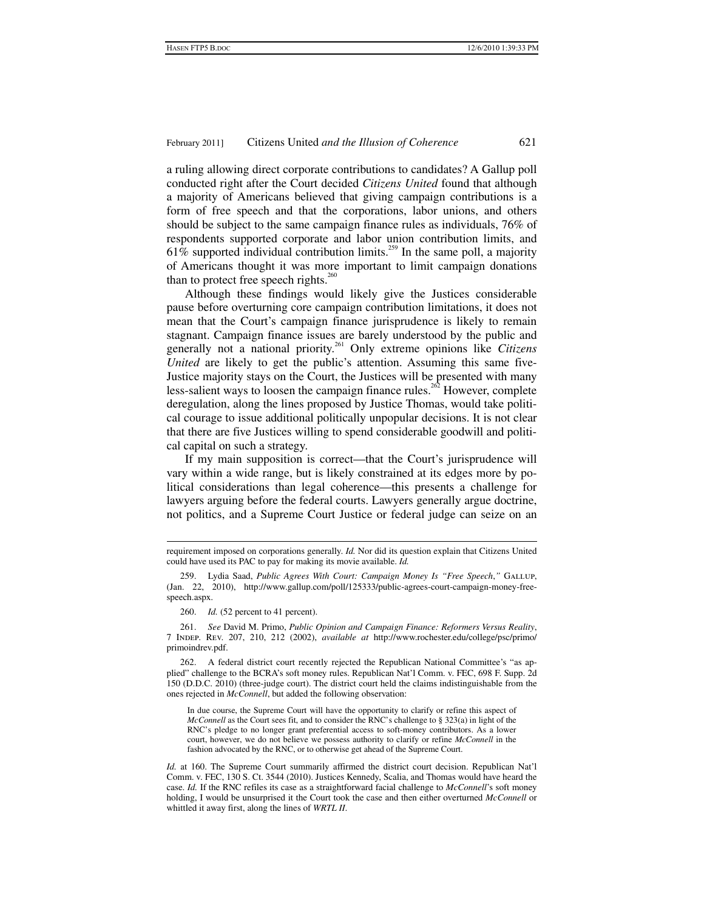a ruling allowing direct corporate contributions to candidates? A Gallup poll conducted right after the Court decided *Citizens United* found that although a majority of Americans believed that giving campaign contributions is a form of free speech and that the corporations, labor unions, and others should be subject to the same campaign finance rules as individuals, 76% of respondents supported corporate and labor union contribution limits, and  $61\%$  supported individual contribution limits.<sup>259</sup> In the same poll, a majority of Americans thought it was more important to limit campaign donations than to protect free speech rights. $260$ 

Although these findings would likely give the Justices considerable pause before overturning core campaign contribution limitations, it does not mean that the Court's campaign finance jurisprudence is likely to remain stagnant. Campaign finance issues are barely understood by the public and generally not a national priority.261 Only extreme opinions like *Citizens United* are likely to get the public's attention. Assuming this same five-Justice majority stays on the Court, the Justices will be presented with many less-salient ways to loosen the campaign finance rules.<sup>262</sup> However, complete deregulation, along the lines proposed by Justice Thomas, would take political courage to issue additional politically unpopular decisions. It is not clear that there are five Justices willing to spend considerable goodwill and political capital on such a strategy.

If my main supposition is correct—that the Court's jurisprudence will vary within a wide range, but is likely constrained at its edges more by political considerations than legal coherence—this presents a challenge for lawyers arguing before the federal courts. Lawyers generally argue doctrine, not politics, and a Supreme Court Justice or federal judge can seize on an

 261. *See* David M. Primo, *Public Opinion and Campaign Finance: Reformers Versus Reality*, 7 Indep. Rev. 207, 210, 212 (2002), *available at* http://www.rochester.edu/college/psc/primo/ primoindrev.pdf.

 262. A federal district court recently rejected the Republican National Committee's "as applied" challenge to the BCRA's soft money rules. Republican Nat'l Comm. v. FEC, 698 F. Supp. 2d 150 (D.D.C. 2010) (three-judge court). The district court held the claims indistinguishable from the ones rejected in *McConnell*, but added the following observation:

In due course, the Supreme Court will have the opportunity to clarify or refine this aspect of *McConnell* as the Court sees fit, and to consider the RNC's challenge to § 323(a) in light of the RNC's pledge to no longer grant preferential access to soft-money contributors. As a lower court, however, we do not believe we possess authority to clarify or refine *McConnell* in the fashion advocated by the RNC, or to otherwise get ahead of the Supreme Court.

*Id.* at 160. The Supreme Court summarily affirmed the district court decision. Republican Nat'l Comm. v. FEC, 130 S. Ct. 3544 (2010). Justices Kennedy, Scalia, and Thomas would have heard the case. *Id.* If the RNC refiles its case as a straightforward facial challenge to *McConnell*'s soft money holding, I would be unsurprised it the Court took the case and then either overturned *McConnell* or whittled it away first, along the lines of *WRTL II*.

 requirement imposed on corporations generally. *Id.* Nor did its question explain that Citizens United could have used its PAC to pay for making its movie available. *Id.*

 <sup>259.</sup> Lydia Saad, *Public Agrees With Court: Campaign Money Is "Free Speech*,*"* Gallup, (Jan. 22, 2010), http://www.gallup.com/poll/125333/public-agrees-court-campaign-money-freespeech.aspx.

 <sup>260.</sup> *Id.* (52 percent to 41 percent).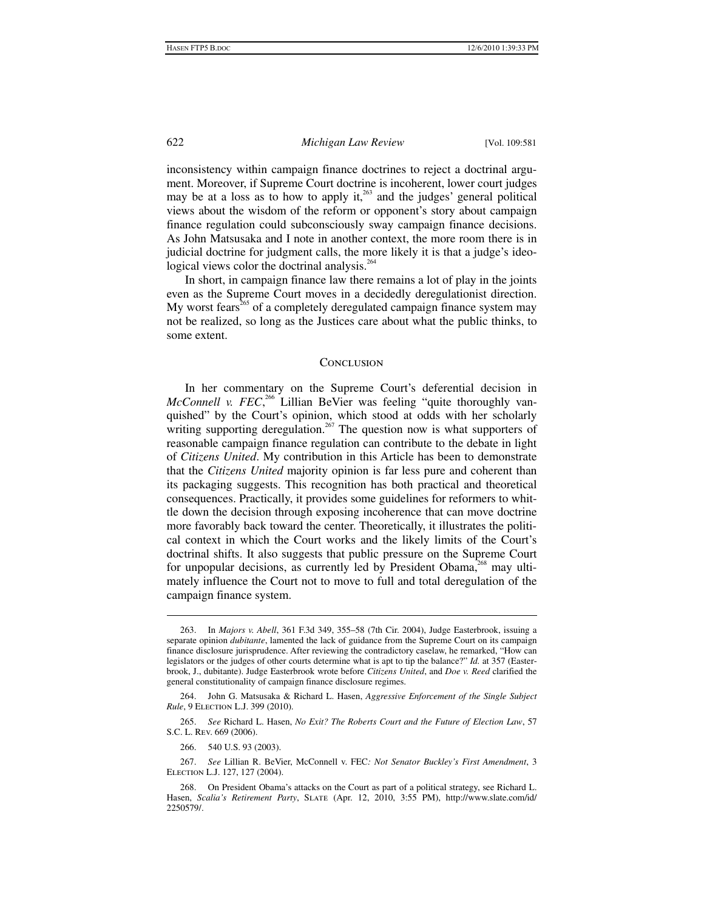inconsistency within campaign finance doctrines to reject a doctrinal argument. Moreover, if Supreme Court doctrine is incoherent, lower court judges may be at a loss as to how to apply it, $263$  and the judges' general political views about the wisdom of the reform or opponent's story about campaign finance regulation could subconsciously sway campaign finance decisions. As John Matsusaka and I note in another context, the more room there is in judicial doctrine for judgment calls, the more likely it is that a judge's ideological views color the doctrinal analysis.<sup>264</sup>

In short, in campaign finance law there remains a lot of play in the joints even as the Supreme Court moves in a decidedly deregulationist direction. My worst fears<sup>265</sup> of a completely deregulated campaign finance system may not be realized, so long as the Justices care about what the public thinks, to some extent.

#### **CONCLUSION**

In her commentary on the Supreme Court's deferential decision in McConnell v. FEC,<sup>266</sup> Lillian BeVier was feeling "quite thoroughly vanquished" by the Court's opinion, which stood at odds with her scholarly writing supporting deregulation.<sup>267</sup> The question now is what supporters of reasonable campaign finance regulation can contribute to the debate in light of *Citizens United*. My contribution in this Article has been to demonstrate that the *Citizens United* majority opinion is far less pure and coherent than its packaging suggests. This recognition has both practical and theoretical consequences. Practically, it provides some guidelines for reformers to whittle down the decision through exposing incoherence that can move doctrine more favorably back toward the center. Theoretically, it illustrates the political context in which the Court works and the likely limits of the Court's doctrinal shifts. It also suggests that public pressure on the Supreme Court for unpopular decisions, as currently led by President Obama, $268$  may ultimately influence the Court not to move to full and total deregulation of the campaign finance system.

 $\overline{a}$ 

 267. *See* Lillian R. BeVier, McConnell v. FEC*: Not Senator Buckley's First Amendment*, 3 Election L.J. 127, 127 (2004).

 <sup>263.</sup> In *Majors v. Abell*, 361 F.3d 349, 355–58 (7th Cir. 2004), Judge Easterbrook, issuing a separate opinion *dubitante*, lamented the lack of guidance from the Supreme Court on its campaign finance disclosure jurisprudence. After reviewing the contradictory caselaw, he remarked, "How can legislators or the judges of other courts determine what is apt to tip the balance?" *Id.* at 357 (Easterbrook, J., dubitante). Judge Easterbrook wrote before *Citizens United*, and *Doe v. Reed* clarified the general constitutionality of campaign finance disclosure regimes.

 <sup>264.</sup> John G. Matsusaka & Richard L. Hasen, *Aggressive Enforcement of the Single Subject Rule*, 9 Election L.J. 399 (2010).

 <sup>265.</sup> *See* Richard L. Hasen, *No Exit? The Roberts Court and the Future of Election Law*, 57 S.C. L. Rev. 669 (2006).

 <sup>266. 540</sup> U.S. 93 (2003).

 <sup>268.</sup> On President Obama's attacks on the Court as part of a political strategy, see Richard L. Hasen, *Scalia's Retirement Party*, Slate (Apr. 12, 2010, 3:55 PM), http://www.slate.com/id/ 2250579/.